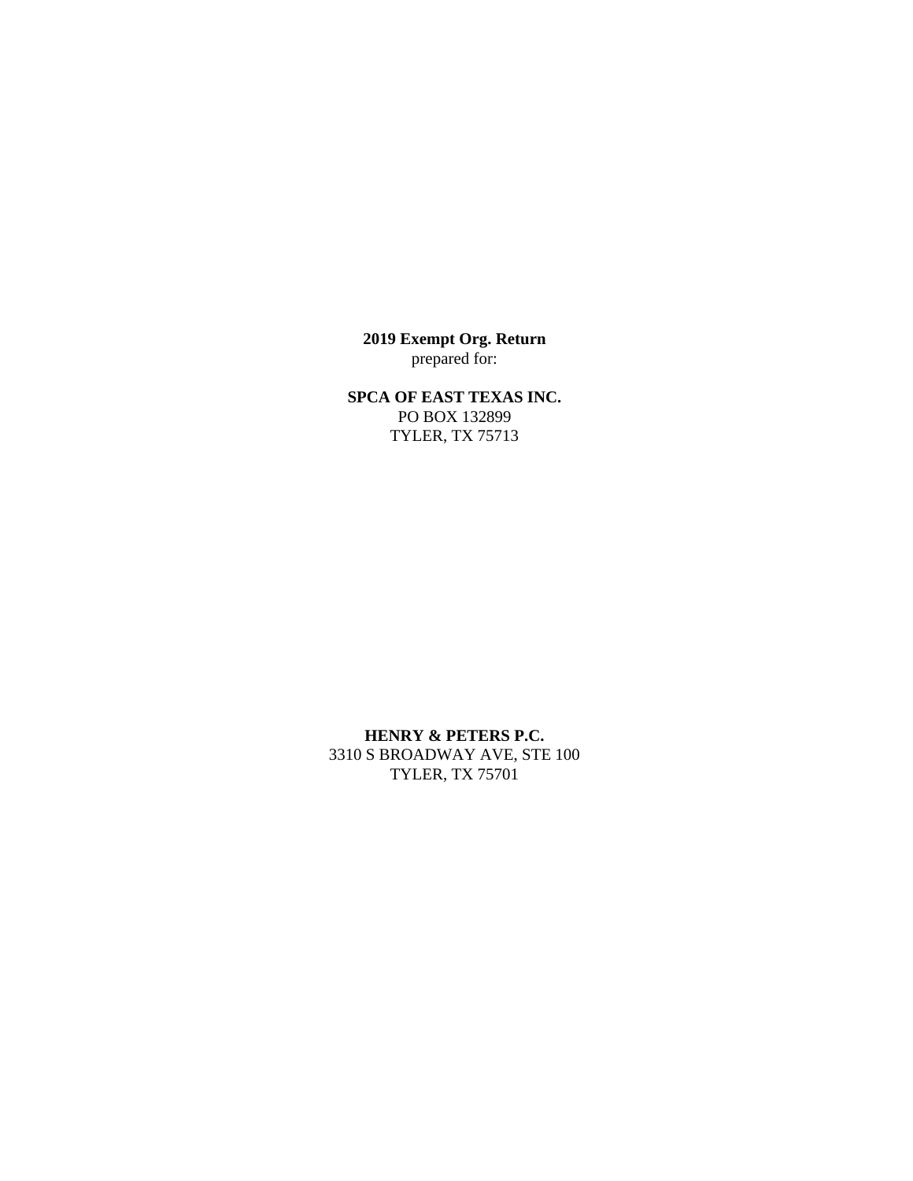**2019 Exempt Org. Return** prepared for:

**SPCA OF EAST TEXAS INC.** PO BOX 132899 TYLER, TX 75713

**HENRY & PETERS P.C.** 3310 S BROADWAY AVE, STE 100 TYLER, TX 75701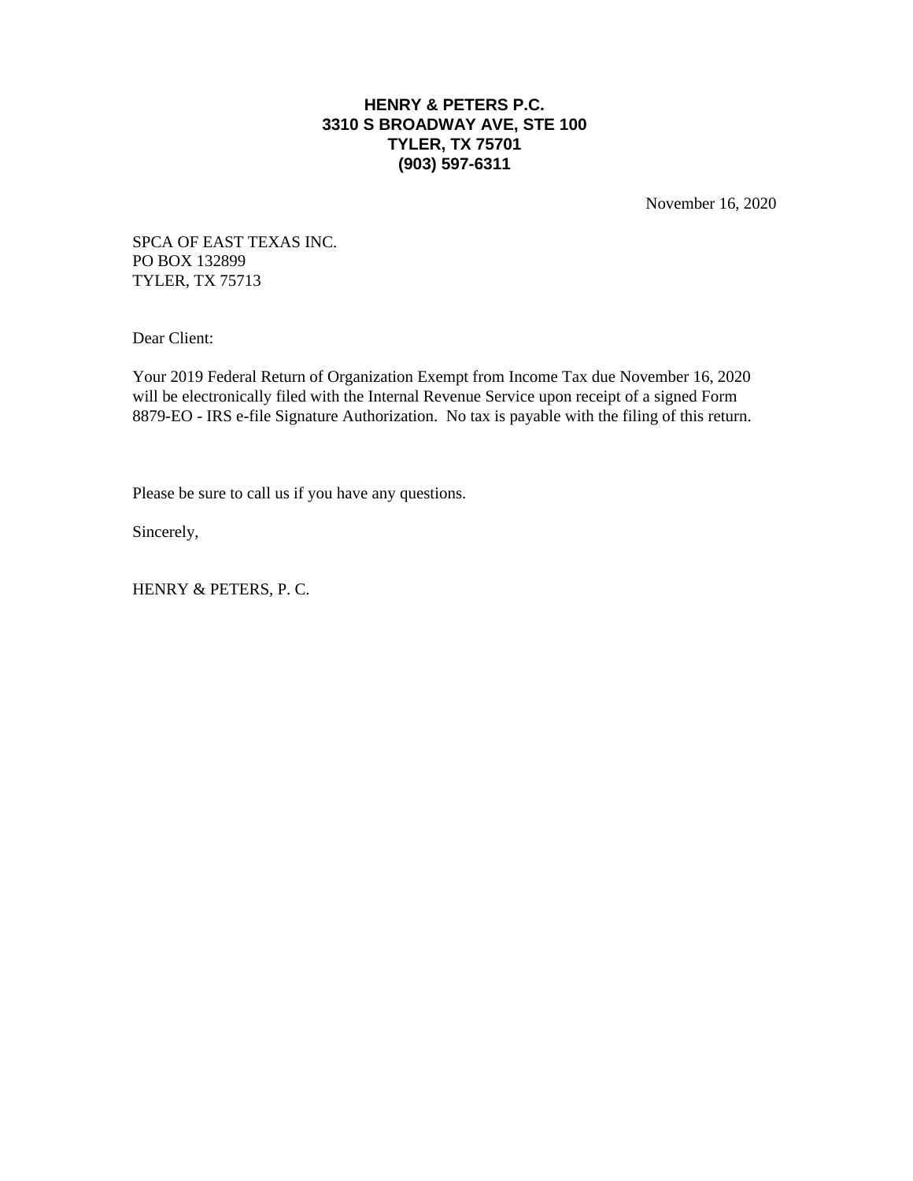## **HENRY & PETERS P.C. 3310 S BROADWAY AVE, STE 100 TYLER, TX 75701 (903) 597-6311**

November 16, 2020

SPCA OF EAST TEXAS INC. PO BOX 132899 TYLER, TX 75713

Dear Client:

Your 2019 Federal Return of Organization Exempt from Income Tax due November 16, 2020 will be electronically filed with the Internal Revenue Service upon receipt of a signed Form 8879-EO - IRS e-file Signature Authorization. No tax is payable with the filing of this return.

Please be sure to call us if you have any questions.

Sincerely,

HENRY & PETERS, P. C.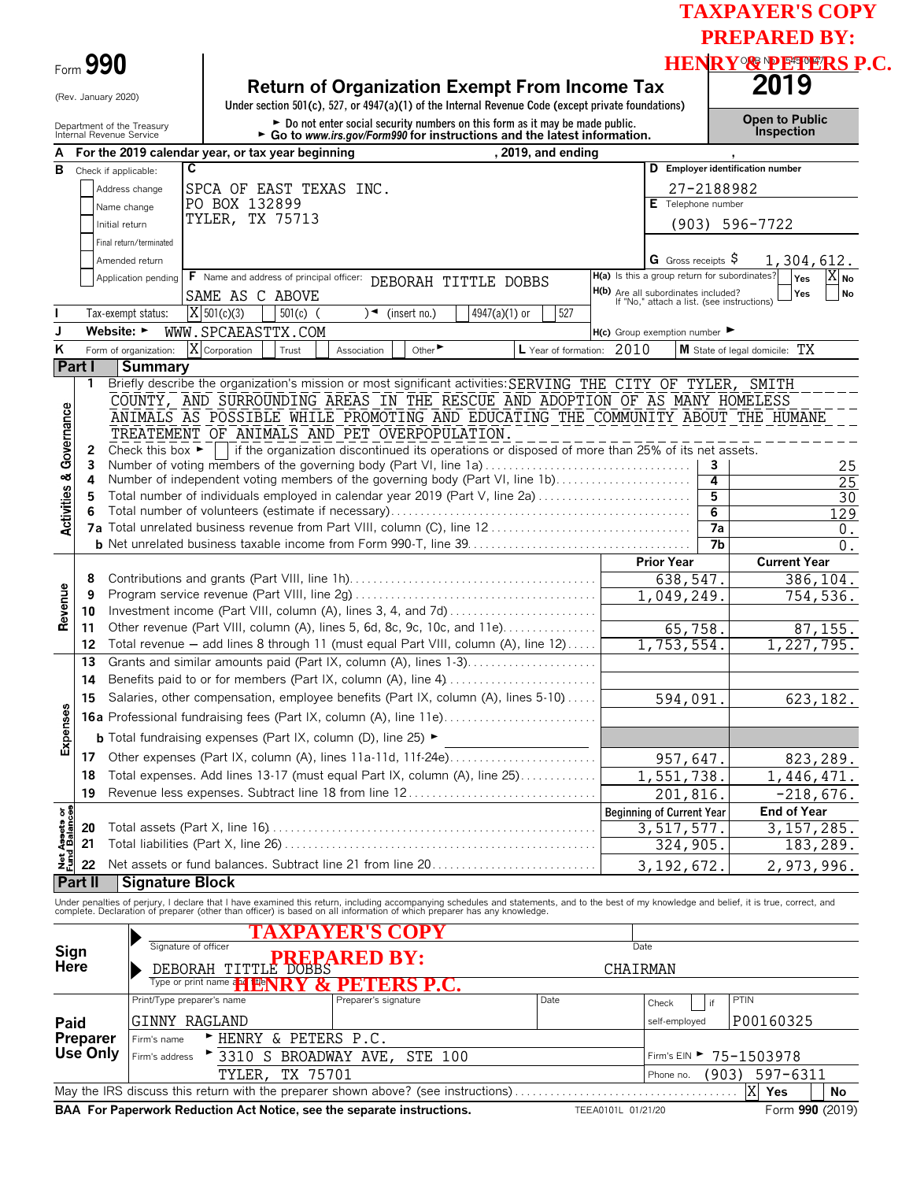|                                      |                                       |                                                                                                                                                                                                                                                                                                                          |                                                                                                    |                      |                      |                                                                                   |                                       | <b>TAXPAYER'S COPY</b>                                                                    |
|--------------------------------------|---------------------------------------|--------------------------------------------------------------------------------------------------------------------------------------------------------------------------------------------------------------------------------------------------------------------------------------------------------------------------|----------------------------------------------------------------------------------------------------|----------------------|----------------------|-----------------------------------------------------------------------------------|---------------------------------------|-------------------------------------------------------------------------------------------|
|                                      |                                       |                                                                                                                                                                                                                                                                                                                          |                                                                                                    |                      |                      |                                                                                   |                                       | <b>PREPARED BY:</b>                                                                       |
| Form 990                             |                                       |                                                                                                                                                                                                                                                                                                                          |                                                                                                    |                      |                      |                                                                                   |                                       | <b>HENRY &amp; PETERS P.C.</b>                                                            |
|                                      |                                       |                                                                                                                                                                                                                                                                                                                          | <b>Return of Organization Exempt From Income Tax</b>                                               |                      |                      |                                                                                   |                                       | 2019                                                                                      |
| (Rev. January 2020)                  |                                       |                                                                                                                                                                                                                                                                                                                          | Under section 501(c), 527, or 4947(a)(1) of the Internal Revenue Code (except private foundations) |                      |                      |                                                                                   |                                       |                                                                                           |
|                                      | Department of the Treasury            |                                                                                                                                                                                                                                                                                                                          | $\triangleright$ Do not enter social security numbers on this form as it may be made public.       |                      |                      |                                                                                   |                                       | <b>Open to Public</b><br>Inspection                                                       |
|                                      | Internal Revenue Service              | For the 2019 calendar year, or tax year beginning                                                                                                                                                                                                                                                                        | ► Go to www.irs.gov/Form990 for instructions and the latest information.                           | , 2019, and ending   |                      |                                                                                   |                                       |                                                                                           |
| В                                    | C<br>Check if applicable:             |                                                                                                                                                                                                                                                                                                                          |                                                                                                    |                      |                      |                                                                                   |                                       | D Employer identification number                                                          |
|                                      | Address change                        | SPCA OF EAST TEXAS INC.                                                                                                                                                                                                                                                                                                  |                                                                                                    |                      |                      |                                                                                   | 27-2188982                            |                                                                                           |
|                                      | Name change                           | PO BOX 132899                                                                                                                                                                                                                                                                                                            |                                                                                                    |                      |                      |                                                                                   | E Telephone number                    |                                                                                           |
|                                      | Initial return                        | TYLER, TX 75713                                                                                                                                                                                                                                                                                                          |                                                                                                    |                      |                      |                                                                                   |                                       | $(903)$ 596-7722                                                                          |
|                                      | Final return/terminated               |                                                                                                                                                                                                                                                                                                                          |                                                                                                    |                      |                      |                                                                                   |                                       |                                                                                           |
|                                      | Amended return<br>Application pending | F Name and address of principal officer:                                                                                                                                                                                                                                                                                 |                                                                                                    |                      |                      |                                                                                   | G Gross receipts $\$$                 | 1,304,612.<br>H(a) Is this a group return for subordinates?<br>$ X _{\mathsf{No}}$<br>Yes |
|                                      |                                       | SAME AS C ABOVE                                                                                                                                                                                                                                                                                                          |                                                                                                    | DEBORAH TITTLE DOBBS |                      | H(b) Are all subordinates included?<br>If "No," attach a list. (see instructions) |                                       | Yes<br>No                                                                                 |
|                                      | Tax-exempt status:                    | $X$ 501(c)(3)<br>$501(c)$ (                                                                                                                                                                                                                                                                                              | $\sqrt{4}$ (insert no.)                                                                            | 4947(a)(1) or        | 527                  |                                                                                   |                                       |                                                                                           |
|                                      | Website: ►                            | WWW.SPCAEASTTX.COM                                                                                                                                                                                                                                                                                                       |                                                                                                    |                      |                      | $H(c)$ Group exemption number $\blacktriangleright$                               |                                       |                                                                                           |
| ĸ                                    | Form of organization:                 | X Corporation<br>Trust                                                                                                                                                                                                                                                                                                   | Other <sup>&gt;</sup><br>Association                                                               |                      | L Year of formation: | 2010                                                                              |                                       | M State of legal domicile: TX                                                             |
| <b>Part I</b>                        | <b>Summary</b>                        |                                                                                                                                                                                                                                                                                                                          |                                                                                                    |                      |                      |                                                                                   |                                       |                                                                                           |
| 1                                    |                                       | Briefly describe the organization's mission or most significant activities: SERVING THE CITY OF TYLER, SMITH<br>COUNTY, AND SURROUNDING AREAS IN THE RESCUE AND ADOPTION OF AS MANY HOMELESS                                                                                                                             |                                                                                                    |                      |                      |                                                                                   |                                       |                                                                                           |
| Governance                           |                                       | ANIMALS AS POSSIBLE WHILE PROMOTING AND EDUCATING THE COMMUNITY ABOUT THE HUMANE                                                                                                                                                                                                                                         |                                                                                                    |                      |                      |                                                                                   |                                       |                                                                                           |
|                                      |                                       | TREATEMENT OF ANIMALS AND PET OVERPOPULATION.                                                                                                                                                                                                                                                                            |                                                                                                    |                      |                      |                                                                                   |                                       |                                                                                           |
| $\mathbf{2}$                         | Check this box $\blacktriangleright$  |                                                                                                                                                                                                                                                                                                                          | if the organization discontinued its operations or disposed of more than 25% of its net assets.    |                      |                      |                                                                                   |                                       |                                                                                           |
| 3<br>oð                              |                                       | Number of voting members of the governing body (Part VI, line 1a)                                                                                                                                                                                                                                                        |                                                                                                    |                      |                      |                                                                                   |                                       | 3<br>25                                                                                   |
| 4<br>5                               |                                       | Number of independent voting members of the governing body (Part VI, line 1b)<br>Total number of individuals employed in calendar year 2019 (Part V, line 2a)                                                                                                                                                            |                                                                                                    |                      |                      |                                                                                   |                                       | 4<br>25<br>5<br>30                                                                        |
| <b>Activities</b><br>6               |                                       |                                                                                                                                                                                                                                                                                                                          |                                                                                                    |                      |                      |                                                                                   |                                       | $\overline{6}$<br>129                                                                     |
|                                      |                                       |                                                                                                                                                                                                                                                                                                                          |                                                                                                    |                      |                      |                                                                                   |                                       | $\overline{7a}$<br>0.                                                                     |
|                                      |                                       |                                                                                                                                                                                                                                                                                                                          |                                                                                                    |                      |                      |                                                                                   |                                       | 7b<br>$\overline{0}$ .                                                                    |
|                                      |                                       |                                                                                                                                                                                                                                                                                                                          |                                                                                                    |                      |                      |                                                                                   | <b>Prior Year</b>                     | <b>Current Year</b>                                                                       |
| 8<br>9                               |                                       |                                                                                                                                                                                                                                                                                                                          |                                                                                                    |                      |                      |                                                                                   | $\overline{638}$ , 547.<br>1,049,249. | 386,104.<br>754,536.                                                                      |
| Revenue<br>10                        |                                       | Investment income (Part VIII, column (A), lines 3, 4, and 7d)                                                                                                                                                                                                                                                            |                                                                                                    |                      |                      |                                                                                   |                                       |                                                                                           |
| 11                                   |                                       | Other revenue (Part VIII, column (A), lines 5, 6d, 8c, 9c, 10c, and 11e)                                                                                                                                                                                                                                                 |                                                                                                    |                      |                      |                                                                                   | 65,758.                               | 87,155.                                                                                   |
| 12                                   |                                       | Total revenue - add lines 8 through 11 (must equal Part VIII, column (A), line 12)                                                                                                                                                                                                                                       |                                                                                                    |                      |                      |                                                                                   | 1,753,554.                            | 1,227,795.                                                                                |
| 13                                   |                                       |                                                                                                                                                                                                                                                                                                                          |                                                                                                    |                      |                      |                                                                                   |                                       |                                                                                           |
| 14                                   |                                       |                                                                                                                                                                                                                                                                                                                          |                                                                                                    |                      |                      |                                                                                   |                                       |                                                                                           |
| 15                                   |                                       | Salaries, other compensation, employee benefits (Part IX, column (A), lines 5-10)                                                                                                                                                                                                                                        |                                                                                                    |                      |                      |                                                                                   | 594,091.                              | 623, 182.                                                                                 |
| <b>Expenses</b>                      |                                       | <b>b</b> Total fundraising expenses (Part IX, column (D), line 25) $\blacktriangleright$                                                                                                                                                                                                                                 |                                                                                                    |                      |                      |                                                                                   |                                       |                                                                                           |
|                                      |                                       |                                                                                                                                                                                                                                                                                                                          |                                                                                                    |                      |                      |                                                                                   |                                       |                                                                                           |
| 17<br>18                             |                                       | Total expenses. Add lines 13-17 (must equal Part IX, column (A), line 25)                                                                                                                                                                                                                                                |                                                                                                    |                      |                      |                                                                                   | 957,647.<br>1,551,738                 | 823,289.<br>1,446,471.                                                                    |
| 19                                   |                                       | Revenue less expenses. Subtract line 18 from line 12                                                                                                                                                                                                                                                                     |                                                                                                    |                      |                      |                                                                                   | 201,816                               | $-218,676.$                                                                               |
|                                      |                                       |                                                                                                                                                                                                                                                                                                                          |                                                                                                    |                      |                      |                                                                                   | <b>Beginning of Current Year</b>      | <b>End of Year</b>                                                                        |
| 20                                   |                                       |                                                                                                                                                                                                                                                                                                                          |                                                                                                    |                      |                      |                                                                                   | 3,517,577.                            | $\overline{3,157,285}$ .                                                                  |
| Net Assets or<br>Fund Balances<br>21 |                                       |                                                                                                                                                                                                                                                                                                                          |                                                                                                    |                      |                      |                                                                                   | 324,905.                              | 183,289.                                                                                  |
| 22                                   |                                       | Net assets or fund balances. Subtract line 21 from line 20                                                                                                                                                                                                                                                               |                                                                                                    |                      |                      |                                                                                   | 3, 192, 672                           | 2,973,996.                                                                                |
| Part II                              | <b>Signature Block</b>                |                                                                                                                                                                                                                                                                                                                          |                                                                                                    |                      |                      |                                                                                   |                                       |                                                                                           |
|                                      |                                       | Under penalties of perjury, I declare that I have examined this return, including accompanying schedules and statements, and to the best of my knowledge and belief, it is true, correct, and<br>complete. Declaration of preparer (other than officer) is based on all information of which preparer has any knowledge. |                                                                                                    |                      |                      |                                                                                   |                                       |                                                                                           |
|                                      |                                       |                                                                                                                                                                                                                                                                                                                          |                                                                                                    |                      |                      |                                                                                   |                                       |                                                                                           |
| Sign                                 | Signature of officer                  |                                                                                                                                                                                                                                                                                                                          |                                                                                                    |                      |                      | Date                                                                              |                                       |                                                                                           |
| <b>Here</b>                          |                                       | REP<br>DEBORAH TITTLE DOBBS                                                                                                                                                                                                                                                                                              | <b>RED BY:</b>                                                                                     |                      |                      | CHAIRMAN                                                                          |                                       |                                                                                           |
|                                      | Type or print name a                  |                                                                                                                                                                                                                                                                                                                          |                                                                                                    |                      |                      |                                                                                   |                                       |                                                                                           |
|                                      | Print/Type preparer's name            |                                                                                                                                                                                                                                                                                                                          | Preparer's signature                                                                               |                      | Date                 |                                                                                   | Check<br>if                           | PTIN                                                                                      |
| Paid                                 | GINNY RAGLAND                         |                                                                                                                                                                                                                                                                                                                          |                                                                                                    |                      |                      |                                                                                   | self-employed                         | P00160325                                                                                 |

|                           |             | BAA For Paperwork Reduction Act Notice, see the separate instructions. |  | TEEA0101L 01/21/20 |                                        | Form 990 (2019) |      |  |
|---------------------------|-------------|------------------------------------------------------------------------|--|--------------------|----------------------------------------|-----------------|------|--|
|                           |             |                                                                        |  |                    |                                        | XI Yes          | l No |  |
|                           |             | TYLER, TX 75701                                                        |  |                    | Phone no. $(903)$ 597-6311             |                 |      |  |
| Use Only Firm's address ' |             | 5310 S BROADWAY AVE, STE 100                                           |  |                    | Firm's EIN $\triangleright$ 75-1503978 |                 |      |  |
| Preparer                  | Firm's name | FHENRY & PETERS P.C.                                                   |  |                    |                                        |                 |      |  |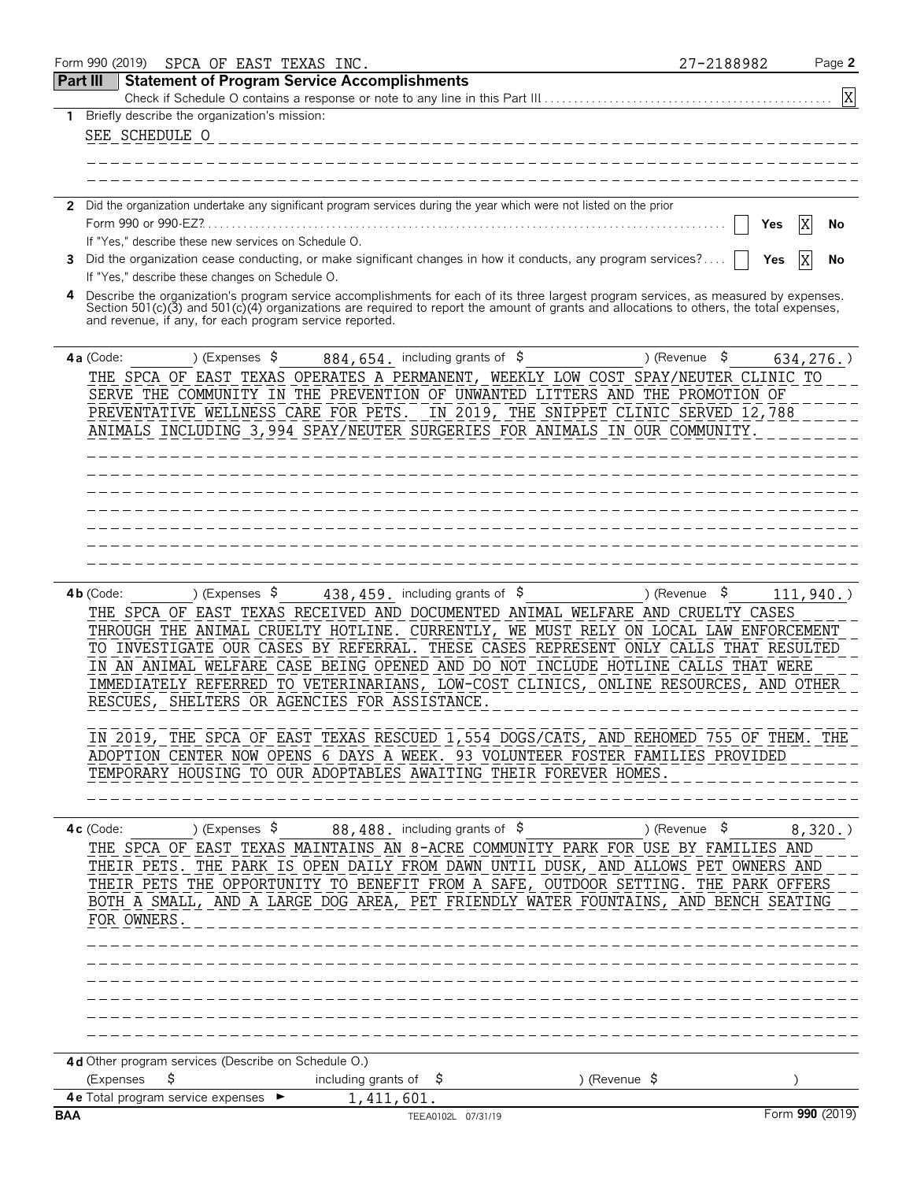|                 | Form 990 (2019)<br>SPCA OF EAST TEXAS INC.                                                                                                                                                                                                                                       | 27-2188982               | Page 2          |
|-----------------|----------------------------------------------------------------------------------------------------------------------------------------------------------------------------------------------------------------------------------------------------------------------------------|--------------------------|-----------------|
| <b>Part III</b> | <b>Statement of Program Service Accomplishments</b>                                                                                                                                                                                                                              |                          |                 |
|                 |                                                                                                                                                                                                                                                                                  |                          | X               |
| 1.              | Briefly describe the organization's mission:                                                                                                                                                                                                                                     |                          |                 |
|                 | SEE SCHEDULE O                                                                                                                                                                                                                                                                   |                          |                 |
|                 |                                                                                                                                                                                                                                                                                  |                          |                 |
|                 |                                                                                                                                                                                                                                                                                  |                          |                 |
|                 | 2 Did the organization undertake any significant program services during the year which were not listed on the prior                                                                                                                                                             |                          |                 |
|                 |                                                                                                                                                                                                                                                                                  |                          | Χ<br>No<br>Yes  |
|                 | If "Yes," describe these new services on Schedule O.                                                                                                                                                                                                                             |                          |                 |
| 3               | Did the organization cease conducting, or make significant changes in how it conducts, any program services?                                                                                                                                                                     |                          | ΙX<br>Yes<br>No |
|                 | If "Yes," describe these changes on Schedule O.                                                                                                                                                                                                                                  |                          |                 |
| 4               | Describe the organization's program service accomplishments for each of its three largest program services, as measured by expenses.<br>Section 501(c)(3) and 501(c)(4) organizations are required to report the amount of grants and allocations to others, the total expenses, |                          |                 |
|                 | and revenue, if any, for each program service reported.                                                                                                                                                                                                                          |                          |                 |
|                 |                                                                                                                                                                                                                                                                                  |                          |                 |
|                 | 884, 654. including grants of \$<br>4a (Code:<br>(Express 5)                                                                                                                                                                                                                     | ) (Revenue $\frac{1}{2}$ | $634, 276.$ )   |
|                 | THE SPCA OF EAST TEXAS OPERATES A PERMANENT, WEEKLY LOW COST SPAY/NEUTER CLINIC TO                                                                                                                                                                                               |                          |                 |
|                 | SERVE THE COMMUNITY IN THE PREVENTION OF UNWANTED LITTERS AND THE PROMOTION OF                                                                                                                                                                                                   |                          |                 |
|                 | PREVENTATIVE WELLNESS CARE FOR PETS. IN 2019, THE SNIPPET CLINIC SERVED 12,788<br>ANIMALS INCLUDING 3,994 SPAY/NEUTER SURGERIES FOR ANIMALS IN OUR COMMUNITY.                                                                                                                    |                          |                 |
|                 |                                                                                                                                                                                                                                                                                  |                          |                 |
|                 |                                                                                                                                                                                                                                                                                  |                          |                 |
|                 |                                                                                                                                                                                                                                                                                  |                          |                 |
|                 |                                                                                                                                                                                                                                                                                  |                          |                 |
|                 |                                                                                                                                                                                                                                                                                  |                          |                 |
|                 |                                                                                                                                                                                                                                                                                  |                          |                 |
|                 |                                                                                                                                                                                                                                                                                  |                          |                 |
|                 | 438, 459. including grants of \$<br>) (Expenses $\sqrt{5}$<br>4b (Code:                                                                                                                                                                                                          | ) (Revenue $\frac{1}{2}$ | 111,940.        |
|                 | THE SPCA OF EAST TEXAS RECEIVED AND DOCUMENTED ANIMAL WELFARE AND CRUELTY CASES                                                                                                                                                                                                  |                          |                 |
|                 | THROUGH THE ANIMAL CRUELTY HOTLINE. CURRENTLY, WE MUST RELY ON LOCAL LAW ENFORCEMENT                                                                                                                                                                                             |                          |                 |
|                 | TO INVESTIGATE OUR CASES BY REFERRAL. THESE CASES REPRESENT ONLY CALLS THAT RESULTED                                                                                                                                                                                             |                          |                 |
|                 | IN AN ANIMAL WELFARE CASE BEING OPENED AND DO NOT INCLUDE HOTLINE CALLS THAT WERE                                                                                                                                                                                                |                          |                 |
|                 | IMMEDIATELY REFERRED TO VETERINARIANS, LOW-COST CLINICS, ONLINE RESOURCES, AND OTHER                                                                                                                                                                                             |                          |                 |
|                 | RESCUES, SHELTERS OR AGENCIES FOR ASSISTANCE.                                                                                                                                                                                                                                    |                          |                 |
|                 |                                                                                                                                                                                                                                                                                  |                          |                 |
|                 | IN 2019, THE SPCA OF EAST TEXAS RESCUED 1,554 DOGS/CATS, AND REHOMED 755 OF THEM. THE<br>ADOPTION CENTER NOW OPENS 6 DAYS A WEEK. 93 VOLUNTEER FOSTER FAMILIES PROVIDED                                                                                                          |                          |                 |
|                 | TEMPORARY HOUSING TO OUR ADOPTABLES AWAITING THEIR FOREVER HOMES.                                                                                                                                                                                                                |                          |                 |
|                 |                                                                                                                                                                                                                                                                                  |                          |                 |
|                 |                                                                                                                                                                                                                                                                                  |                          |                 |
|                 | 88, 488. including grants of \$<br>) (Expenses \$<br>$4c$ (Code:                                                                                                                                                                                                                 | ) (Revenue \$            | 8,320.          |
|                 | THE SPCA OF EAST TEXAS MAINTAINS AN 8-ACRE COMMUNITY PARK FOR USE BY FAMILIES AND                                                                                                                                                                                                |                          |                 |
|                 | THEIR PETS. THE PARK IS OPEN DAILY FROM DAWN UNTIL DUSK, AND ALLOWS PET OWNERS AND                                                                                                                                                                                               |                          |                 |
|                 | THEIR PETS THE OPPORTUNITY TO BENEFIT FROM A SAFE, OUTDOOR SETTING. THE PARK OFFERS                                                                                                                                                                                              |                          |                 |
|                 | BOTH A SMALL, AND A LARGE DOG AREA, PET FRIENDLY WATER FOUNTAINS, AND BENCH SEATING<br>FOR OWNERS.                                                                                                                                                                               |                          |                 |
|                 | ___________________________________                                                                                                                                                                                                                                              |                          |                 |
|                 |                                                                                                                                                                                                                                                                                  |                          |                 |
|                 |                                                                                                                                                                                                                                                                                  |                          |                 |
|                 |                                                                                                                                                                                                                                                                                  |                          |                 |
|                 |                                                                                                                                                                                                                                                                                  |                          |                 |
|                 |                                                                                                                                                                                                                                                                                  |                          |                 |
|                 | 4d Other program services (Describe on Schedule O.)                                                                                                                                                                                                                              |                          |                 |
|                 | (Expenses<br>\$<br>including grants of $\frac{1}{2}$<br>) (Revenue \$                                                                                                                                                                                                            |                          |                 |
|                 | 4 e Total program service expenses ►<br>1,411,601.                                                                                                                                                                                                                               |                          |                 |
| <b>BAA</b>      | TEEA0102L 07/31/19                                                                                                                                                                                                                                                               |                          | Form 990 (2019) |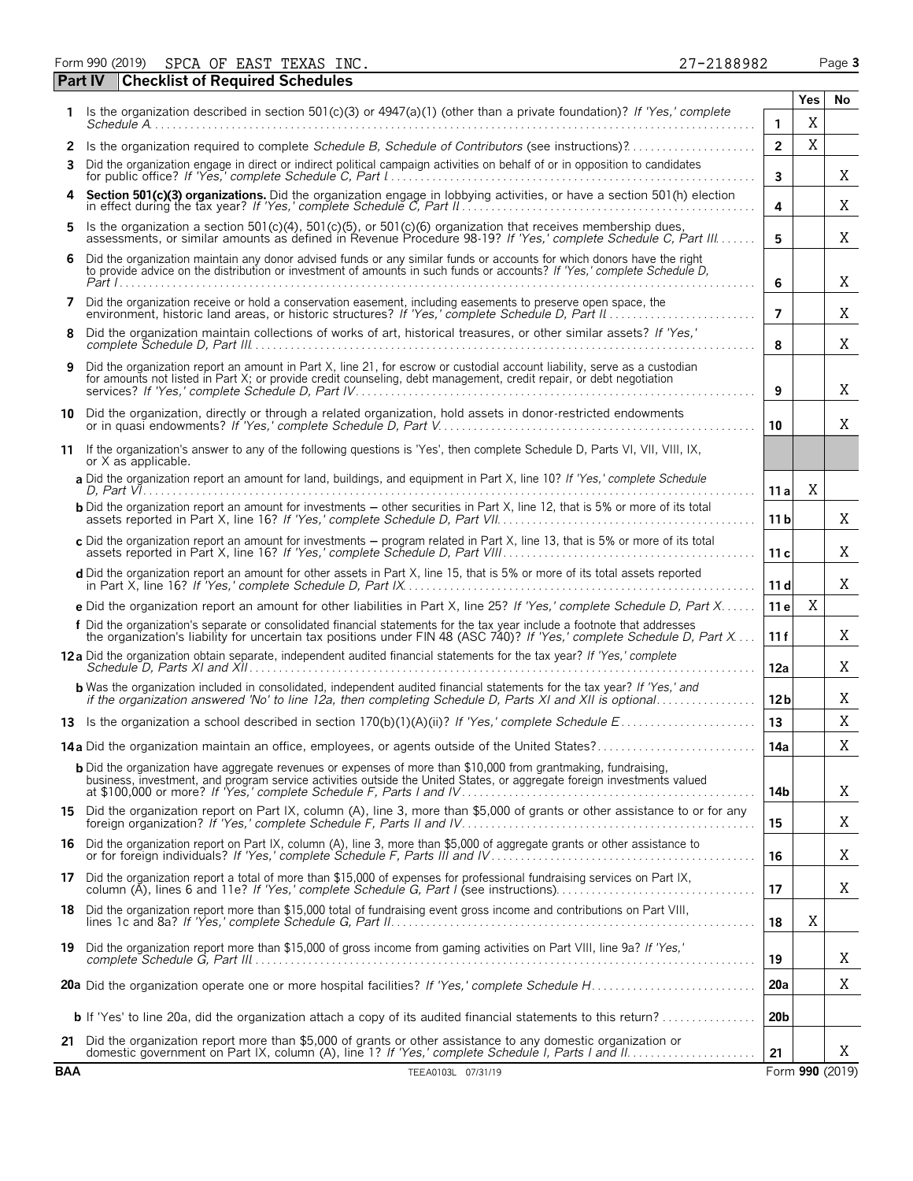Form 990 (2019) Page **3** SPCA OF EAST TEXAS INC. 27-2188982

|            | <b>Checklist of Required Schedules</b><br>Part IV                                                                                                                                                                                                   |                 |     |                 |  |  |  |  |
|------------|-----------------------------------------------------------------------------------------------------------------------------------------------------------------------------------------------------------------------------------------------------|-----------------|-----|-----------------|--|--|--|--|
|            | Is the organization described in section 501(c)(3) or 4947(a)(1) (other than a private foundation)? If 'Yes,' complete                                                                                                                              |                 | Yes | No              |  |  |  |  |
|            |                                                                                                                                                                                                                                                     | $\mathbf{1}$    | X   |                 |  |  |  |  |
| 2          | Is the organization required to complete Schedule B, Schedule of Contributors (see instructions)?                                                                                                                                                   | $\overline{2}$  | X   |                 |  |  |  |  |
| 3          | Did the organization engage in direct or indirect political campaign activities on behalf of or in opposition to candidates                                                                                                                         | 3               |     | Χ               |  |  |  |  |
|            | Section 501(c)(3) organizations. Did the organization engage in lobbying activities, or have a section 501(h) election in effect during the tax year? If 'Yes,' complete Schedule C, Part II                                                        | 4               |     | Χ               |  |  |  |  |
| 5.         | Is the organization a section 501(c)(4), 501(c)(5), or 501(c)(6) organization that receives membership dues, assessments, or similar amounts as defined in Revenue Procedure 98-19? If 'Yes,' complete Schedule C, Part III                         | 5               |     | Χ               |  |  |  |  |
| 6          | Did the organization maintain any donor advised funds or any similar funds or accounts for which donors have the right<br>to provide advice on the distribution or investment of amounts in such funds or accounts? If 'Yes,' complete Schedule D,  |                 |     |                 |  |  |  |  |
| 7          | Did the organization receive or hold a conservation easement, including easements to preserve open space, the<br>environment, historic land areas, or historic structures? If 'Yes,' complete Schedule D, Part II.                                  |                 |     |                 |  |  |  |  |
| 8          | Did the organization maintain collections of works of art, historical treasures, or other similar assets? If 'Yes,'                                                                                                                                 | 8               |     | X               |  |  |  |  |
| 9          | Did the organization report an amount in Part X, line 21, for escrow or custodial account liability, serve as a custodian<br>for amounts not listed in Part X; or provide credit counseling, debt management, credit repair, or debt negotiation    | 9               |     | X               |  |  |  |  |
| 10         | Did the organization, directly or through a related organization, hold assets in donor-restricted endowments                                                                                                                                        | 10              |     | Χ               |  |  |  |  |
| 11         | If the organization's answer to any of the following questions is 'Yes', then complete Schedule D, Parts VI, VII, VIII, IX,<br>or X as applicable.                                                                                                  |                 |     |                 |  |  |  |  |
|            | a Did the organization report an amount for land, buildings, and equipment in Part X, line 10? If 'Yes,' complete Schedule                                                                                                                          | 11 al           | X   |                 |  |  |  |  |
|            | <b>b</b> Did the organization report an amount for investments – other securities in Part X, line 12, that is 5% or more of its total                                                                                                               | 11 <sub>b</sub> |     | X               |  |  |  |  |
|            | c Did the organization report an amount for investments - program related in Part X, line 13, that is 5% or more of its total                                                                                                                       | 11c             |     | Χ               |  |  |  |  |
|            | d Did the organization report an amount for other assets in Part X, line 15, that is 5% or more of its total assets reported                                                                                                                        | 11d             |     | Χ               |  |  |  |  |
|            | e Did the organization report an amount for other liabilities in Part X, line 25? If 'Yes,' complete Schedule D, Part X                                                                                                                             | 11e             | X   |                 |  |  |  |  |
|            | f Did the organization's separate or consolidated financial statements for the tax year include a footnote that addresses<br>the organization's liability for uncertain tax positions under FIN 48 (ASC 740)? If 'Yes,' complete Schedule D, Part X | 11 f            |     | Χ               |  |  |  |  |
|            | 12 a Did the organization obtain separate, independent audited financial statements for the tax year? If 'Yes,' complete                                                                                                                            | 12a             |     | Χ               |  |  |  |  |
|            | <b>b</b> Was the organization included in consolidated, independent audited financial statements for the tax year? If 'Yes,' and<br>if the organization answered 'No' to line 12a, then completing Schedule D, Parts XI and XII is optional         | 12 <sub>b</sub> |     | Χ               |  |  |  |  |
|            |                                                                                                                                                                                                                                                     | 13              |     | X               |  |  |  |  |
|            | 14a Did the organization maintain an office, employees, or agents outside of the United States?                                                                                                                                                     | 14a             |     | X               |  |  |  |  |
|            | <b>b</b> Did the organization have aggregate revenues or expenses of more than \$10,000 from grantmaking, fundraising,<br>business, investment, and program service activities outside the United States, or aggregate foreign investments valued   | 14b             |     | X               |  |  |  |  |
|            | 15 Did the organization report on Part IX, column (A), line 3, more than \$5,000 of grants or other assistance to or for any foreign organization? If 'Yes,' complete Schedule F, Parts II and IV                                                   | 15              |     | Χ               |  |  |  |  |
|            | 16 Did the organization report on Part IX, column (A), line 3, more than \$5,000 of aggregate grants or other assistance to<br>or for foreign individuals? If 'Yes,' complete Schedule F, Parts III and IV                                          | 16              |     | Χ               |  |  |  |  |
|            | 17 Did the organization report a total of more than \$15,000 of expenses for professional fundraising services on Part IX,<br>column (A), lines 6 and 11e? If 'Yes,' complete Schedule G, Part I (see instructions)                                 | 17              |     | X               |  |  |  |  |
|            | 18 Did the organization report more than \$15,000 total of fundraising event gross income and contributions on Part VIII,                                                                                                                           | 18              | Χ   |                 |  |  |  |  |
|            | 19 Did the organization report more than \$15,000 of gross income from gaming activities on Part VIII, line 9a? If 'Yes,'                                                                                                                           | 19              |     | X               |  |  |  |  |
|            |                                                                                                                                                                                                                                                     | 20a             |     | Χ               |  |  |  |  |
|            | <b>b</b> If 'Yes' to line 20a, did the organization attach a copy of its audited financial statements to this return?                                                                                                                               | 20 <sub>b</sub> |     |                 |  |  |  |  |
|            | 21 Did the organization report more than \$5,000 of grants or other assistance to any domestic organization or                                                                                                                                      | 21              |     | X               |  |  |  |  |
| <b>BAA</b> | TEEA0103L 07/31/19                                                                                                                                                                                                                                  |                 |     | Form 990 (2019) |  |  |  |  |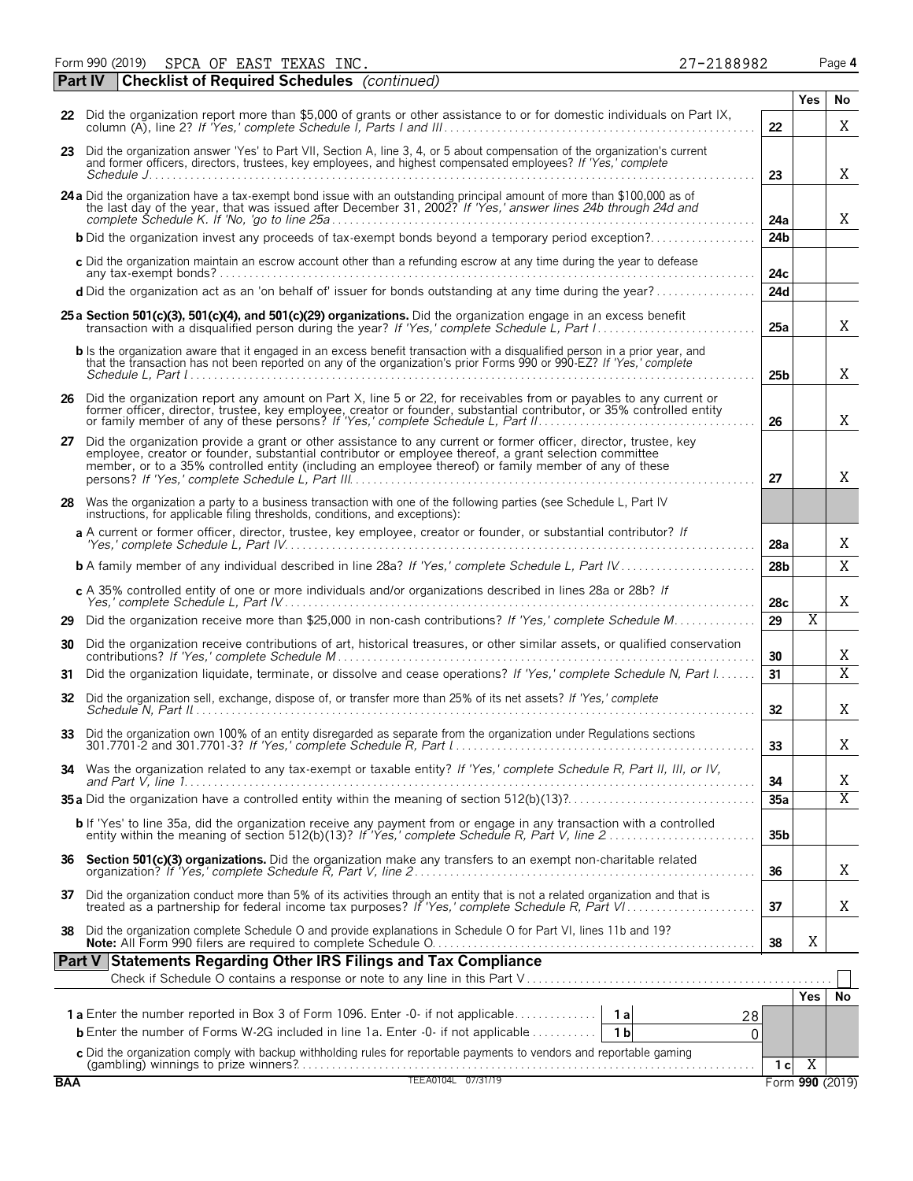Form 990 (2019) SPCA OF EAST TEXAS INC. 27-2188982 Page **4** SPCA OF EAST TEXAS INC. 27-2188982

**Part IV Checklist of Required Schedules** *(continued)*

|            |                                                                                                                                                                                                                                                                                                                                       |                 | Yes | No              |
|------------|---------------------------------------------------------------------------------------------------------------------------------------------------------------------------------------------------------------------------------------------------------------------------------------------------------------------------------------|-----------------|-----|-----------------|
|            | 22 Did the organization report more than \$5,000 of grants or other assistance to or for domestic individuals on Part IX,                                                                                                                                                                                                             | 22              |     | X               |
|            | 23 Did the organization answer 'Yes' to Part VII, Section A, line 3, 4, or 5 about compensation of the organization's current<br>and former officers, directors, trustees, key employees, and highest compensated employees? If 'Yes,' complete                                                                                       | 23              |     | X               |
|            | 24 a Did the organization have a tax-exempt bond issue with an outstanding principal amount of more than \$100,000 as of<br>the last day of the year, that was issued after December 31, 2002? If 'Yes,' answer lines 24b through 24d and                                                                                             | 24a             |     | X               |
|            | <b>b</b> Did the organization invest any proceeds of tax-exempt bonds beyond a temporary period exception?                                                                                                                                                                                                                            | 24 <sub>b</sub> |     |                 |
|            | c Did the organization maintain an escrow account other than a refunding escrow at any time during the year to defease                                                                                                                                                                                                                | 24c             |     |                 |
|            | d Did the organization act as an 'on behalf of' issuer for bonds outstanding at any time during the year?                                                                                                                                                                                                                             | 24d             |     |                 |
|            | 25 a Section 501(c)(3), 501(c)(4), and 501(c)(29) organizations. Did the organization engage in an excess benefit                                                                                                                                                                                                                     | 25a             |     | X               |
|            | b Is the organization aware that it engaged in an excess benefit transaction with a disqualified person in a prior year, and<br>that the transaction has not been reported on any of the organization's prior Forms 990 or 990-EZ? If 'Yes,' complete                                                                                 | 25 <sub>b</sub> |     | X               |
| 26         | Did the organization report any amount on Part X, line 5 or 22, for receivables from or payables to any current or<br>former officer, director, trustee, key employee, creator or founder, substantial contributor, or 35% controlled entity<br>or family member of any of these persons? If 'Yes,' complete Schedule L, Part II      | 26              |     | X               |
| 27         | Did the organization provide a grant or other assistance to any current or former officer, director, trustee, key<br>employee, creator or founder, substantial contributor or employee thereof, a grant selection committee<br>member, or to a 35% controlled entity (including an employee thereof) or family member of any of these | 27              |     | X               |
|            | 28 Was the organization a party to a business transaction with one of the following parties (see Schedule L, Part IV<br>instructions, for applicable filing thresholds, conditions, and exceptions):                                                                                                                                  |                 |     |                 |
|            | a A current or former officer, director, trustee, key employee, creator or founder, or substantial contributor? If                                                                                                                                                                                                                    | 28a             |     | Χ               |
|            |                                                                                                                                                                                                                                                                                                                                       | 28 <sub>b</sub> |     | X               |
|            | c A 35% controlled entity of one or more individuals and/or organizations described in lines 28a or 28b? If                                                                                                                                                                                                                           | 28c             |     | X               |
|            | 29 Did the organization receive more than \$25,000 in non-cash contributions? If 'Yes,' complete Schedule M                                                                                                                                                                                                                           | 29              | Χ   |                 |
| 30         | Did the organization receive contributions of art, historical treasures, or other similar assets, or qualified conservation                                                                                                                                                                                                           | 30              |     | X               |
| 31         | Did the organization liquidate, terminate, or dissolve and cease operations? If 'Yes,' complete Schedule N, Part I                                                                                                                                                                                                                    | 31              |     | $\overline{X}$  |
|            | 32 Did the organization sell, exchange, dispose of, or transfer more than 25% of its net assets? If 'Yes,' complete                                                                                                                                                                                                                   | 32              |     | X               |
| 33         | Did the organization own 100% of an entity disregarded as separate from the organization under Regulations sections                                                                                                                                                                                                                   | 33              |     | X               |
|            | 34 Was the organization related to any tax-exempt or taxable entity? If 'Yes,' complete Schedule R, Part II, III, or IV,                                                                                                                                                                                                              | 34              |     | X               |
|            |                                                                                                                                                                                                                                                                                                                                       | 35a             |     | $\overline{X}$  |
|            | b If 'Yes' to line 35a, did the organization receive any payment from or engage in any transaction with a controlled<br>entity within the meaning of section 512(b)(13)? If 'Yes,' complete Schedule R, Part V, line 2                                                                                                                | 35 <sub>b</sub> |     |                 |
|            | 36 Section 501(c)(3) organizations. Did the organization make any transfers to an exempt non-charitable related                                                                                                                                                                                                                       | 36              |     | X               |
|            | 37 Did the organization conduct more than 5% of its activities through an entity that is not a related organization and that is treated as a partnership for federal income tax purposes? If 'Yes,' complete Schedule R, Part                                                                                                         | 37              |     | X               |
| 38         | Did the organization complete Schedule O and provide explanations in Schedule O for Part VI, lines 11b and 19?                                                                                                                                                                                                                        | 38              | Χ   |                 |
|            | Part V Statements Regarding Other IRS Filings and Tax Compliance                                                                                                                                                                                                                                                                      |                 |     |                 |
|            |                                                                                                                                                                                                                                                                                                                                       |                 | Yes | No              |
|            | <b>1a</b> Enter the number reported in Box 3 of Form 1096. Enter -0- if not applicable<br>1 a<br>28                                                                                                                                                                                                                                   |                 |     |                 |
|            | <b>b</b> Enter the number of Forms W-2G included in line 1a. Enter -0- if not applicable<br>1 b<br>$\Omega$                                                                                                                                                                                                                           |                 |     |                 |
|            | c Did the organization comply with backup withholding rules for reportable payments to vendors and reportable gaming                                                                                                                                                                                                                  |                 |     |                 |
|            | TEEA0104L 07/31/19                                                                                                                                                                                                                                                                                                                    | 1 с             | Χ   |                 |
| <b>BAA</b> |                                                                                                                                                                                                                                                                                                                                       |                 |     | Form 990 (2019) |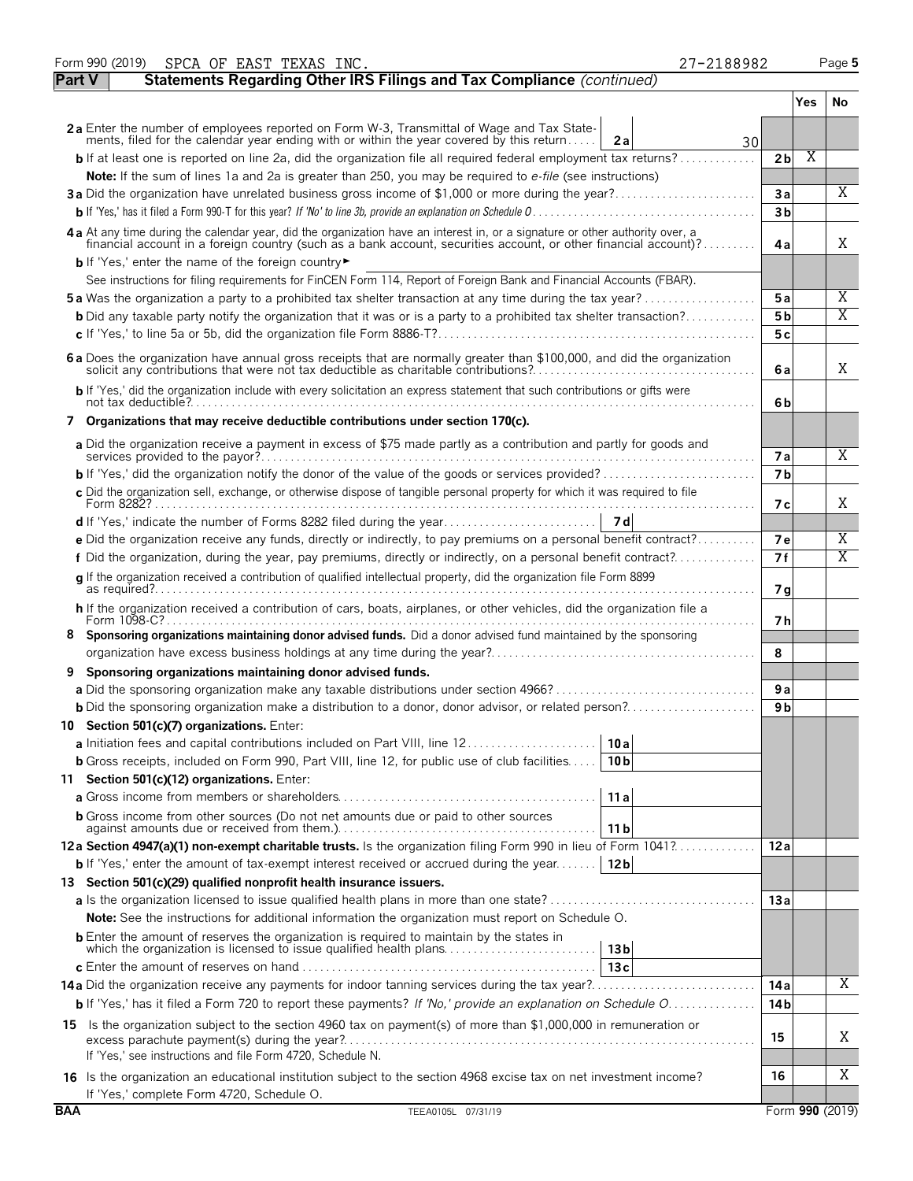|               | Form 990 (2019)<br>SPCA OF EAST TEXAS INC.<br>27-2188982                                                                                                                                                                                         |                 |     | Page 5          |
|---------------|--------------------------------------------------------------------------------------------------------------------------------------------------------------------------------------------------------------------------------------------------|-----------------|-----|-----------------|
| <b>Part V</b> | Statements Regarding Other IRS Filings and Tax Compliance (continued)                                                                                                                                                                            |                 |     |                 |
|               |                                                                                                                                                                                                                                                  |                 | Yes | No.             |
|               | 2a Enter the number of employees reported on Form W-3, Transmittal of Wage and Tax State-<br>ments, filed for the calendar year ending with or within the year covered by this return<br>2a                                                      |                 |     |                 |
|               | 30<br>$\mathbf b$ If at least one is reported on line 2a, did the organization file all required federal employment tax returns?                                                                                                                 | 2 <sub>b</sub>  | X   |                 |
|               | Note: If the sum of lines 1a and 2a is greater than 250, you may be required to e-file (see instructions)                                                                                                                                        |                 |     |                 |
|               | 3a Did the organization have unrelated business gross income of \$1,000 or more during the year?                                                                                                                                                 | Зa              |     | X               |
|               |                                                                                                                                                                                                                                                  | 3 <sub>b</sub>  |     |                 |
|               | 4a At any time during the calendar year, did the organization have an interest in, or a signature or other authority over, a<br>financial account in a foreign country (such as a bank account, securities account, or other financial account)? | 4a              |     | X               |
|               | b If 'Yes,' enter the name of the foreign country                                                                                                                                                                                                |                 |     |                 |
|               | See instructions for filing requirements for FinCEN Form 114, Report of Foreign Bank and Financial Accounts (FBAR).                                                                                                                              |                 |     |                 |
|               | <b>5a</b> Was the organization a party to a prohibited tax shelter transaction at any time during the tax year?                                                                                                                                  | 5a              |     | Χ               |
|               | <b>b</b> Did any taxable party notify the organization that it was or is a party to a prohibited tax shelter transaction?                                                                                                                        | 5b              |     | X               |
|               |                                                                                                                                                                                                                                                  | 5c              |     |                 |
|               | 6 a Does the organization have annual gross receipts that are normally greater than \$100,000, and did the organization solicit any contributions that were not tax deductible as charitable contributions?                                      | 6a              |     | X               |
|               | b If 'Yes,' did the organization include with every solicitation an express statement that such contributions or gifts were                                                                                                                      |                 |     |                 |
|               |                                                                                                                                                                                                                                                  | 6b              |     |                 |
|               | 7 Organizations that may receive deductible contributions under section 170(c).                                                                                                                                                                  |                 |     |                 |
|               | a Did the organization receive a payment in excess of \$75 made partly as a contribution and partly for goods and                                                                                                                                | <b>7a</b>       |     | X               |
|               |                                                                                                                                                                                                                                                  | 7 <sub>b</sub>  |     |                 |
|               | c Did the organization sell, exchange, or otherwise dispose of tangible personal property for which it was required to file                                                                                                                      |                 |     |                 |
|               |                                                                                                                                                                                                                                                  | 7 с             |     | X               |
|               |                                                                                                                                                                                                                                                  |                 |     |                 |
|               | e Did the organization receive any funds, directly or indirectly, to pay premiums on a personal benefit contract?                                                                                                                                | 7e              |     | Χ               |
|               | f Did the organization, during the year, pay premiums, directly or indirectly, on a personal benefit contract?                                                                                                                                   | 7f              |     | Χ               |
|               | g If the organization received a contribution of qualified intellectual property, did the organization file Form 8899                                                                                                                            | 7 g             |     |                 |
|               | h If the organization received a contribution of cars, boats, airplanes, or other vehicles, did the organization file a                                                                                                                          | 7 h             |     |                 |
| 8             | Sponsoring organizations maintaining donor advised funds. Did a donor advised fund maintained by the sponsoring                                                                                                                                  |                 |     |                 |
|               |                                                                                                                                                                                                                                                  | 8               |     |                 |
| 9             | Sponsoring organizations maintaining donor advised funds.                                                                                                                                                                                        |                 |     |                 |
|               |                                                                                                                                                                                                                                                  | 9a              |     |                 |
|               |                                                                                                                                                                                                                                                  | 9 b             |     |                 |
|               | 10 Section 501(c)(7) organizations. Enter:                                                                                                                                                                                                       |                 |     |                 |
|               | a Initiation fees and capital contributions included on Part VIII, line 12<br>10 a<br>10 <sub>b</sub>                                                                                                                                            |                 |     |                 |
|               | <b>b</b> Gross receipts, included on Form 990, Part VIII, line 12, for public use of club facilities<br>11 Section 501(c)(12) organizations. Enter:                                                                                              |                 |     |                 |
|               | 11a                                                                                                                                                                                                                                              |                 |     |                 |
|               | <b>b</b> Gross income from other sources (Do not net amounts due or paid to other sources                                                                                                                                                        |                 |     |                 |
|               | 11 b                                                                                                                                                                                                                                             |                 |     |                 |
|               | 12a Section 4947(a)(1) non-exempt charitable trusts. Is the organization filing Form 990 in lieu of Form 1041?                                                                                                                                   | 12a             |     |                 |
|               | 12 <sub>b</sub><br><b>b</b> If 'Yes,' enter the amount of tax-exempt interest received or accrued during the year                                                                                                                                |                 |     |                 |
|               | 13 Section 501(c)(29) qualified nonprofit health insurance issuers.                                                                                                                                                                              |                 |     |                 |
|               |                                                                                                                                                                                                                                                  | 13 a            |     |                 |
|               | Note: See the instructions for additional information the organization must report on Schedule O.                                                                                                                                                |                 |     |                 |
|               | <b>b</b> Enter the amount of reserves the organization is required to maintain by the states in<br>which the organization is licensed to issue qualified health plans<br>13 <sub>b</sub>                                                         |                 |     |                 |
|               | 13c                                                                                                                                                                                                                                              |                 |     |                 |
|               |                                                                                                                                                                                                                                                  | 14 a            |     | Χ               |
|               | b If 'Yes,' has it filed a Form 720 to report these payments? If 'No,' provide an explanation on Schedule O                                                                                                                                      | 14 <sub>b</sub> |     |                 |
|               | 15 Is the organization subject to the section 4960 tax on payment(s) of more than \$1,000,000 in remuneration or                                                                                                                                 | 15              |     | Χ               |
|               | If 'Yes,' see instructions and file Form 4720, Schedule N.                                                                                                                                                                                       |                 |     |                 |
|               | 16 Is the organization an educational institution subject to the section 4968 excise tax on net investment income?<br>If 'Yes,' complete Form 4720, Schedule O.                                                                                  | 16              |     | Χ               |
| <b>BAA</b>    | TEEA0105L 07/31/19                                                                                                                                                                                                                               |                 |     | Form 990 (2019) |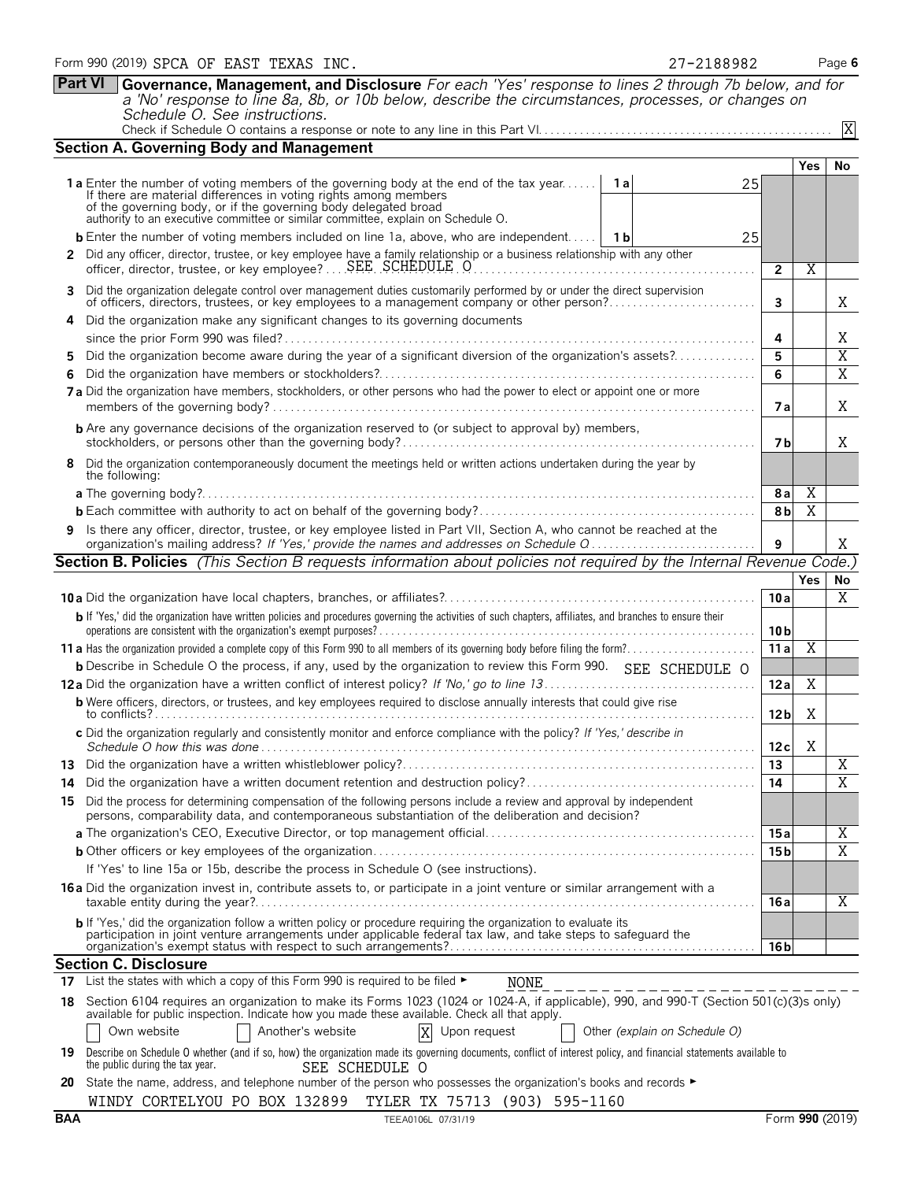|                                                                                                                                           | authority to an executive committee or similar committee, explain on Schedule O.                                                                                                                                                        |                 |                |                         |  |  |  |  |  |  |  |
|-------------------------------------------------------------------------------------------------------------------------------------------|-----------------------------------------------------------------------------------------------------------------------------------------------------------------------------------------------------------------------------------------|-----------------|----------------|-------------------------|--|--|--|--|--|--|--|
|                                                                                                                                           | <b>b</b> Enter the number of voting members included on line 1a, above, who are independent<br>- 1 bl<br>25                                                                                                                             |                 |                |                         |  |  |  |  |  |  |  |
| $\mathbf{2}$                                                                                                                              | Did any officer, director, trustee, or key employee have a family relationship or a business relationship with any other<br>officer, director, trustee, or key employee? SEE SCHEDULE O                                                 | $\mathbf{2}$    | Χ              |                         |  |  |  |  |  |  |  |
| 3                                                                                                                                         | Did the organization delegate control over management duties customarily performed by or under the direct supervision of officers, directors, trustees, or key employees to a management company or other person?                       | 3               |                | X                       |  |  |  |  |  |  |  |
| 4                                                                                                                                         | Did the organization make any significant changes to its governing documents                                                                                                                                                            |                 |                |                         |  |  |  |  |  |  |  |
|                                                                                                                                           |                                                                                                                                                                                                                                         | 4               |                | Χ                       |  |  |  |  |  |  |  |
| 5                                                                                                                                         | Did the organization become aware during the year of a significant diversion of the organization's assets?                                                                                                                              |                 |                |                         |  |  |  |  |  |  |  |
| 6                                                                                                                                         |                                                                                                                                                                                                                                         | 6               |                | X                       |  |  |  |  |  |  |  |
|                                                                                                                                           | 7 a Did the organization have members, stockholders, or other persons who had the power to elect or appoint one or more                                                                                                                 | 7а              |                | X                       |  |  |  |  |  |  |  |
| <b>b</b> Are any governance decisions of the organization reserved to (or subject to approval by) members,                                |                                                                                                                                                                                                                                         |                 |                |                         |  |  |  |  |  |  |  |
| Did the organization contemporaneously document the meetings held or written actions undertaken during the year by<br>8<br>the following: |                                                                                                                                                                                                                                         |                 |                |                         |  |  |  |  |  |  |  |
|                                                                                                                                           |                                                                                                                                                                                                                                         | 8a              | Χ              |                         |  |  |  |  |  |  |  |
|                                                                                                                                           |                                                                                                                                                                                                                                         | 8 <sub>b</sub>  | Χ              |                         |  |  |  |  |  |  |  |
| 9                                                                                                                                         | Is there any officer, director, trustee, or key employee listed in Part VII, Section A, who cannot be reached at the                                                                                                                    |                 |                |                         |  |  |  |  |  |  |  |
|                                                                                                                                           | organization's mailing address? If 'Yes,' provide the names and addresses on Schedule Q                                                                                                                                                 | 9               |                | X                       |  |  |  |  |  |  |  |
|                                                                                                                                           | <b>Section B. Policies</b> (This Section B requests information about policies not required by the Internal Revenue Code.)                                                                                                              |                 |                |                         |  |  |  |  |  |  |  |
|                                                                                                                                           |                                                                                                                                                                                                                                         |                 | <b>Yes</b>     | No                      |  |  |  |  |  |  |  |
|                                                                                                                                           |                                                                                                                                                                                                                                         | 10a             |                | X                       |  |  |  |  |  |  |  |
|                                                                                                                                           | b If 'Yes,' did the organization have written policies and procedures governing the activities of such chapters, affiliates, and branches to ensure their                                                                               | 10 <sub>b</sub> |                |                         |  |  |  |  |  |  |  |
|                                                                                                                                           |                                                                                                                                                                                                                                         | 11a             | $\overline{X}$ |                         |  |  |  |  |  |  |  |
|                                                                                                                                           | <b>b</b> Describe in Schedule O the process, if any, used by the organization to review this Form 990. SEE SCHEDULE O                                                                                                                   |                 |                |                         |  |  |  |  |  |  |  |
|                                                                                                                                           |                                                                                                                                                                                                                                         | 12a             | Χ              |                         |  |  |  |  |  |  |  |
|                                                                                                                                           | <b>b</b> Were officers, directors, or trustees, and key employees required to disclose annually interests that could give rise                                                                                                          | 12 <sub>b</sub> | Χ              |                         |  |  |  |  |  |  |  |
|                                                                                                                                           | c Did the organization regularly and consistently monitor and enforce compliance with the policy? If 'Yes,' describe in                                                                                                                 | 12c             | X              |                         |  |  |  |  |  |  |  |
|                                                                                                                                           |                                                                                                                                                                                                                                         | 13              |                | Χ                       |  |  |  |  |  |  |  |
| 14                                                                                                                                        |                                                                                                                                                                                                                                         | 14              |                | $\overline{\mathrm{X}}$ |  |  |  |  |  |  |  |
| 15                                                                                                                                        | Did the process for determining compensation of the following persons include a review and approval by independent<br>persons, comparability data, and contemporaneous substantiation of the deliberation and decision?                 |                 |                |                         |  |  |  |  |  |  |  |
|                                                                                                                                           |                                                                                                                                                                                                                                         | 15a             |                | Χ                       |  |  |  |  |  |  |  |
|                                                                                                                                           |                                                                                                                                                                                                                                         | 15 b            |                | $\overline{X}$          |  |  |  |  |  |  |  |
|                                                                                                                                           | If 'Yes' to line 15a or 15b, describe the process in Schedule O (see instructions).                                                                                                                                                     |                 |                |                         |  |  |  |  |  |  |  |
|                                                                                                                                           | 16 a Did the organization invest in, contribute assets to, or participate in a joint venture or similar arrangement with a                                                                                                              | 16 a            |                | Χ                       |  |  |  |  |  |  |  |
|                                                                                                                                           | b If 'Yes,' did the organization follow a written policy or procedure requiring the organization to evaluate its                                                                                                                        |                 |                |                         |  |  |  |  |  |  |  |
|                                                                                                                                           | participation in joint venture arrangements under applicable federal tax law, and take steps to safequard the                                                                                                                           | 16 b            |                |                         |  |  |  |  |  |  |  |
|                                                                                                                                           | <b>Section C. Disclosure</b>                                                                                                                                                                                                            |                 |                |                         |  |  |  |  |  |  |  |
|                                                                                                                                           | 17 List the states with which a copy of this Form 990 is required to be filed $\blacktriangleright$<br>NONE                                                                                                                             |                 |                |                         |  |  |  |  |  |  |  |
| 18                                                                                                                                        | Section 6104 requires an organization to make its Forms 1023 (1024 or 1024-A, if applicable), 990, and 990-T (Section 501(c)(3)s only)<br>available for public inspection. Indicate how you made these available. Check all that apply. |                 |                |                         |  |  |  |  |  |  |  |
|                                                                                                                                           | Another's website<br>Own website<br>X<br>Upon request<br>Other (explain on Schedule O)                                                                                                                                                  |                 |                |                         |  |  |  |  |  |  |  |
| 19                                                                                                                                        | Describe on Schedule O whether (and if so, how) the organization made its governing documents, conflict of interest policy, and financial statements available to<br>the public during the tax year.<br>SEE SCHEDULE O                  |                 |                |                         |  |  |  |  |  |  |  |
| 20                                                                                                                                        | State the name, address, and telephone number of the person who possesses the organization's books and records ►                                                                                                                        |                 |                |                         |  |  |  |  |  |  |  |
|                                                                                                                                           | TYLER TX 75713 (903) 595-1160<br>WINDY CORTELYOU PO BOX 132899                                                                                                                                                                          |                 |                |                         |  |  |  |  |  |  |  |
| <b>BAA</b>                                                                                                                                | TEEA0106L 07/31/19                                                                                                                                                                                                                      |                 |                | Form 990 (2019)         |  |  |  |  |  |  |  |

### Form 990 (2019) Page **6** SPCA OF EAST TEXAS INC. 27-2188982

**Section A. Governing Body and Management**

**Part VI Governance, Management, and Disclosure** *For each 'Yes' response to lines 2 through 7b below, and for a 'No' response to line 8a, 8b, or 10b below, describe the circumstances, processes, or changes on Schedule O. See instructions.*

|--|--|

1 **a** Enter the number of voting members of the governing body at the end of the tax year...... 1 **a**<br>If there are material differences in voting rights among members<br>of the governing body, or if the governing body delegat

25

X

**Yes No**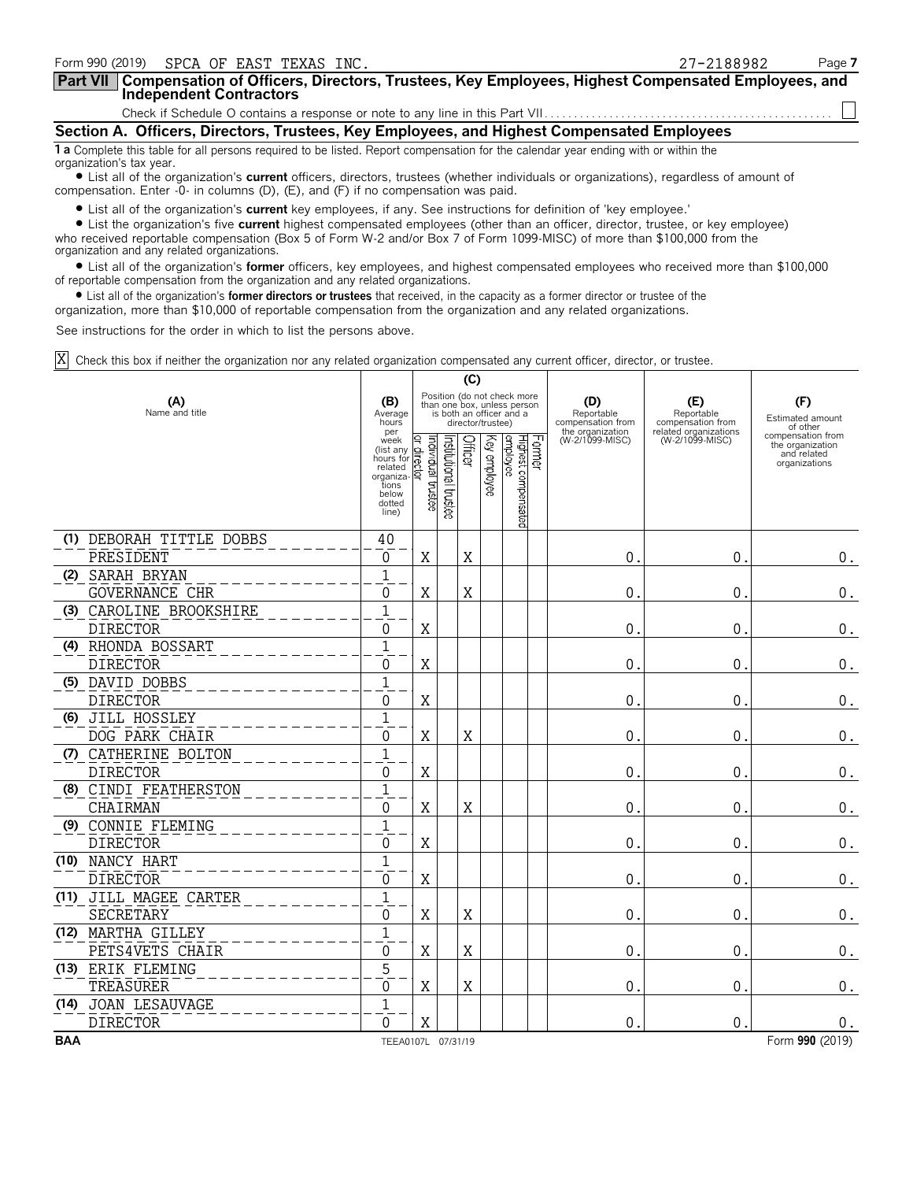| Form 990 (2019) SPCA OF EAST TEXAS INC.                                                                                                                                                                                                                                                                                              | 27-2188982                                                                                 | Page 7 |  |  |  |  |  |  |  |
|--------------------------------------------------------------------------------------------------------------------------------------------------------------------------------------------------------------------------------------------------------------------------------------------------------------------------------------|--------------------------------------------------------------------------------------------|--------|--|--|--|--|--|--|--|
| Part VII   Compensation of Officers, Directors, Trustees, Key Employees, Highest Compensated Employees, and<br>Independent Contractors                                                                                                                                                                                               |                                                                                            |        |  |  |  |  |  |  |  |
|                                                                                                                                                                                                                                                                                                                                      |                                                                                            |        |  |  |  |  |  |  |  |
|                                                                                                                                                                                                                                                                                                                                      | Section A. Officers, Directors, Trustees, Key Employees, and Highest Compensated Employees |        |  |  |  |  |  |  |  |
| <b>1 a</b> Complete this table for all persons required to be listed. Report compensation for the calendar year ending with or within the<br>organization's tax year.<br>الموالد ويستحركم ومعالمهمهم المعامنا ومتعموم ومراحات المارات المواطن والمعارب والمستحيل والمستحدث والمواطنا والمستحد والمعالم والمستحدث والمستحدث والمستحار |                                                                                            |        |  |  |  |  |  |  |  |

? List all of the organization's **current** officers, directors, trustees (whether individuals or organizations), regardless of amount of compensation. Enter -0- in columns (D), (E), and (F) if no compensation was paid.

? List all of the organization's **current** key employees, if any. See instructions for definition of 'key employee.'

? List the organization's five **current** highest compensated employees (other than an officer, director, trustee, or key employee) who received reportable compensation (Box 5 of Form W-2 and/or Box 7 of Form 1099-MISC) of more than \$100,000 from the organization and any related organizations.

? List all of the organization's **former** officers, key employees, and highest compensated employees who received more than \$100,000 of reportable compensation from the organization and any related organizations.

? List all of the organization's **former directors or trustees** that received, in the capacity as a former director or trustee of the

organization, more than \$10,000 of reportable compensation from the organization and any related organizations.

See instructions for the order in which to list the persons above.

Check this box if neither the organization nor any related organization compensated any current officer, director, or trustee. X

|            |                          |                                                                                            | (C)                             |                          |         |                   |                                                            |                                                            |                                                                 |                                                                       |
|------------|--------------------------|--------------------------------------------------------------------------------------------|---------------------------------|--------------------------|---------|-------------------|------------------------------------------------------------|------------------------------------------------------------|-----------------------------------------------------------------|-----------------------------------------------------------------------|
|            | (A)<br>Name and title    | (B)<br>Average<br>hours<br>per                                                             |                                 | is both an officer and a |         | director/trustee) | Position (do not check more<br>than one box, unless person | (D)<br>Reportable<br>compensation from<br>the organization | (E)<br>Reportable<br>compensation from<br>related organizations | (F)<br>Estimated amount<br>of other                                   |
|            |                          | week<br>(list any<br>hours for<br>related<br>organiza<br>tions<br>below<br>dotted<br>line) | easru jenpivipuj<br>direct<br>g | Institutional trustee    | Officer | Key employee      | Former<br>Highest compensated<br>employee                  | (W-2/1099-MISC)                                            | (W-2/1099-MISC)                                                 | compensation from<br>the organization<br>and related<br>organizations |
|            | (1) DEBORAH TITTLE DOBBS | 40                                                                                         |                                 |                          |         |                   |                                                            |                                                            |                                                                 |                                                                       |
|            | PRESIDENT                | $\mathbf{0}$                                                                               | X                               |                          | X       |                   |                                                            | 0                                                          | 0                                                               | 0.                                                                    |
|            | (2) SARAH BRYAN          | $\mathbf 1$                                                                                |                                 |                          |         |                   |                                                            |                                                            |                                                                 |                                                                       |
|            | <b>GOVERNANCE CHR</b>    | $\Omega$                                                                                   | X                               |                          | X       |                   |                                                            | 0                                                          | 0                                                               | 0.                                                                    |
| (3)        | CAROLINE BROOKSHIRE      | $\overline{1}$                                                                             |                                 |                          |         |                   |                                                            |                                                            |                                                                 |                                                                       |
|            | <b>DIRECTOR</b>          | $\Omega$                                                                                   | X                               |                          |         |                   |                                                            | 0                                                          | 0                                                               | 0.                                                                    |
|            | (4) RHONDA BOSSART       | $\mathbf{1}$                                                                               |                                 |                          |         |                   |                                                            |                                                            |                                                                 |                                                                       |
|            | <b>DIRECTOR</b>          | $\Omega$                                                                                   | $\mathbf X$                     |                          |         |                   |                                                            | 0                                                          | $\mathbf 0$                                                     | $\boldsymbol{0}$ .                                                    |
|            | (5) DAVID DOBBS          | $\mathbf{1}$                                                                               |                                 |                          |         |                   |                                                            |                                                            |                                                                 |                                                                       |
|            | <b>DIRECTOR</b>          | $\Omega$                                                                                   | X                               |                          |         |                   |                                                            | 0                                                          | $\mathbf{0}$                                                    | 0.                                                                    |
|            | (6) JILL HOSSLEY         | $\mathbf{1}$                                                                               |                                 |                          |         |                   |                                                            |                                                            |                                                                 |                                                                       |
|            | DOG PARK CHAIR           | $\Omega$                                                                                   | X                               |                          | X       |                   |                                                            | 0                                                          | $\mathbf 0$                                                     | 0.                                                                    |
| (7)        | CATHERINE BOLTON         | $\overline{1}$                                                                             |                                 |                          |         |                   |                                                            |                                                            |                                                                 |                                                                       |
|            | <b>DIRECTOR</b>          | $\mathbf 0$                                                                                | Χ                               |                          |         |                   |                                                            | 0                                                          | $\mathbf 0$                                                     | $\boldsymbol{0}$ .                                                    |
|            | (8) CINDI FEATHERSTON    | $\overline{1}$                                                                             |                                 |                          |         |                   |                                                            |                                                            |                                                                 |                                                                       |
|            | CHAIRMAN                 | $\Omega$                                                                                   | X                               |                          | X       |                   |                                                            | 0                                                          | 0                                                               | 0.                                                                    |
|            | (9) CONNIE FLEMING       | $\overline{1}$                                                                             |                                 |                          |         |                   |                                                            |                                                            |                                                                 |                                                                       |
|            | <b>DIRECTOR</b>          | 0                                                                                          | $\rm X$                         |                          |         |                   |                                                            | 0                                                          | $\mathbf 0$                                                     | $0$ .                                                                 |
|            | (10) NANCY HART          | $\overline{1}$                                                                             |                                 |                          |         |                   |                                                            |                                                            |                                                                 |                                                                       |
|            | <b>DIRECTOR</b>          | 0                                                                                          | X                               |                          |         |                   |                                                            | 0                                                          | 0                                                               | $\mathbf 0$ .                                                         |
|            | (11) JILL MAGEE CARTER   | $\mathbf{1}$                                                                               |                                 |                          |         |                   |                                                            |                                                            |                                                                 |                                                                       |
|            | SECRETARY                | $\Omega$                                                                                   | X                               |                          | X       |                   |                                                            | 0                                                          | 0.                                                              | $0$ .                                                                 |
|            | (12) MARTHA GILLEY       | $\mathbf{1}$                                                                               |                                 |                          |         |                   |                                                            |                                                            |                                                                 |                                                                       |
|            | PETS4VETS CHAIR          | $\mathbf 0$                                                                                | X                               |                          | X       |                   |                                                            | 0                                                          | $\mathbf 0$                                                     | $\boldsymbol{0}$ .                                                    |
|            | (13) ERIK FLEMING        | 5                                                                                          |                                 |                          |         |                   |                                                            |                                                            |                                                                 |                                                                       |
|            | TREASURER                | 0                                                                                          | X                               |                          | X       |                   |                                                            | 0                                                          | $\Omega$                                                        | 0.                                                                    |
|            | (14) JOAN LESAUVAGE      | $\mathbf{1}$                                                                               |                                 |                          |         |                   |                                                            |                                                            |                                                                 |                                                                       |
|            | <b>DIRECTOR</b>          | $\Omega$                                                                                   | X                               |                          |         |                   |                                                            | 0                                                          | $\overline{0}$                                                  | 0.                                                                    |
| <b>BAA</b> |                          | TEEA0107L 07/31/19                                                                         |                                 |                          |         |                   |                                                            |                                                            |                                                                 | Form 990 (2019)                                                       |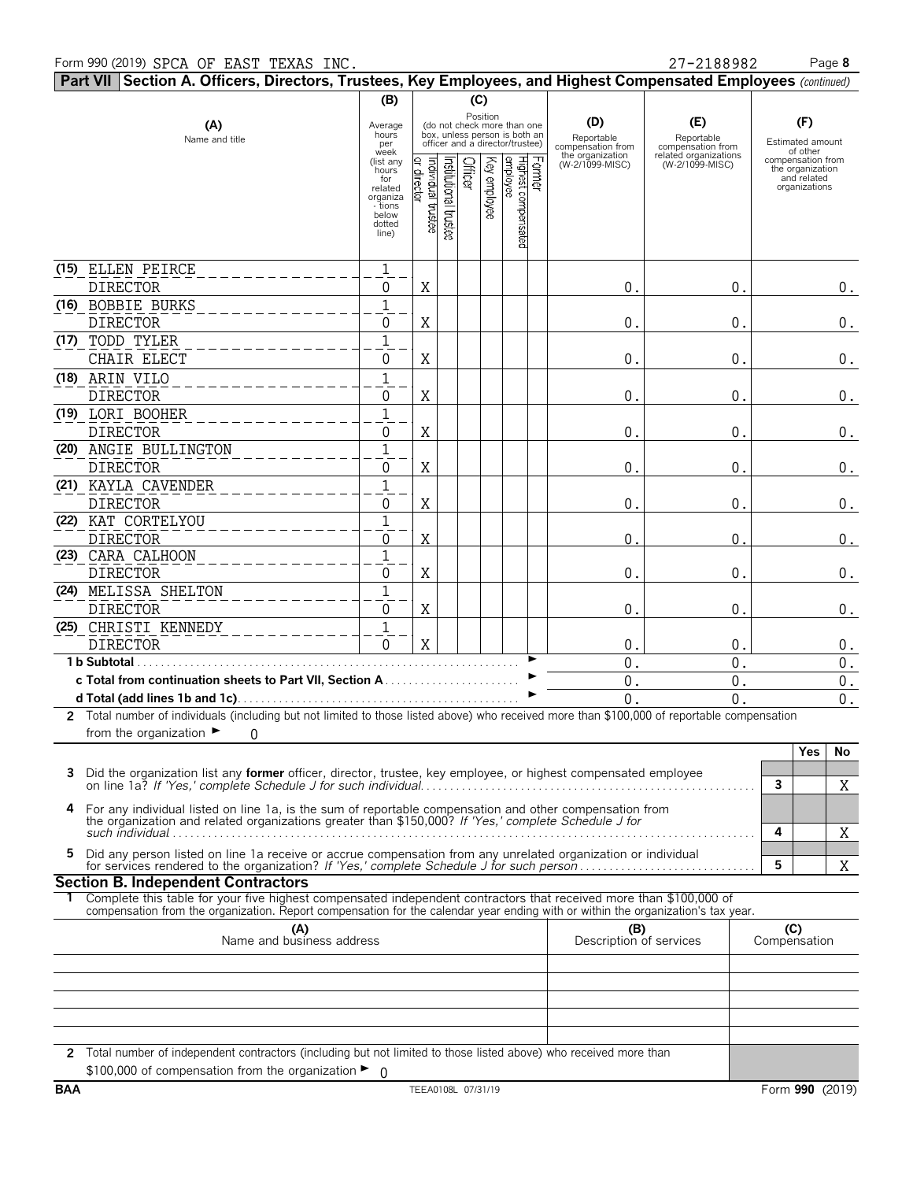### Form 990 (2019) Page **8** SPCA OF EAST TEXAS INC. 27-2188982

|                       | Part VII Section A. Officers, Directors, Trustees, Key Employees, and Highest Compensated Employees (continued)                                                                                                                                        |                                                                                         |                        |                      |         |              |                                                                                                             |        |                                        |                                          |   |                                                                       |
|-----------------------|--------------------------------------------------------------------------------------------------------------------------------------------------------------------------------------------------------------------------------------------------------|-----------------------------------------------------------------------------------------|------------------------|----------------------|---------|--------------|-------------------------------------------------------------------------------------------------------------|--------|----------------------------------------|------------------------------------------|---|-----------------------------------------------------------------------|
|                       |                                                                                                                                                                                                                                                        | (B)                                                                                     |                        |                      | (C)     |              |                                                                                                             |        |                                        |                                          |   |                                                                       |
| (A)<br>Name and title |                                                                                                                                                                                                                                                        | Average<br>hours<br>per<br>week                                                         |                        |                      |         |              | Position<br>(do not check more than one<br>box, unless person is both an<br>officer and a director/trustee) |        | (D)<br>Reportable<br>compensation from | (E)<br>Reportable<br>compensation from   |   | (F)<br>Estimated amount<br>of other                                   |
|                       |                                                                                                                                                                                                                                                        | (list any<br>hours<br>for<br>related<br>organiza<br>- tions<br>below<br>dotted<br>line) | ndividual trustee<br>₽ | hstitutional trustee | Officer | Key employee | employee<br>Highest compensated                                                                             | Former | the organization<br>(W-2/1099-MISC)    | related organizations<br>(W-2/1099-MISC) |   | compensation from<br>the organization<br>and related<br>organizations |
|                       |                                                                                                                                                                                                                                                        |                                                                                         |                        |                      |         |              |                                                                                                             |        |                                        |                                          |   |                                                                       |
|                       | (15) ELLEN PEIRCE                                                                                                                                                                                                                                      | $\mathbf{1}$                                                                            |                        |                      |         |              |                                                                                                             |        |                                        |                                          |   |                                                                       |
|                       | <b>DIRECTOR</b>                                                                                                                                                                                                                                        | 0                                                                                       | Χ                      |                      |         |              |                                                                                                             |        | 0.                                     | $0$ .                                    |   | $0$ .                                                                 |
|                       | (16) BOBBIE BURKS<br><b>DIRECTOR</b>                                                                                                                                                                                                                   | $\overline{1}$<br>0                                                                     | Χ                      |                      |         |              |                                                                                                             |        | 0.                                     | $0$ .                                    |   | $0$ .                                                                 |
|                       | (17) TODD TYLER<br>CHAIR ELECT                                                                                                                                                                                                                         | $\mathbf{1}$<br>0                                                                       | X                      |                      |         |              |                                                                                                             |        | 0.                                     | 0.                                       |   | 0.                                                                    |
|                       | (18) ARIN VILO<br><b>DIRECTOR</b>                                                                                                                                                                                                                      | $\mathbf{1}$<br>0                                                                       | X                      |                      |         |              |                                                                                                             |        | 0.                                     | 0.                                       |   | $0$ .                                                                 |
|                       | (19) LORI BOOHER<br><b>DIRECTOR</b>                                                                                                                                                                                                                    | $\mathbf{1}$<br>0                                                                       | X                      |                      |         |              |                                                                                                             |        | 0.                                     | 0.                                       |   | $0$ .                                                                 |
|                       | (20) ANGIE BULLINGTON                                                                                                                                                                                                                                  | $\mathbf{1}$                                                                            |                        |                      |         |              |                                                                                                             |        |                                        |                                          |   |                                                                       |
|                       | <b>DIRECTOR</b><br>(21) KAYLA CAVENDER                                                                                                                                                                                                                 | 0<br>$\mathbf{1}$                                                                       | Χ                      |                      |         |              |                                                                                                             |        | 0.                                     | 0.                                       |   | $0$ .                                                                 |
|                       | <b>DIRECTOR</b>                                                                                                                                                                                                                                        | 0                                                                                       | X                      |                      |         |              |                                                                                                             |        | 0.                                     | 0.                                       |   | $0$ .                                                                 |
|                       | (22) KAT CORTELYOU                                                                                                                                                                                                                                     | $\mathbf{1}$                                                                            |                        |                      |         |              |                                                                                                             |        |                                        |                                          |   |                                                                       |
|                       | <b>DIRECTOR</b><br>(23) CARA CALHOON                                                                                                                                                                                                                   | 0<br>1                                                                                  | X                      |                      |         |              |                                                                                                             |        | $\mathbf{0}$                           | $0$ .                                    |   | 0.                                                                    |
|                       | <b>DIRECTOR</b>                                                                                                                                                                                                                                        | 0                                                                                       | X                      |                      |         |              |                                                                                                             |        | 0.                                     | $0$ .                                    |   | $0$ .                                                                 |
|                       | (24) MELISSA SHELTON<br><b>DIRECTOR</b>                                                                                                                                                                                                                | $\mathbf{1}$<br>0                                                                       | X                      |                      |         |              |                                                                                                             |        | 0.                                     | $0$ .                                    |   | 0.                                                                    |
|                       | (25) CHRISTI KENNEDY                                                                                                                                                                                                                                   | $\mathbf{1}$                                                                            |                        |                      |         |              |                                                                                                             |        |                                        |                                          |   |                                                                       |
|                       | <b>DIRECTOR</b>                                                                                                                                                                                                                                        | $\Omega$                                                                                | $\mathbf X$            |                      |         |              |                                                                                                             |        | 0.                                     | $0$ .                                    |   | $\boldsymbol{0}$ .                                                    |
|                       |                                                                                                                                                                                                                                                        |                                                                                         |                        |                      |         |              |                                                                                                             |        | 0.                                     | 0.                                       |   | $\mathbf 0$ .                                                         |
|                       |                                                                                                                                                                                                                                                        |                                                                                         |                        |                      |         |              |                                                                                                             |        | $0$ .                                  | 0.                                       |   | $0$ .                                                                 |
|                       | 2 Total number of individuals (including but not limited to those listed above) who received more than \$100,000 of reportable compensation                                                                                                            |                                                                                         |                        |                      |         |              |                                                                                                             |        | $\overline{0}$ .                       | 0.                                       |   | $0$ .                                                                 |
|                       | from the organization $\blacktriangleright$<br>$\Omega$                                                                                                                                                                                                |                                                                                         |                        |                      |         |              |                                                                                                             |        |                                        |                                          |   |                                                                       |
|                       |                                                                                                                                                                                                                                                        |                                                                                         |                        |                      |         |              |                                                                                                             |        |                                        |                                          |   | Yes<br>No                                                             |
|                       | Did the organization list any former officer, director, trustee, key employee, or highest compensated employee                                                                                                                                         |                                                                                         |                        |                      |         |              |                                                                                                             |        |                                        |                                          | 3 | Χ                                                                     |
| 4                     | For any individual listed on line 1a, is the sum of reportable compensation and other compensation from<br>the organization and related organizations greater than \$150,000? If 'Yes,' complete Schedule J for                                        |                                                                                         |                        |                      |         |              |                                                                                                             |        |                                        |                                          | 4 | X                                                                     |
| 5.                    | Did any person listed on line 1a receive or accrue compensation from any unrelated organization or individual                                                                                                                                          |                                                                                         |                        |                      |         |              |                                                                                                             |        |                                        |                                          | 5 | X                                                                     |
|                       | <b>Section B. Independent Contractors</b>                                                                                                                                                                                                              |                                                                                         |                        |                      |         |              |                                                                                                             |        |                                        |                                          |   |                                                                       |
|                       | Complete this table for your five highest compensated independent contractors that received more than \$100,000 of<br>compensation from the organization. Report compensation for the calendar year ending with or within the organization's tax year. |                                                                                         |                        |                      |         |              |                                                                                                             |        |                                        |                                          |   |                                                                       |
|                       | (A)<br>Name and business address                                                                                                                                                                                                                       |                                                                                         |                        |                      |         |              |                                                                                                             |        | (B)<br>Description of services         |                                          |   | (C)<br>Compensation                                                   |
|                       |                                                                                                                                                                                                                                                        |                                                                                         |                        |                      |         |              |                                                                                                             |        |                                        |                                          |   |                                                                       |
|                       |                                                                                                                                                                                                                                                        |                                                                                         |                        |                      |         |              |                                                                                                             |        |                                        |                                          |   |                                                                       |
|                       |                                                                                                                                                                                                                                                        |                                                                                         |                        |                      |         |              |                                                                                                             |        |                                        |                                          |   |                                                                       |
|                       |                                                                                                                                                                                                                                                        |                                                                                         |                        |                      |         |              |                                                                                                             |        |                                        |                                          |   |                                                                       |
|                       | 2 Total number of independent contractors (including but not limited to those listed above) who received more than<br>\$100,000 of compensation from the organization $\blacktriangleright$ 0                                                          |                                                                                         |                        |                      |         |              |                                                                                                             |        |                                        |                                          |   |                                                                       |
|                       |                                                                                                                                                                                                                                                        |                                                                                         |                        |                      |         |              |                                                                                                             |        |                                        |                                          |   |                                                                       |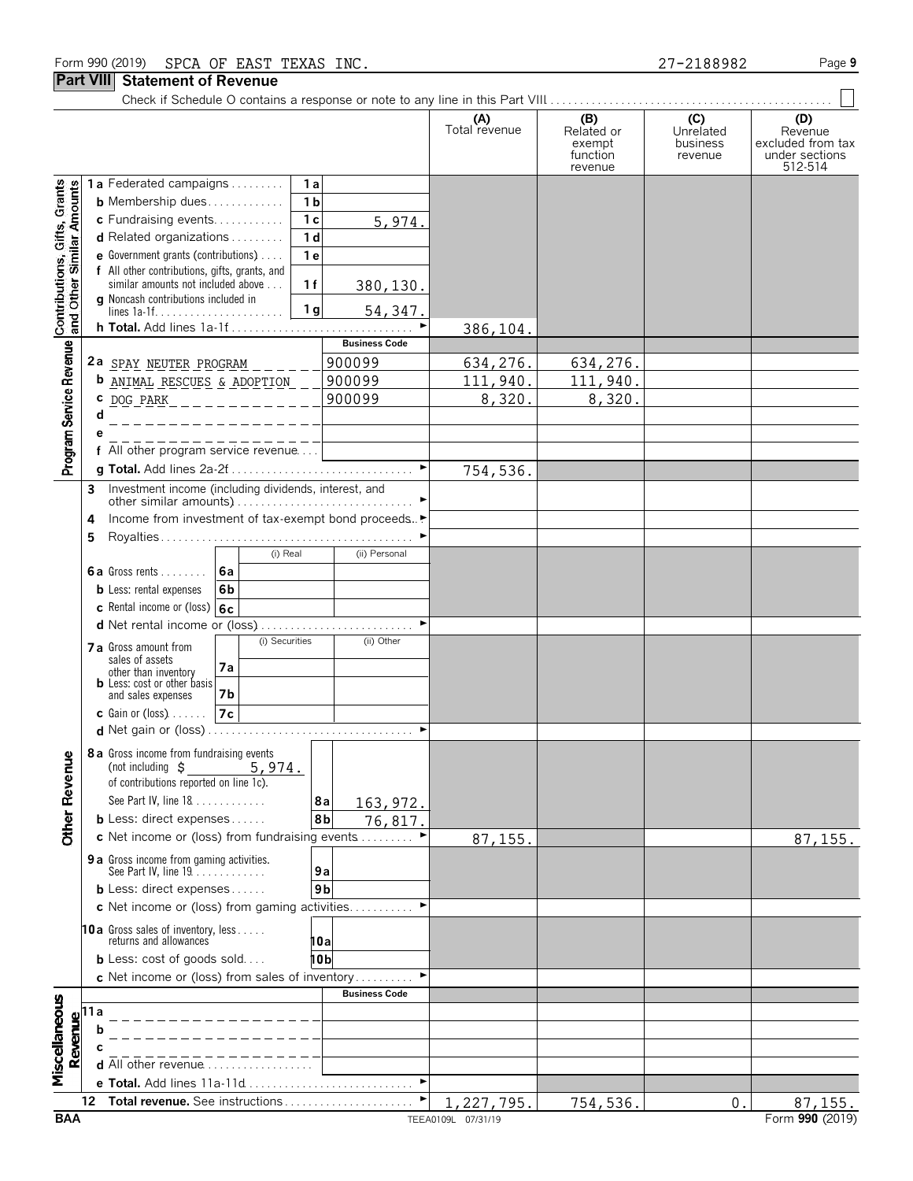### Form 990 (2019) Page **9** SPCA OF EAST TEXAS INC. 27-2188982

## **Part VIII Statement of Revenue**

Check if Schedule O contains a response or note to any line in this Part VIII. . . . . . . . . . . . . . . . . . . . . . . . . . . . . . . . . . . . . . . . . . . . . . . . .

|                                                           |      |                                                                                                                                                                                                                                                                                                                                                                                                                      |                |                |                      |                           | (A)<br>Total revenue             | (B)<br>Related or    | (C)<br>Unrelated    | (D)<br>Revenue                      |
|-----------------------------------------------------------|------|----------------------------------------------------------------------------------------------------------------------------------------------------------------------------------------------------------------------------------------------------------------------------------------------------------------------------------------------------------------------------------------------------------------------|----------------|----------------|----------------------|---------------------------|----------------------------------|----------------------|---------------------|-------------------------------------|
|                                                           |      |                                                                                                                                                                                                                                                                                                                                                                                                                      |                |                |                      |                           |                                  | exempt<br>function   | business<br>revenue | excluded from tax<br>under sections |
|                                                           |      | 1a Federated campaigns                                                                                                                                                                                                                                                                                                                                                                                               |                |                | 1a                   |                           |                                  | revenue              |                     | 512-514                             |
|                                                           |      | <b>b</b> Membership dues                                                                                                                                                                                                                                                                                                                                                                                             |                |                | 1 <sub>b</sub>       |                           |                                  |                      |                     |                                     |
| Contributions, Gifts, Grants<br>and Other Similar Amounts |      | c Fundraising events                                                                                                                                                                                                                                                                                                                                                                                                 |                |                | 1 <sub>c</sub>       | 5,974.                    |                                  |                      |                     |                                     |
|                                                           |      | d Related organizations                                                                                                                                                                                                                                                                                                                                                                                              |                |                | 1 <sub>d</sub>       |                           |                                  |                      |                     |                                     |
|                                                           |      | e Government grants (contributions)                                                                                                                                                                                                                                                                                                                                                                                  |                |                | 1e                   |                           |                                  |                      |                     |                                     |
|                                                           |      | f All other contributions, gifts, grants, and                                                                                                                                                                                                                                                                                                                                                                        |                |                |                      |                           |                                  |                      |                     |                                     |
|                                                           |      | similar amounts not included above<br>g Noncash contributions included in                                                                                                                                                                                                                                                                                                                                            |                |                | 1f                   | 380,130.                  |                                  |                      |                     |                                     |
|                                                           |      |                                                                                                                                                                                                                                                                                                                                                                                                                      |                |                | 1 <sub>g</sub>       | 54,347.                   |                                  |                      |                     |                                     |
|                                                           |      | h Total. Add lines 1a-1f                                                                                                                                                                                                                                                                                                                                                                                             |                |                |                      | ►<br><b>Business Code</b> | 386,104.                         |                      |                     |                                     |
| Program Service Revenue                                   |      |                                                                                                                                                                                                                                                                                                                                                                                                                      |                |                |                      | 900099                    |                                  |                      |                     |                                     |
|                                                           |      | 2a SPAY NEUTER PROGRAM                                                                                                                                                                                                                                                                                                                                                                                               |                |                |                      | 900099                    | 634,276.<br>111,940.             | 634,276.<br>111,940. |                     |                                     |
|                                                           | С    | <b>b</b> ANIMAL RESCUES & ADOPTION<br>$\overline{DOG}$ PARK $\overline{C}$ $\overline{C}$ $\overline{C}$ $\overline{C}$ $\overline{C}$ $\overline{C}$ $\overline{C}$ $\overline{C}$ $\overline{C}$ $\overline{C}$ $\overline{C}$ $\overline{C}$ $\overline{C}$ $\overline{C}$ $\overline{C}$ $\overline{C}$ $\overline{C}$ $\overline{C}$ $\overline{C}$ $\overline{C}$ $\overline{C}$ $\overline{C}$ $\overline{C}$ |                |                |                      | 900099                    | 8,320.                           | 8,320.               |                     |                                     |
|                                                           | d    |                                                                                                                                                                                                                                                                                                                                                                                                                      |                |                |                      |                           |                                  |                      |                     |                                     |
|                                                           |      |                                                                                                                                                                                                                                                                                                                                                                                                                      |                |                |                      |                           |                                  |                      |                     |                                     |
|                                                           |      | f All other program service revenue                                                                                                                                                                                                                                                                                                                                                                                  |                |                |                      |                           |                                  |                      |                     |                                     |
|                                                           |      |                                                                                                                                                                                                                                                                                                                                                                                                                      |                |                |                      | $\blacktriangleright$     | 754,536.                         |                      |                     |                                     |
|                                                           | 3    |                                                                                                                                                                                                                                                                                                                                                                                                                      |                |                |                      |                           |                                  |                      |                     |                                     |
|                                                           | 4    | Income from investment of tax-exempt bond proceeds▶                                                                                                                                                                                                                                                                                                                                                                  |                |                |                      |                           |                                  |                      |                     |                                     |
|                                                           | 5    |                                                                                                                                                                                                                                                                                                                                                                                                                      |                |                |                      |                           |                                  |                      |                     |                                     |
|                                                           |      |                                                                                                                                                                                                                                                                                                                                                                                                                      |                | (i) Real       |                      | (ii) Personal             |                                  |                      |                     |                                     |
|                                                           |      | <b>6a</b> Gross rents $\ldots$                                                                                                                                                                                                                                                                                                                                                                                       | 6a             |                |                      |                           |                                  |                      |                     |                                     |
|                                                           |      | <b>b</b> Less: rental expenses                                                                                                                                                                                                                                                                                                                                                                                       | 6 <sub>b</sub> |                |                      |                           |                                  |                      |                     |                                     |
|                                                           |      | c Rental income or (loss) $6c$                                                                                                                                                                                                                                                                                                                                                                                       |                |                |                      |                           |                                  |                      |                     |                                     |
|                                                           |      |                                                                                                                                                                                                                                                                                                                                                                                                                      |                |                |                      | $\blacktriangleright$     |                                  |                      |                     |                                     |
|                                                           |      | 7 a Gross amount from                                                                                                                                                                                                                                                                                                                                                                                                |                | (i) Securities |                      | (ii) Other                |                                  |                      |                     |                                     |
|                                                           |      | sales of assets<br>other than inventory                                                                                                                                                                                                                                                                                                                                                                              | 7a             |                |                      |                           |                                  |                      |                     |                                     |
|                                                           |      | <b>b</b> Less: cost or other basis<br>and sales expenses                                                                                                                                                                                                                                                                                                                                                             | 7b             |                |                      |                           |                                  |                      |                     |                                     |
|                                                           |      | $c$ Gain or (loss) $\ldots$ .                                                                                                                                                                                                                                                                                                                                                                                        | 7c             |                |                      |                           |                                  |                      |                     |                                     |
|                                                           |      |                                                                                                                                                                                                                                                                                                                                                                                                                      |                |                |                      |                           |                                  |                      |                     |                                     |
|                                                           |      | 8 a Gross income from fundraising events                                                                                                                                                                                                                                                                                                                                                                             |                |                |                      |                           |                                  |                      |                     |                                     |
| gmu                                                       |      | (not including $\sharp$                                                                                                                                                                                                                                                                                                                                                                                              |                | 5,974.         |                      |                           |                                  |                      |                     |                                     |
|                                                           |      | of contributions reported on line 1c).                                                                                                                                                                                                                                                                                                                                                                               |                |                |                      |                           |                                  |                      |                     |                                     |
| <b>Other Reve</b>                                         |      | See Part IV, line 18<br><b>b</b> Less: direct expenses                                                                                                                                                                                                                                                                                                                                                               |                |                | 8a<br>8 <sub>b</sub> | 163, 972.                 |                                  |                      |                     |                                     |
|                                                           |      | c Net income or (loss) from fundraising events                                                                                                                                                                                                                                                                                                                                                                       |                |                |                      | 76,817                    |                                  |                      |                     |                                     |
|                                                           |      |                                                                                                                                                                                                                                                                                                                                                                                                                      |                |                |                      |                           | 87,155.                          |                      |                     | 87,155.                             |
|                                                           |      | <b>9 a</b> Gross income from gaming activities.<br>See Part IV, line 19                                                                                                                                                                                                                                                                                                                                              |                |                | 9a                   |                           |                                  |                      |                     |                                     |
|                                                           |      | <b>b</b> Less: direct expenses                                                                                                                                                                                                                                                                                                                                                                                       |                |                | 9 <sub>b</sub>       |                           |                                  |                      |                     |                                     |
|                                                           |      | c Net income or (loss) from gaming activities                                                                                                                                                                                                                                                                                                                                                                        |                |                |                      |                           |                                  |                      |                     |                                     |
|                                                           |      | <b>10a</b> Gross sales of inventory, less<br>returns and allowances                                                                                                                                                                                                                                                                                                                                                  |                |                |                      |                           |                                  |                      |                     |                                     |
|                                                           |      |                                                                                                                                                                                                                                                                                                                                                                                                                      |                |                | l0a                  |                           |                                  |                      |                     |                                     |
|                                                           |      | <b>b</b> Less: cost of goods sold<br>c Net income or (loss) from sales of inventory                                                                                                                                                                                                                                                                                                                                  |                |                | 0b                   |                           |                                  |                      |                     |                                     |
|                                                           |      |                                                                                                                                                                                                                                                                                                                                                                                                                      |                |                |                      | <b>Business Code</b>      |                                  |                      |                     |                                     |
| Miscellaneous                                             | 11 a |                                                                                                                                                                                                                                                                                                                                                                                                                      |                |                |                      |                           |                                  |                      |                     |                                     |
| Revenue                                                   | b    |                                                                                                                                                                                                                                                                                                                                                                                                                      |                |                |                      |                           |                                  |                      |                     |                                     |
|                                                           | c    |                                                                                                                                                                                                                                                                                                                                                                                                                      |                |                |                      |                           |                                  |                      |                     |                                     |
|                                                           |      | d All other revenue                                                                                                                                                                                                                                                                                                                                                                                                  |                |                |                      |                           |                                  |                      |                     |                                     |
|                                                           |      | e Total. Add lines 11a-11d                                                                                                                                                                                                                                                                                                                                                                                           |                |                |                      | ▶                         |                                  |                      |                     |                                     |
| <b>BAA</b>                                                | 12   | Total revenue. See instructions                                                                                                                                                                                                                                                                                                                                                                                      |                |                |                      |                           | 1,227,795.<br>TEEA0109L 07/31/19 | <u>754,536.</u>      | $\mathbf 0$ .       | 87,155.<br>Form 990 (2019)          |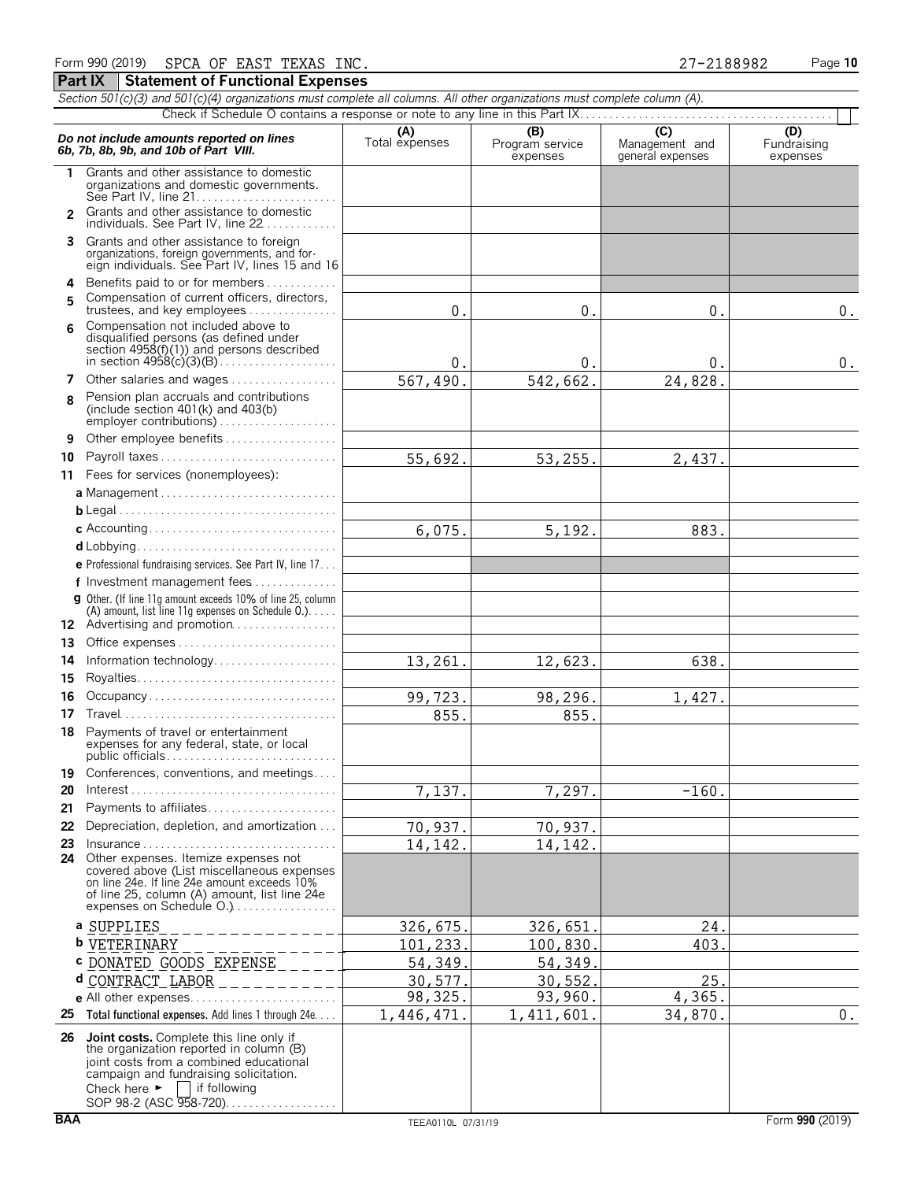| Section 501(c)(3) and 501(c)(4) organizations must complete all columns. All other organizations must complete column (A). |                                                                                                                                                                                                                             |                       |                             |                                    |                         |  |  |
|----------------------------------------------------------------------------------------------------------------------------|-----------------------------------------------------------------------------------------------------------------------------------------------------------------------------------------------------------------------------|-----------------------|-----------------------------|------------------------------------|-------------------------|--|--|
|                                                                                                                            | Do not include amounts reported on lines                                                                                                                                                                                    | (A)<br>Total expenses | (B)                         | $\overline{C}$                     | (D)                     |  |  |
|                                                                                                                            | 6b, 7b, 8b, 9b, and 10b of Part VIII.                                                                                                                                                                                       |                       | Program service<br>expenses | Management and<br>general expenses | Fundraising<br>expenses |  |  |
| 1                                                                                                                          | Grants and other assistance to domestic<br>organizations and domestic governments.                                                                                                                                          |                       |                             |                                    |                         |  |  |
| $\overline{2}$                                                                                                             | Grants and other assistance to domestic<br>individuals. See Part IV, line 22                                                                                                                                                |                       |                             |                                    |                         |  |  |
| 3                                                                                                                          | Grants and other assistance to foreign<br>organizations, foreign governments, and for-<br>eign individuals. See Part IV, lines 15 and 16                                                                                    |                       |                             |                                    |                         |  |  |
| 4<br>5                                                                                                                     | Benefits paid to or for members<br>Compensation of current officers, directors,<br>trustees, and key employees                                                                                                              | 0.                    | 0.                          | 0.                                 | $0$ .                   |  |  |
| 6                                                                                                                          | Compensation not included above to<br>disqualified persons (as defined under<br>section $4958(f)(1)$ and persons described                                                                                                  | 0.                    | 0.                          | $\mathbf 0$ .                      | $0$ .                   |  |  |
| 7                                                                                                                          | Other salaries and wages                                                                                                                                                                                                    | 567,490.              | 542,662.                    | 24,828.                            |                         |  |  |
| 8                                                                                                                          | Pension plan accruals and contributions<br>(include section $401(k)$ and $403(b)$<br>$\overline{\mathsf{em}}$ ployer contributions) $\ldots \ldots \ldots$                                                                  |                       |                             |                                    |                         |  |  |
| 9                                                                                                                          | Other employee benefits                                                                                                                                                                                                     |                       |                             |                                    |                         |  |  |
| 10                                                                                                                         |                                                                                                                                                                                                                             | 55,692.               | 53,255.                     | 2,437.                             |                         |  |  |
| 11                                                                                                                         | Fees for services (nonemployees):                                                                                                                                                                                           |                       |                             |                                    |                         |  |  |
|                                                                                                                            |                                                                                                                                                                                                                             |                       |                             |                                    |                         |  |  |
|                                                                                                                            |                                                                                                                                                                                                                             |                       |                             |                                    |                         |  |  |
|                                                                                                                            |                                                                                                                                                                                                                             | 6,075.                | 5,192.                      | 883.                               |                         |  |  |
|                                                                                                                            |                                                                                                                                                                                                                             |                       |                             |                                    |                         |  |  |
|                                                                                                                            | e Professional fundraising services. See Part IV, line 17                                                                                                                                                                   |                       |                             |                                    |                         |  |  |
|                                                                                                                            | f Investment management fees                                                                                                                                                                                                |                       |                             |                                    |                         |  |  |
|                                                                                                                            | g Other. (If line 11q amount exceeds 10% of line 25, column<br>(A) amount, list line 11g expenses on Schedule $0.$ )<br>12 Advertising and promotion                                                                        |                       |                             |                                    |                         |  |  |
| 13                                                                                                                         |                                                                                                                                                                                                                             |                       |                             |                                    |                         |  |  |
| 14                                                                                                                         | Information technology                                                                                                                                                                                                      | 13,261.               | 12,623.                     | 638.                               |                         |  |  |
| 15                                                                                                                         |                                                                                                                                                                                                                             |                       |                             |                                    |                         |  |  |
| 16                                                                                                                         | Occupancy                                                                                                                                                                                                                   | 99,723.               | 98,296.                     | 1,427.                             |                         |  |  |
| 17                                                                                                                         |                                                                                                                                                                                                                             | 855.                  | 855.                        |                                    |                         |  |  |
| 18                                                                                                                         | Payments of travel or entertainment<br>expenses for any federal, state, or local<br>public officials                                                                                                                        |                       |                             |                                    |                         |  |  |
| 19                                                                                                                         | Conferences, conventions, and meetings                                                                                                                                                                                      |                       |                             |                                    |                         |  |  |
| 20<br>21                                                                                                                   | Interest.<br>Payments to affiliates                                                                                                                                                                                         | 7,137.                | 7,297.                      | $-160.$                            |                         |  |  |
| 22                                                                                                                         | Depreciation, depletion, and amortization                                                                                                                                                                                   |                       |                             |                                    |                         |  |  |
| 23                                                                                                                         | $insurance \ldots \ldots \ldots \ldots \ldots \ldots \ldots \ldots \ldots \ldots$                                                                                                                                           | 70,937.<br>14, 142.   | 70,937.<br>14, 142.         |                                    |                         |  |  |
| 24                                                                                                                         | Other expenses. Itemize expenses not<br>covered above (List miscellaneous expenses<br>on line 24e. If line 24e amount exceeds 10%                                                                                           |                       |                             |                                    |                         |  |  |
|                                                                                                                            | of line 25, column (A) amount, list line 24e                                                                                                                                                                                |                       |                             |                                    |                         |  |  |
|                                                                                                                            | a SUPPLIES                                                                                                                                                                                                                  | 326,675               | 326,651                     | 24                                 |                         |  |  |
|                                                                                                                            | <b>b</b> VETERINARY                                                                                                                                                                                                         | 101,233.              | 100,830.                    | 403                                |                         |  |  |
|                                                                                                                            | <b>c</b> DONATED GOODS EXPENSE                                                                                                                                                                                              | 54,349.               | 54,349.                     |                                    |                         |  |  |
|                                                                                                                            | d CONTRACT LABOR                                                                                                                                                                                                            | 30,577.               | 30, 552.                    | 25                                 |                         |  |  |
|                                                                                                                            |                                                                                                                                                                                                                             | 98,325.               | 93,960.                     | 4,365.                             |                         |  |  |
|                                                                                                                            | 25 Total functional expenses. Add lines 1 through 24e                                                                                                                                                                       | 1,446,471.            | 1,411,601.                  | 34,870.                            | $0$ .                   |  |  |
| 26                                                                                                                         | Joint costs. Complete this line only if<br>the organization reported in column (B)<br>joint costs from a combined educational<br>campaign and fundraising solicitation.<br>Check here $\blacktriangleright$<br>if following |                       |                             |                                    |                         |  |  |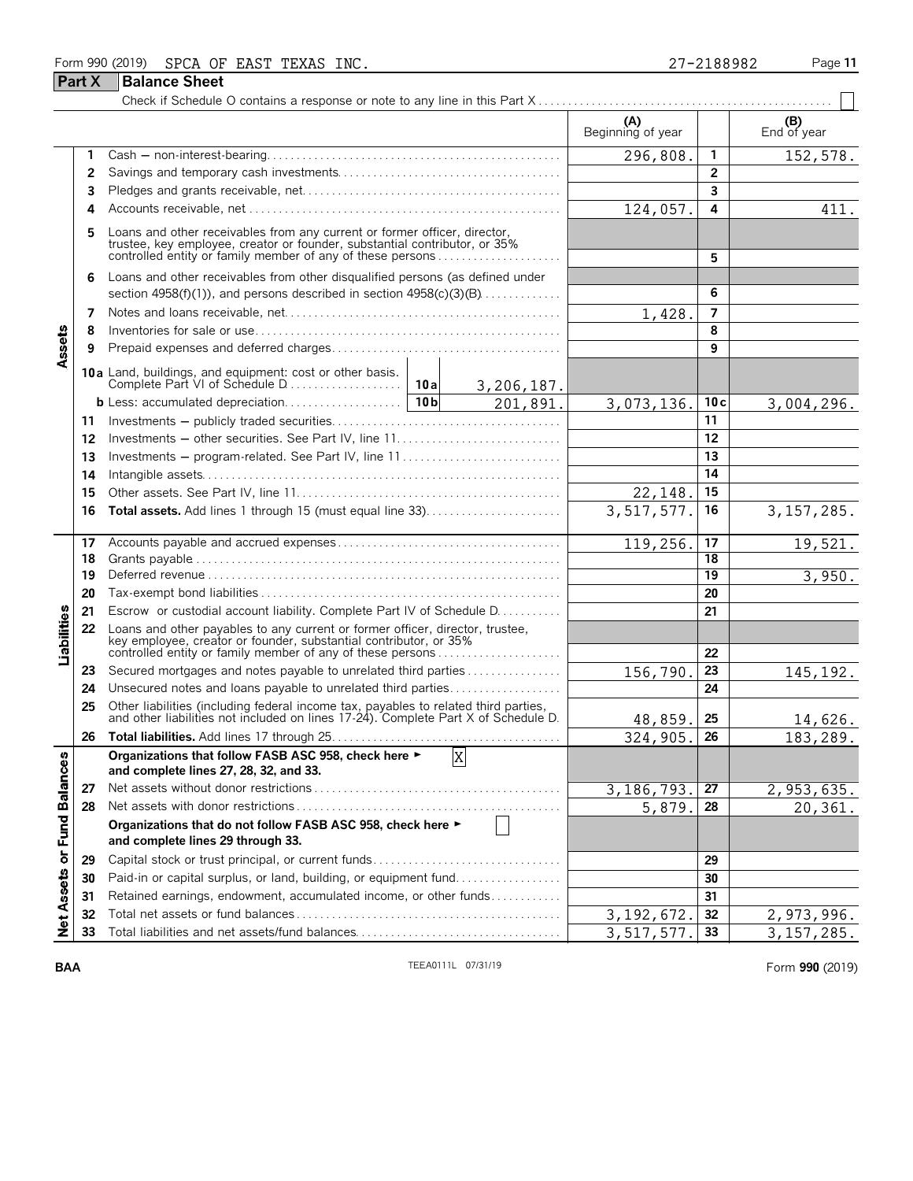## Form 990 (2019) Page **11** SPCA OF EAST TEXAS INC. 27-2188982 **Part X Balance Sheet**

|  | 27-2188982 |  |
|--|------------|--|
|  |            |  |

|                            |    |                                                                                                                                                                                                                  |                 |                 | (A)<br>Beginning of year |                         | (B)<br>End of year |
|----------------------------|----|------------------------------------------------------------------------------------------------------------------------------------------------------------------------------------------------------------------|-----------------|-----------------|--------------------------|-------------------------|--------------------|
|                            | 1  |                                                                                                                                                                                                                  |                 |                 | 296,808.                 | 1.                      | 152,578.           |
|                            | 2  |                                                                                                                                                                                                                  |                 |                 |                          | $\overline{2}$          |                    |
|                            | 3  |                                                                                                                                                                                                                  |                 |                 |                          | $\overline{\mathbf{3}}$ |                    |
|                            | 4  |                                                                                                                                                                                                                  |                 |                 | 124,057.                 | 4                       | 411.               |
|                            | 5  | Loans and other receivables from any current or former officer, director, trustee, key employee, creator or founder, substantial contributor, or 35% controlled entity or family member of any of these persons  |                 |                 |                          | 5                       |                    |
|                            | 6  | Loans and other receivables from other disqualified persons (as defined under<br>section 4958(f)(1)), and persons described in section $4958(c)(3)(B)$                                                           |                 |                 |                          | 6                       |                    |
|                            | 7  |                                                                                                                                                                                                                  |                 |                 | 1,428                    | $\overline{7}$          |                    |
|                            | 8  |                                                                                                                                                                                                                  |                 |                 |                          | 8                       |                    |
| Assets                     | 9  |                                                                                                                                                                                                                  |                 |                 |                          | 9                       |                    |
|                            |    | <b>10a</b> Land, buildings, and equipment: cost or other basis.<br>Complete Part VI of Schedule D                                                                                                                | 10a             | 3, 206, 187.    |                          |                         |                    |
|                            |    |                                                                                                                                                                                                                  | 10 <sub>b</sub> | 201,891.        | 3,073,136.               | 10c                     | 3,004,296.         |
|                            | 11 |                                                                                                                                                                                                                  |                 |                 |                          | 11                      |                    |
|                            | 12 |                                                                                                                                                                                                                  |                 |                 |                          | 12                      |                    |
|                            | 13 | Investments – program-related. See Part IV, line 11                                                                                                                                                              |                 |                 |                          | 13                      |                    |
|                            | 14 |                                                                                                                                                                                                                  |                 |                 |                          | 14                      |                    |
|                            | 15 |                                                                                                                                                                                                                  |                 |                 | 22,148                   | 15                      |                    |
|                            | 16 | Total assets. Add lines 1 through 15 (must equal line 33)                                                                                                                                                        |                 |                 | 3,517,577.               | 16                      | 3, 157, 285.       |
|                            | 17 |                                                                                                                                                                                                                  |                 |                 | 119,256                  | 17                      | 19,521.            |
|                            | 18 |                                                                                                                                                                                                                  |                 |                 | 18                       |                         |                    |
|                            | 19 |                                                                                                                                                                                                                  |                 | $\overline{19}$ | 3,950.                   |                         |                    |
|                            | 20 |                                                                                                                                                                                                                  |                 |                 |                          | 20                      |                    |
|                            | 21 | Escrow or custodial account liability. Complete Part IV of Schedule D.                                                                                                                                           |                 |                 |                          | 21                      |                    |
| Liabilities                | 22 | Loans and other payables to any current or former officer, director, trustee,<br>key employee, creator or founder, substantial contributor, or 35%<br>controlled entity or family member of any of these persons |                 |                 |                          | 22                      |                    |
|                            | 23 | Secured mortgages and notes payable to unrelated third parties                                                                                                                                                   |                 |                 | 156,790.                 | 23                      | 145, 192.          |
|                            | 24 | Unsecured notes and loans payable to unrelated third parties                                                                                                                                                     |                 |                 |                          | 24                      |                    |
|                            | 25 | Other liabilities (including federal income tax, payables to related third parties, and other liabilities not included on lines 17-24). Complete Part X of Schedule D.                                           |                 |                 | 48,859.                  | 25                      | 14,626.            |
|                            | 26 |                                                                                                                                                                                                                  |                 |                 | 324,905.                 | 26                      | 183,289.           |
| w                          |    | Organizations that follow FASB ASC 958, check here ►<br>and complete lines 27, 28, 32, and 33.                                                                                                                   |                 | $\mathbf X$     |                          |                         |                    |
|                            | 27 | Net assets without donor restrictions.                                                                                                                                                                           |                 |                 | 3, 186, 793.             | 27                      | 2,953,635.         |
|                            | 28 |                                                                                                                                                                                                                  |                 |                 | 5,879.                   | 28                      | 20,361.            |
| Net Assets or Fund Balance |    | Organizations that do not follow FASB ASC 958, check here ▶<br>and complete lines 29 through 33.                                                                                                                 |                 |                 |                          |                         |                    |
|                            | 29 | Capital stock or trust principal, or current funds                                                                                                                                                               |                 |                 |                          | 29                      |                    |
|                            | 30 | Paid-in or capital surplus, or land, building, or equipment fund                                                                                                                                                 |                 |                 |                          | 30                      |                    |
|                            | 31 | Retained earnings, endowment, accumulated income, or other funds                                                                                                                                                 |                 |                 |                          | 31                      |                    |
|                            | 32 |                                                                                                                                                                                                                  |                 |                 | 3, 192, 672.             | 32                      | 2,973,996.         |
|                            | 33 | Total liabilities and net assets/fund balances                                                                                                                                                                   |                 |                 | 3,517,577.               | 33                      | 3, 157, 285.       |

**BAA** TEEA0111L 07/31/19 Form **990** (2019)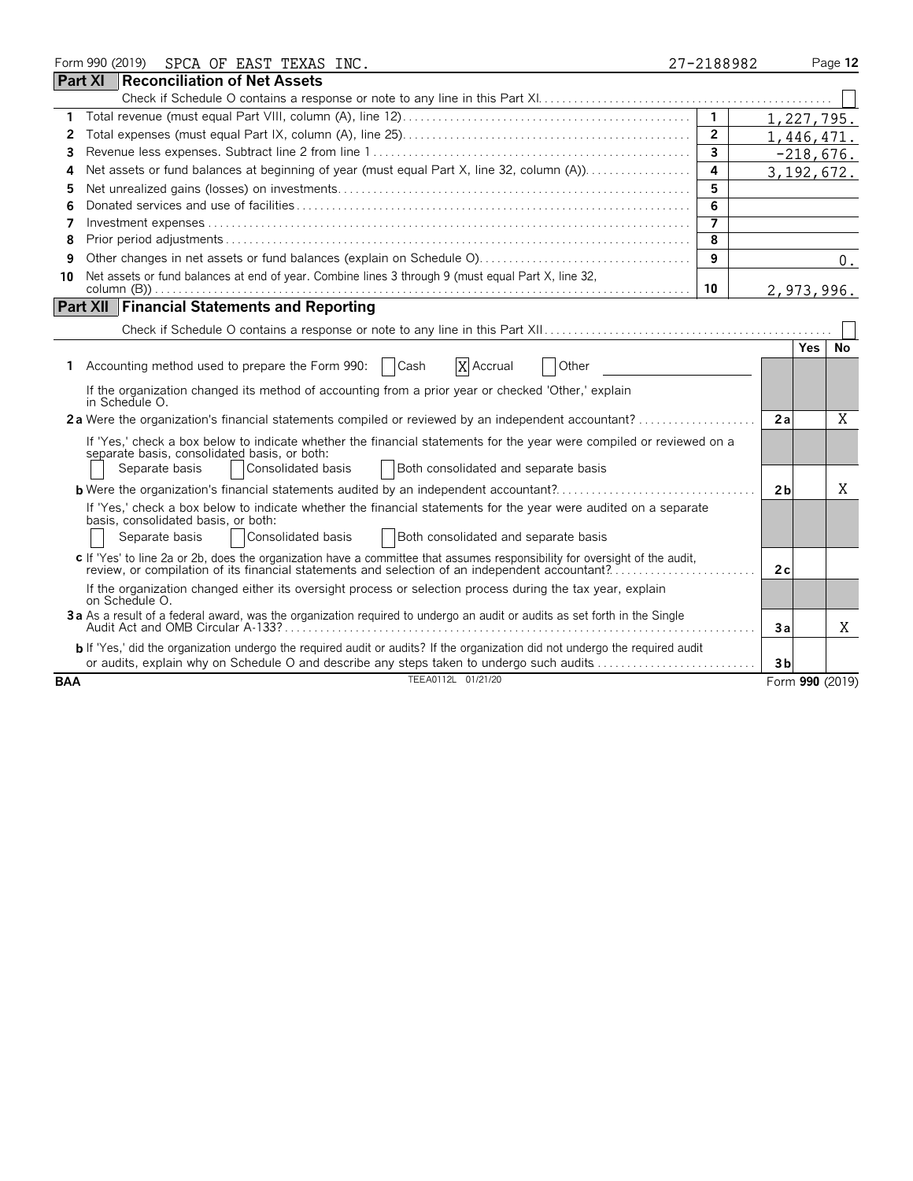|            |                | Form 990 (2019)                                                                                                                                                                                                               |  |  |                    | SPCA OF EAST TEXAS INC. |      |                                      |  |           |  |       |  |  | 27-2188982        |                |            | Page 12         |
|------------|----------------|-------------------------------------------------------------------------------------------------------------------------------------------------------------------------------------------------------------------------------|--|--|--------------------|-------------------------|------|--------------------------------------|--|-----------|--|-------|--|--|-------------------|----------------|------------|-----------------|
|            | <b>Part XI</b> | Reconciliation of Net Assets                                                                                                                                                                                                  |  |  |                    |                         |      |                                      |  |           |  |       |  |  |                   |                |            |                 |
|            |                |                                                                                                                                                                                                                               |  |  |                    |                         |      |                                      |  |           |  |       |  |  |                   |                |            |                 |
| 1.         |                |                                                                                                                                                                                                                               |  |  |                    |                         |      |                                      |  |           |  |       |  |  | $\mathbf{1}$      |                |            | 1,227,795.      |
| 2          |                |                                                                                                                                                                                                                               |  |  |                    |                         |      |                                      |  |           |  |       |  |  | $\overline{2}$    |                |            | 1,446,471.      |
| 3          |                |                                                                                                                                                                                                                               |  |  |                    |                         |      |                                      |  |           |  |       |  |  | 3                 |                |            | $-218,676.$     |
| 4          |                | Net assets or fund balances at beginning of year (must equal Part X, line 32, column (A))                                                                                                                                     |  |  |                    |                         |      |                                      |  |           |  |       |  |  | 4                 |                |            | 3, 192, 672.    |
| 5          |                |                                                                                                                                                                                                                               |  |  |                    |                         |      |                                      |  |           |  |       |  |  | 5                 |                |            |                 |
| 6          |                |                                                                                                                                                                                                                               |  |  |                    |                         |      |                                      |  |           |  |       |  |  | 6                 |                |            |                 |
| 7          |                |                                                                                                                                                                                                                               |  |  |                    |                         |      |                                      |  |           |  |       |  |  | $\overline{\tau}$ |                |            |                 |
| 8          |                |                                                                                                                                                                                                                               |  |  |                    |                         |      |                                      |  |           |  |       |  |  | 8                 |                |            |                 |
| 9          |                |                                                                                                                                                                                                                               |  |  |                    |                         |      |                                      |  |           |  |       |  |  | 9                 |                |            | 0.              |
| 10         |                | Net assets or fund balances at end of year. Combine lines 3 through 9 (must equal Part X, line 32,                                                                                                                            |  |  |                    |                         |      |                                      |  |           |  |       |  |  |                   |                |            |                 |
|            |                |                                                                                                                                                                                                                               |  |  |                    |                         |      |                                      |  |           |  |       |  |  | 10                |                |            | 2,973,996.      |
|            |                | <b>Part XII   Financial Statements and Reporting</b>                                                                                                                                                                          |  |  |                    |                         |      |                                      |  |           |  |       |  |  |                   |                |            |                 |
|            |                |                                                                                                                                                                                                                               |  |  |                    |                         |      |                                      |  |           |  |       |  |  |                   |                |            |                 |
|            |                |                                                                                                                                                                                                                               |  |  |                    |                         |      |                                      |  |           |  |       |  |  |                   |                | <b>Yes</b> | No              |
| Τ.         |                | Accounting method used to prepare the Form 990:                                                                                                                                                                               |  |  |                    |                         | Cash |                                      |  | X Accrual |  | Other |  |  |                   |                |            |                 |
|            |                | If the organization changed its method of accounting from a prior year or checked 'Other,' explain<br>in Schedule O.                                                                                                          |  |  |                    |                         |      |                                      |  |           |  |       |  |  |                   |                |            |                 |
|            |                | 2a Were the organization's financial statements compiled or reviewed by an independent accountant?                                                                                                                            |  |  |                    |                         |      |                                      |  |           |  |       |  |  |                   | 2a             |            | X               |
|            |                | If 'Yes,' check a box below to indicate whether the financial statements for the year were compiled or reviewed on a<br>separate basis, consolidated basis, or both:<br>Separate basis                                        |  |  | Consolidated basis |                         |      | Both consolidated and separate basis |  |           |  |       |  |  |                   |                |            |                 |
|            |                |                                                                                                                                                                                                                               |  |  |                    |                         |      |                                      |  |           |  |       |  |  |                   | 2 <sub>b</sub> |            | X               |
|            |                | If 'Yes,' check a box below to indicate whether the financial statements for the year were audited on a separate<br>basis, consolidated basis, or both:<br>Separate basis                                                     |  |  | Consolidated basis |                         |      | Both consolidated and separate basis |  |           |  |       |  |  |                   |                |            |                 |
|            |                | c If 'Yes' to line 2a or 2b, does the organization have a committee that assumes responsibility for oversight of the audit,<br>review, or compilation of its financial statements and selection of an independent accountant? |  |  |                    |                         |      |                                      |  |           |  |       |  |  |                   | 2c             |            |                 |
|            |                | If the organization changed either its oversight process or selection process during the tax year, explain<br>on Schedule O.                                                                                                  |  |  |                    |                         |      |                                      |  |           |  |       |  |  |                   |                |            |                 |
|            |                | 3a As a result of a federal award, was the organization required to undergo an audit or audits as set forth in the Single                                                                                                     |  |  |                    |                         |      |                                      |  |           |  |       |  |  |                   | Зa             |            | X               |
|            |                | b If 'Yes,' did the organization undergo the required audit or audits? If the organization did not undergo the required audit<br>or audits, explain why on Schedule O and describe any steps taken to undergo such audits     |  |  |                    |                         |      |                                      |  |           |  |       |  |  |                   | 3 <sub>b</sub> |            |                 |
| <b>BAA</b> |                |                                                                                                                                                                                                                               |  |  |                    |                         |      | TEEA0112L 01/21/20                   |  |           |  |       |  |  |                   |                |            | Form 990 (2019) |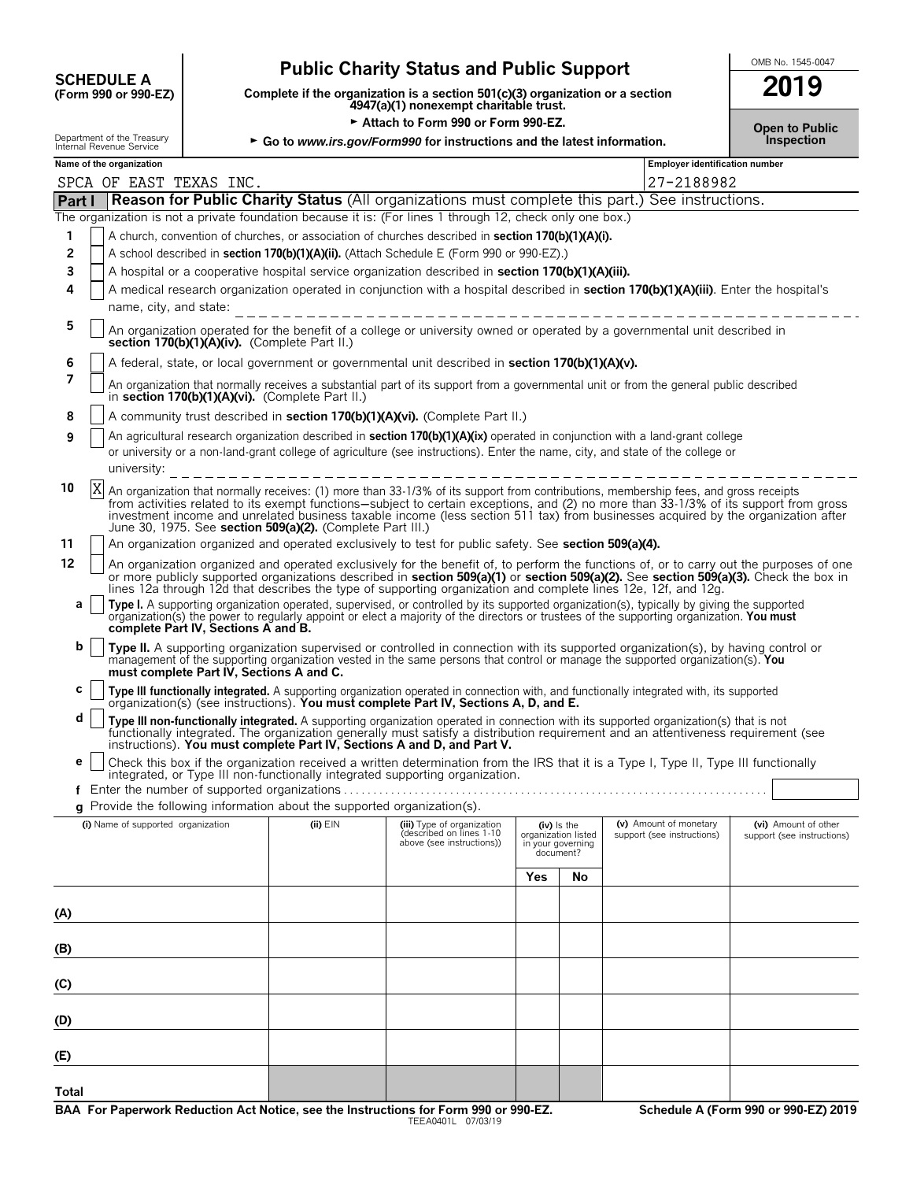# **OMB No. 1545-0047**<br>
Complete if the organization is a section 501(c)(3) organization or a section<br> **SCHEDULE A**<br> **SCHEDULE A**<br> **SCHEDULE A**<br> **SCHEDULE A**<br> **SCHEDULE A**<br> **SCHEDULE A**<br> **SCHEDULE A**<br> **SCHEDULE A**<br> **SCHEDULE**

**COMPOUTE A**<br>(Form 990 or 990-EZ) Complete if the organization is a section 501(c)(3) organization or a section<br>4947(a)(1) nonexempt charitable trust.

Attach to Form 990 or Form 990-EZ.

| ZU 1 Y                              |  |
|-------------------------------------|--|
| <b>Open to Public</b><br>Inspection |  |

|              | Department of the Treasury<br>Internal Revenue Service |                                                                                                                                                                                                                                                                                                                              |                                                                          | ► Go to www.irs.gov/Form990 for instructions and the latest information.                                                                                                                                                                                                                                                                                                                                           |                                                                                                                                      |    |                                | טוו נט ו טוטווע<br>Inspection |  |  |  |
|--------------|--------------------------------------------------------|------------------------------------------------------------------------------------------------------------------------------------------------------------------------------------------------------------------------------------------------------------------------------------------------------------------------------|--------------------------------------------------------------------------|--------------------------------------------------------------------------------------------------------------------------------------------------------------------------------------------------------------------------------------------------------------------------------------------------------------------------------------------------------------------------------------------------------------------|--------------------------------------------------------------------------------------------------------------------------------------|----|--------------------------------|-------------------------------|--|--|--|
|              | Name of the organization                               |                                                                                                                                                                                                                                                                                                                              |                                                                          |                                                                                                                                                                                                                                                                                                                                                                                                                    |                                                                                                                                      |    | Employer identification number |                               |  |  |  |
|              | SPCA OF EAST TEXAS INC.                                |                                                                                                                                                                                                                                                                                                                              |                                                                          |                                                                                                                                                                                                                                                                                                                                                                                                                    |                                                                                                                                      |    | 27-2188982                     |                               |  |  |  |
| Part I       |                                                        |                                                                                                                                                                                                                                                                                                                              |                                                                          | Reason for Public Charity Status (All organizations must complete this part.) See instructions.                                                                                                                                                                                                                                                                                                                    |                                                                                                                                      |    |                                |                               |  |  |  |
|              |                                                        |                                                                                                                                                                                                                                                                                                                              |                                                                          | The organization is not a private foundation because it is: (For lines 1 through 12, check only one box.)                                                                                                                                                                                                                                                                                                          |                                                                                                                                      |    |                                |                               |  |  |  |
| 1            |                                                        |                                                                                                                                                                                                                                                                                                                              |                                                                          | A church, convention of churches, or association of churches described in <b>section 170(b)(1)(A)(i).</b>                                                                                                                                                                                                                                                                                                          |                                                                                                                                      |    |                                |                               |  |  |  |
| 2            |                                                        |                                                                                                                                                                                                                                                                                                                              |                                                                          | A school described in section 170(b)(1)(A)(ii). (Attach Schedule E (Form 990 or 990-EZ).)                                                                                                                                                                                                                                                                                                                          |                                                                                                                                      |    |                                |                               |  |  |  |
| 3            |                                                        |                                                                                                                                                                                                                                                                                                                              |                                                                          |                                                                                                                                                                                                                                                                                                                                                                                                                    | A hospital or a cooperative hospital service organization described in section 170(b)(1)(A)(iii).                                    |    |                                |                               |  |  |  |
| 4            | name, city, and state:                                 |                                                                                                                                                                                                                                                                                                                              |                                                                          |                                                                                                                                                                                                                                                                                                                                                                                                                    | A medical research organization operated in conjunction with a hospital described in section 170(b)(1)(A)(iii). Enter the hospital's |    |                                |                               |  |  |  |
| 5            |                                                        |                                                                                                                                                                                                                                                                                                                              |                                                                          |                                                                                                                                                                                                                                                                                                                                                                                                                    |                                                                                                                                      |    |                                |                               |  |  |  |
|              |                                                        | An organization operated for the benefit of a college or university owned or operated by a governmental unit described in<br>section 170(b)(1)(A)(iv). (Complete Part II.)<br>A federal, state, or local government or governmental unit described in <b>section 170(b)(1)(A)(v).</b>                                        |                                                                          |                                                                                                                                                                                                                                                                                                                                                                                                                    |                                                                                                                                      |    |                                |                               |  |  |  |
| 6            |                                                        |                                                                                                                                                                                                                                                                                                                              |                                                                          |                                                                                                                                                                                                                                                                                                                                                                                                                    |                                                                                                                                      |    |                                |                               |  |  |  |
| 7            |                                                        |                                                                                                                                                                                                                                                                                                                              | in section 170(b)(1)(A)(vi). (Complete Part II.)                         | An organization that normally receives a substantial part of its support from a governmental unit or from the general public described                                                                                                                                                                                                                                                                             |                                                                                                                                      |    |                                |                               |  |  |  |
| 8            |                                                        |                                                                                                                                                                                                                                                                                                                              |                                                                          | A community trust described in section 170(b)(1)(A)(vi). (Complete Part II.)                                                                                                                                                                                                                                                                                                                                       |                                                                                                                                      |    |                                |                               |  |  |  |
| 9            | university:                                            |                                                                                                                                                                                                                                                                                                                              |                                                                          | An agricultural research organization described in section 170(b)(1)(A)(ix) operated in conjunction with a land-grant college<br>or university or a non-land-grant college of agriculture (see instructions). Enter the name, city, and state of the college or                                                                                                                                                    |                                                                                                                                      |    |                                |                               |  |  |  |
| 10           | IX                                                     |                                                                                                                                                                                                                                                                                                                              | June 30, 1975. See section 509(a)(2). (Complete Part III.)               | An organization that normally receives: (1) more than 33-1/3% of its support from contributions, membership fees, and gross receipts<br>from activities related to its exempt functions-subject to certain exceptions, and (2) no more than 33-1/3% of its support from gross<br>investment income and unrelated business taxable income (less section 511 tax) from businesses acquired by the organization after |                                                                                                                                      |    |                                |                               |  |  |  |
| 11           |                                                        |                                                                                                                                                                                                                                                                                                                              |                                                                          | An organization organized and operated exclusively to test for public safety. See section 509(a)(4).                                                                                                                                                                                                                                                                                                               |                                                                                                                                      |    |                                |                               |  |  |  |
| 12<br>a      |                                                        |                                                                                                                                                                                                                                                                                                                              |                                                                          | An organization organized and operated exclusively for the benefit of, to perform the functions of, or to carry out the purposes of one<br>or more publicly supported organizations described in section 509(a)(1) or section 509(a)(2). See section 509(a)(3). Check the box in<br>lines 12a through 12d that describes the type of supporting organization and complete lines 12e, 12f, and 12g.                 |                                                                                                                                      |    |                                |                               |  |  |  |
|              |                                                        | Type I. A supporting organization operated, supervised, or controlled by its supported organization(s), typically by giving the supported<br>organization(s) the power to regularly appoint or elect a majority of the directors or trustees of the supporting organization. You must<br>complete Part IV, Sections A and B. |                                                                          |                                                                                                                                                                                                                                                                                                                                                                                                                    |                                                                                                                                      |    |                                |                               |  |  |  |
| b            |                                                        | must complete Part IV, Sections A and C.                                                                                                                                                                                                                                                                                     |                                                                          | Type II. A supporting organization supervised or controlled in connection with its supported organization(s), by having control or<br>management of the supporting organization vested in the same persons that control or manage the supported organization(s). You                                                                                                                                               |                                                                                                                                      |    |                                |                               |  |  |  |
| с            |                                                        |                                                                                                                                                                                                                                                                                                                              |                                                                          | Type III functionally integrated. A supporting organization operated in connection with, and functionally integrated with, its supported organization(s) (see instructions). You must complete Part IV, Sections A, D, and E.                                                                                                                                                                                      |                                                                                                                                      |    |                                |                               |  |  |  |
| d            |                                                        |                                                                                                                                                                                                                                                                                                                              |                                                                          | Type III non-functionally integrated. A supporting organization operated in connection with its supported organization(s) that is not functionally integrated. The organization generally must satisfy a distribution requirem<br>instructions). You must complete Part IV, Sections A and D, and Part V.                                                                                                          |                                                                                                                                      |    |                                |                               |  |  |  |
| e            |                                                        |                                                                                                                                                                                                                                                                                                                              |                                                                          | Check this box if the organization received a written determination from the IRS that it is a Type I, Type II, Type III functionally                                                                                                                                                                                                                                                                               |                                                                                                                                      |    |                                |                               |  |  |  |
|              |                                                        |                                                                                                                                                                                                                                                                                                                              |                                                                          | integrated, or Type III non-functionally integrated supporting organization.                                                                                                                                                                                                                                                                                                                                       |                                                                                                                                      |    |                                |                               |  |  |  |
|              |                                                        |                                                                                                                                                                                                                                                                                                                              | g Provide the following information about the supported organization(s). |                                                                                                                                                                                                                                                                                                                                                                                                                    |                                                                                                                                      |    |                                |                               |  |  |  |
|              | (i) Name of supported organization                     |                                                                                                                                                                                                                                                                                                                              | $(ii)$ $EIN$                                                             | (iii) Type of organization                                                                                                                                                                                                                                                                                                                                                                                         |                                                                                                                                      |    | (v) Amount of monetary         | (vi) Amount of other          |  |  |  |
|              |                                                        |                                                                                                                                                                                                                                                                                                                              |                                                                          | described on lines 1-10<br>above (see instructions))                                                                                                                                                                                                                                                                                                                                                               | (iv) Is the<br>organization listed<br>in your governing<br>document?                                                                 |    | support (see instructions)     | support (see instructions)    |  |  |  |
|              |                                                        |                                                                                                                                                                                                                                                                                                                              |                                                                          |                                                                                                                                                                                                                                                                                                                                                                                                                    | Yes                                                                                                                                  | No |                                |                               |  |  |  |
| (A)          |                                                        |                                                                                                                                                                                                                                                                                                                              |                                                                          |                                                                                                                                                                                                                                                                                                                                                                                                                    |                                                                                                                                      |    |                                |                               |  |  |  |
| (B)          |                                                        |                                                                                                                                                                                                                                                                                                                              |                                                                          |                                                                                                                                                                                                                                                                                                                                                                                                                    |                                                                                                                                      |    |                                |                               |  |  |  |
| (C)          |                                                        |                                                                                                                                                                                                                                                                                                                              |                                                                          |                                                                                                                                                                                                                                                                                                                                                                                                                    |                                                                                                                                      |    |                                |                               |  |  |  |
| (D)          |                                                        |                                                                                                                                                                                                                                                                                                                              |                                                                          |                                                                                                                                                                                                                                                                                                                                                                                                                    |                                                                                                                                      |    |                                |                               |  |  |  |
| (E)          |                                                        |                                                                                                                                                                                                                                                                                                                              |                                                                          |                                                                                                                                                                                                                                                                                                                                                                                                                    |                                                                                                                                      |    |                                |                               |  |  |  |
| <b>Total</b> |                                                        |                                                                                                                                                                                                                                                                                                                              |                                                                          |                                                                                                                                                                                                                                                                                                                                                                                                                    |                                                                                                                                      |    |                                |                               |  |  |  |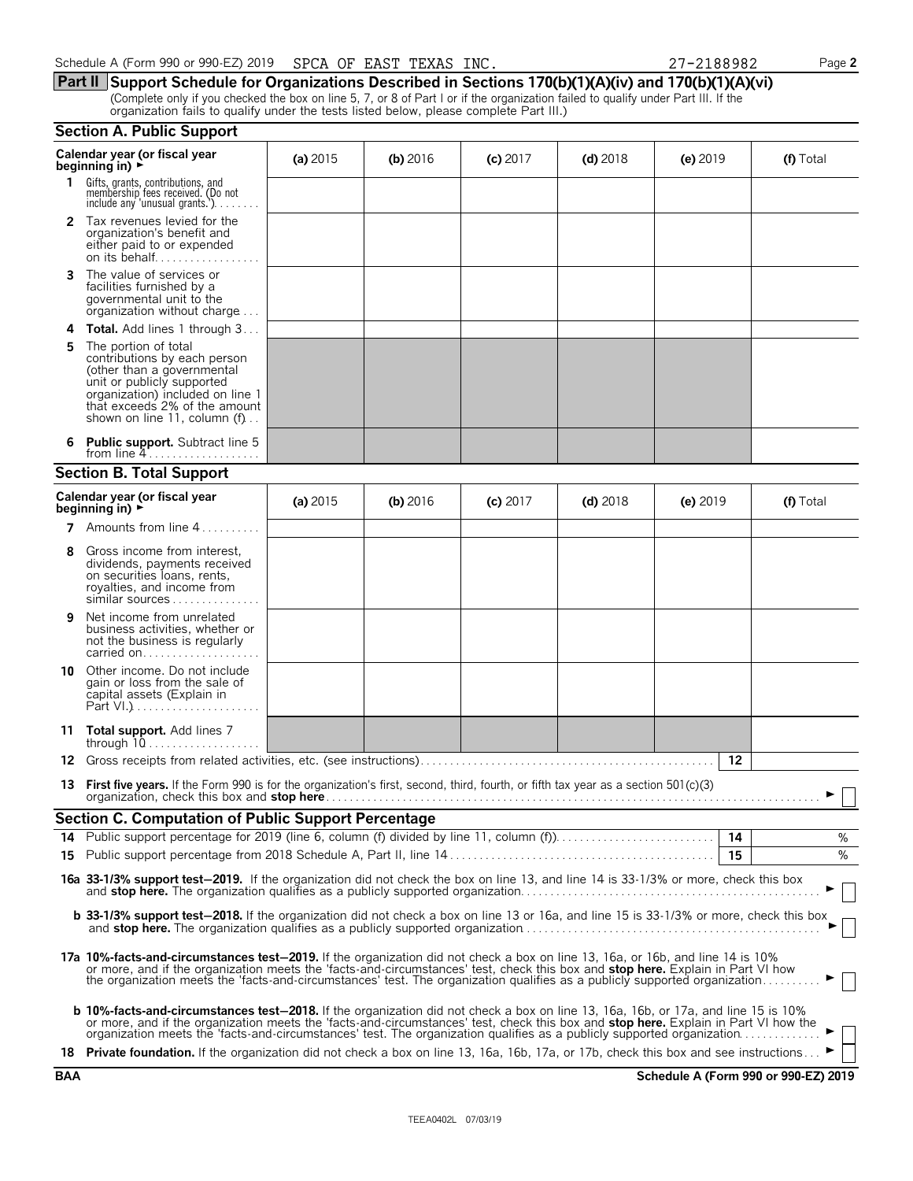|            | Calendar year (or fiscal year<br>beginning in) $\rightarrow$                                                                                                                                                                                                                                                                                                                                              | (a) 2015   | $(b)$ 2016 | $(c)$ 2017 | $(d)$ 2018 | (e) $2019$ | (f) Total                            |
|------------|-----------------------------------------------------------------------------------------------------------------------------------------------------------------------------------------------------------------------------------------------------------------------------------------------------------------------------------------------------------------------------------------------------------|------------|------------|------------|------------|------------|--------------------------------------|
|            | 1 Gifts, grants, contributions, and<br>membership fees received. (Do not<br>include any 'unusual grants.')                                                                                                                                                                                                                                                                                                |            |            |            |            |            |                                      |
| 2          | Tax revenues levied for the<br>organization's benefit and<br>either paid to or expended<br>on its behalf                                                                                                                                                                                                                                                                                                  |            |            |            |            |            |                                      |
|            | The value of services or<br>facilities furnished by a<br>governmental unit to the<br>organization without charge                                                                                                                                                                                                                                                                                          |            |            |            |            |            |                                      |
| 4          | <b>Total.</b> Add lines 1 through 3                                                                                                                                                                                                                                                                                                                                                                       |            |            |            |            |            |                                      |
| 5          | The portion of total<br>contributions by each person<br>(other than a governmental<br>unit or publicly supported<br>organization) included on line 1<br>that exceeds 2% of the amount<br>shown on line 11, column (f)                                                                                                                                                                                     |            |            |            |            |            |                                      |
| 6          | <b>Public support.</b> Subtract line 5                                                                                                                                                                                                                                                                                                                                                                    |            |            |            |            |            |                                      |
|            | <b>Section B. Total Support</b>                                                                                                                                                                                                                                                                                                                                                                           |            |            |            |            |            |                                      |
|            | Calendar year (or fiscal year<br>beginning in) $\rightarrow$                                                                                                                                                                                                                                                                                                                                              | (a) $2015$ | $(b)$ 2016 | $(c)$ 2017 | $(d)$ 2018 | (e) $2019$ | (f) Total                            |
|            | <b>7</b> Amounts from line $4, \ldots, \ldots$                                                                                                                                                                                                                                                                                                                                                            |            |            |            |            |            |                                      |
| 8          | Gross income from interest,<br>dividends, payments received<br>on securities loans, rents,<br>royalties, and income from<br>similar sources                                                                                                                                                                                                                                                               |            |            |            |            |            |                                      |
| 9          | Net income from unrelated<br>business activities, whether or<br>not the business is regularly<br>carried on                                                                                                                                                                                                                                                                                               |            |            |            |            |            |                                      |
|            | 10 Other income. Do not include<br>gain or loss from the sale of<br>capital assets (Explain in                                                                                                                                                                                                                                                                                                            |            |            |            |            |            |                                      |
|            | 11 Total support. Add lines 7                                                                                                                                                                                                                                                                                                                                                                             |            |            |            |            |            |                                      |
|            |                                                                                                                                                                                                                                                                                                                                                                                                           |            |            |            |            | 12         |                                      |
|            | 13 First five years. If the Form 990 is for the organization's first, second, third, fourth, or fifth tax year as a section 501(c)(3)<br>organization, check this box and stop here <b>contained</b> and the contained and the contained and the contained and the contained and the contained and the contained and the contained and the contained and the contained and t                              |            |            |            |            |            |                                      |
|            | <b>Section C. Computation of Public Support Percentage</b>                                                                                                                                                                                                                                                                                                                                                |            |            |            |            |            |                                      |
|            |                                                                                                                                                                                                                                                                                                                                                                                                           |            |            |            |            | 14         | $\%$                                 |
|            |                                                                                                                                                                                                                                                                                                                                                                                                           |            |            |            |            | 15         | %                                    |
|            | 16a 33-1/3% support test-2019. If the organization did not check the box on line 13, and line 14 is 33-1/3% or more, check this box                                                                                                                                                                                                                                                                       |            |            |            |            |            |                                      |
|            | <b>b 33-1/3% support test-2018.</b> If the organization did not check a box on line 13 or 16a, and line 15 is 33-1/3% or more, check this box                                                                                                                                                                                                                                                             |            |            |            |            |            |                                      |
|            | <b>17a 10%-facts-and-circumstances test-2019.</b> If the organization did not check a box on line 13, 16a, or 16b, and line 14 is 10%<br>or more, and if the organization meets the 'facts-and-circumstances' test, check this box and stop here. Explain in Part VI how                                                                                                                                  |            |            |            |            |            |                                      |
|            | <b>b 10%-facts-and-circumstances test-2018.</b> If the organization did not check a box on line 13, 16a, 16b, or 17a, and line 15 is 10%<br>or more, and if the organization meets the 'facts-and-circumstances' test, check this box and stop here. Explain in Part VI how the<br>organization meets the 'facts-and-circumstances' test. The organization qualifies as a publicly supported organization |            |            |            |            |            |                                      |
|            | 18 Private foundation. If the organization did not check a box on line 13, 16a, 16b, 17a, or 17b, check this box and see instructions                                                                                                                                                                                                                                                                     |            |            |            |            |            |                                      |
| <b>BAA</b> |                                                                                                                                                                                                                                                                                                                                                                                                           |            |            |            |            |            | Schedule A (Form 990 or 990-EZ) 2019 |

|  | ∵or 990-F<br>2019<br>990<br>∙orm<br>Schedule | CDC <sup>7</sup><br>ΟF<br>INC<br>$\sim$ m<br>TEXAS<br>-AS 1<br>' تا ب<br>◡▱ | 88982<br><u>.</u><br>_<br>. O G | $P$ age $\blacksquare$ |
|--|----------------------------------------------|-----------------------------------------------------------------------------|---------------------------------|------------------------|
|--|----------------------------------------------|-----------------------------------------------------------------------------|---------------------------------|------------------------|

**Section A. Public Support**

**Part II Support Schedule for Organizations Described in Sections 170(b)(1)(A)(iv) and 170(b)(1)(A)(vi)** (Complete only if you checked the box on line 5, 7, or 8 of Part I or if the organization failed to qualify under Part III. If the organization fails to qualify under the tests listed below, please complete Part III.)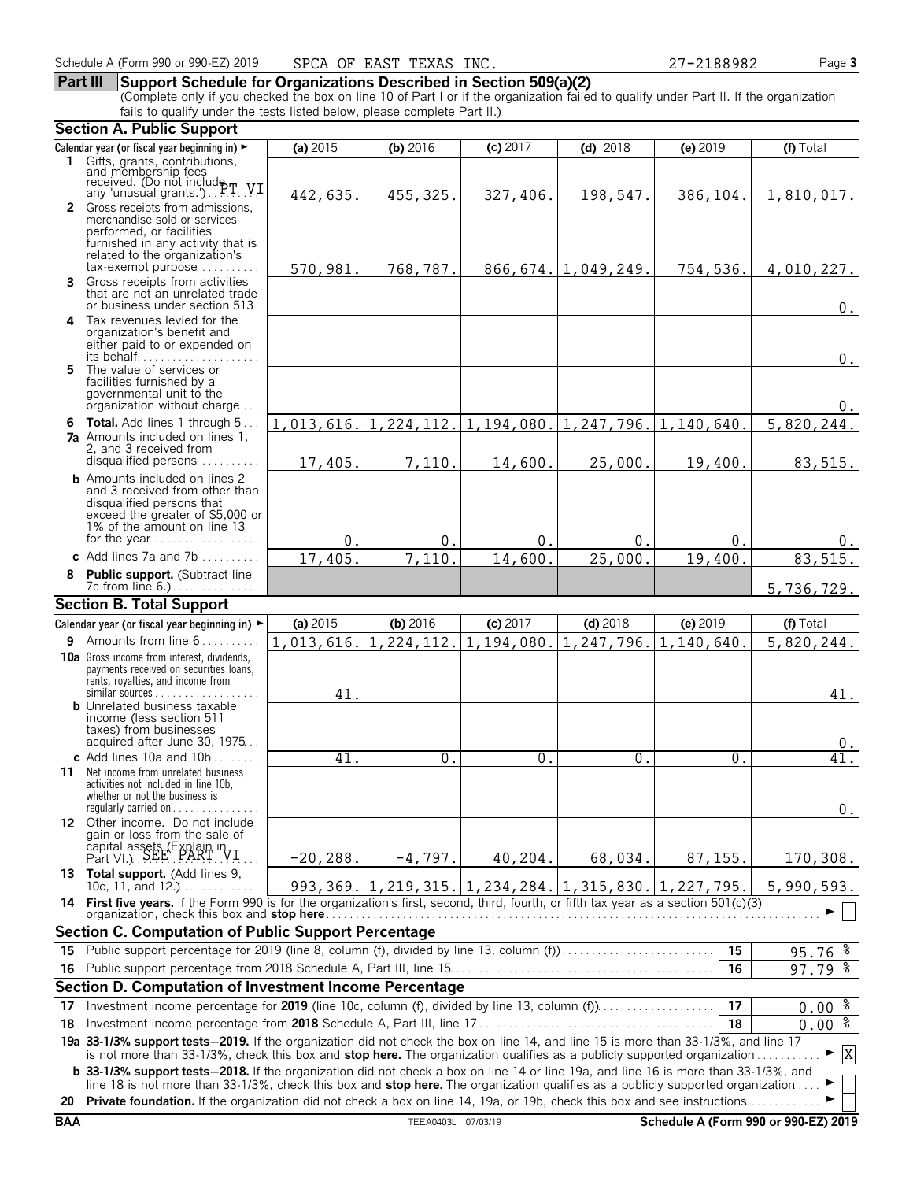(Complete only if you checked the box on line 10 of Part I or if the organization failed to qualify under Part II. If the organization fails to qualify under the tests listed below, please complete Part II.)

|                                 | <b>Section A. Public Support</b>                                                                                                                                                                                                                                              |             |                |            |                                                                                         |            |                      |  |  |  |
|---------------------------------|-------------------------------------------------------------------------------------------------------------------------------------------------------------------------------------------------------------------------------------------------------------------------------|-------------|----------------|------------|-----------------------------------------------------------------------------------------|------------|----------------------|--|--|--|
|                                 | Calendar year (or fiscal year beginning in) ►                                                                                                                                                                                                                                 | (a) 2015    | (b) 2016       | (c) 2017   | $(d)$ 2018                                                                              | (e) 2019   | (f) Total            |  |  |  |
|                                 | 1 Gifts, grants, contributions,                                                                                                                                                                                                                                               |             |                |            |                                                                                         |            |                      |  |  |  |
|                                 |                                                                                                                                                                                                                                                                               |             |                |            |                                                                                         |            |                      |  |  |  |
|                                 | 2 Gross receipts from admissions,                                                                                                                                                                                                                                             | 442,635.    | 455, 325.      | 327,406.   | 198,547.                                                                                | 386,104.   | 1,810,017.           |  |  |  |
|                                 | merchandise sold or services                                                                                                                                                                                                                                                  |             |                |            |                                                                                         |            |                      |  |  |  |
|                                 | performed, or facilities<br>furnished in any activity that is                                                                                                                                                                                                                 |             |                |            |                                                                                         |            |                      |  |  |  |
|                                 | related to the organization's                                                                                                                                                                                                                                                 |             |                |            |                                                                                         |            |                      |  |  |  |
|                                 | $tax\text{-}exempt$ purpose                                                                                                                                                                                                                                                   | 570,981.    | 768,787.       |            | $866, 674. \vert 1, 049, 249.$                                                          | 754,536.   | 4,010,227.           |  |  |  |
|                                 | 3 Gross receipts from activities<br>that are not an unrelated trade                                                                                                                                                                                                           |             |                |            |                                                                                         |            |                      |  |  |  |
|                                 | or business under section 513.                                                                                                                                                                                                                                                |             |                |            |                                                                                         |            | 0.                   |  |  |  |
|                                 | 4 Tax revenues levied for the                                                                                                                                                                                                                                                 |             |                |            |                                                                                         |            |                      |  |  |  |
|                                 | organization's benefit and<br>either paid to or expended on                                                                                                                                                                                                                   |             |                |            |                                                                                         |            |                      |  |  |  |
|                                 |                                                                                                                                                                                                                                                                               |             |                |            |                                                                                         |            | 0.                   |  |  |  |
|                                 | 5 The value of services or<br>facilities furnished by a                                                                                                                                                                                                                       |             |                |            |                                                                                         |            |                      |  |  |  |
|                                 | governmental unit to the                                                                                                                                                                                                                                                      |             |                |            |                                                                                         |            |                      |  |  |  |
|                                 | organization without charge                                                                                                                                                                                                                                                   |             |                |            |                                                                                         |            | 0.                   |  |  |  |
|                                 | 6 Total. Add lines 1 through 5<br><b>7a</b> Amounts included on lines 1.                                                                                                                                                                                                      | 1,013,616.  |                |            | $1, 224, 112, 1, 194, 080, 1, 247, 796, 1, 140, 640.$                                   |            | 5,820,244.           |  |  |  |
|                                 | 2, and 3 received from                                                                                                                                                                                                                                                        |             |                |            |                                                                                         |            |                      |  |  |  |
|                                 | disqualified persons                                                                                                                                                                                                                                                          | 17,405.     | 7,110.         | 14,600.    | 25,000.                                                                                 | 19,400.    | 83,515.              |  |  |  |
|                                 | <b>b</b> Amounts included on lines 2<br>and 3 received from other than                                                                                                                                                                                                        |             |                |            |                                                                                         |            |                      |  |  |  |
|                                 | disqualified persons that                                                                                                                                                                                                                                                     |             |                |            |                                                                                         |            |                      |  |  |  |
|                                 | exceed the greater of \$5,000 or                                                                                                                                                                                                                                              |             |                |            |                                                                                         |            |                      |  |  |  |
|                                 | 1% of the amount on line 13                                                                                                                                                                                                                                                   | 0.          | $\mathbf{0}$ . | 0.         | 0.                                                                                      | 0.         | 0.                   |  |  |  |
|                                 | c Add lines $7a$ and $7b$                                                                                                                                                                                                                                                     | 17,405      | 7,110          | 14,600.    | 25,000.                                                                                 | 19,400.    | 83,515.              |  |  |  |
|                                 | Public support. (Subtract line                                                                                                                                                                                                                                                |             |                |            |                                                                                         |            |                      |  |  |  |
|                                 |                                                                                                                                                                                                                                                                               |             |                |            |                                                                                         |            | 5,736,729.           |  |  |  |
| <b>Section B. Total Support</b> |                                                                                                                                                                                                                                                                               |             |                |            |                                                                                         |            |                      |  |  |  |
|                                 | Calendar year (or fiscal year beginning in) ►                                                                                                                                                                                                                                 | (a) 2015    | (b) 2016       | $(c)$ 2017 | $(d)$ 2018                                                                              | (e) 2019   | (f) Total            |  |  |  |
|                                 | 9 Amounts from line 6                                                                                                                                                                                                                                                         | 1,013,616.  | 1,224,112.     | 1,194,080. | 1,247,796.                                                                              | 1,140,640. | 5,820,244.           |  |  |  |
|                                 | <b>10a</b> Gross income from interest, dividends,<br>payments received on securities loans,                                                                                                                                                                                   |             |                |            |                                                                                         |            |                      |  |  |  |
|                                 | rents, royalties, and income from                                                                                                                                                                                                                                             |             |                |            |                                                                                         |            |                      |  |  |  |
|                                 | similar sources<br><b>b</b> Unrelated business taxable                                                                                                                                                                                                                        | 41          |                |            |                                                                                         |            | 41.                  |  |  |  |
|                                 | income (less section 511                                                                                                                                                                                                                                                      |             |                |            |                                                                                         |            |                      |  |  |  |
|                                 | taxes) from businesses<br>acquired after June 30, 1975                                                                                                                                                                                                                        |             |                |            |                                                                                         |            |                      |  |  |  |
|                                 | c Add lines $10a$ and $10b$                                                                                                                                                                                                                                                   | 41          | $\mathbf{0}$   | $0$ .      | $\mathbf{0}$ .                                                                          | $\Omega$ . | 41.                  |  |  |  |
|                                 | <b>11</b> Net income from unrelated business                                                                                                                                                                                                                                  |             |                |            |                                                                                         |            |                      |  |  |  |
|                                 | activities not included in line 10b,<br>whether or not the business is                                                                                                                                                                                                        |             |                |            |                                                                                         |            |                      |  |  |  |
|                                 | regularly carried on $\dots$ .                                                                                                                                                                                                                                                |             |                |            |                                                                                         |            | 0.                   |  |  |  |
|                                 | 12 Other income. Do not include<br>gain or loss from the sale of                                                                                                                                                                                                              |             |                |            |                                                                                         |            |                      |  |  |  |
|                                 | capital assets (Explain in Part VI.) SEE PART VI                                                                                                                                                                                                                              |             |                |            |                                                                                         |            |                      |  |  |  |
|                                 | 13 Total support. (Add lines 9,                                                                                                                                                                                                                                               | $-20, 288.$ | $-4,797.$      | 40,204.    | 68,034.                                                                                 | 87,155.    | 170,308.             |  |  |  |
|                                 | 10c. 11. and $12.1$                                                                                                                                                                                                                                                           |             |                |            | 993, 369. $\vert 1, 219, 315. \vert 1, 234, 284. \vert 1, 315, 830. \vert 1, 227, 795.$ |            | 5,990,593.           |  |  |  |
|                                 | 14 First five years. If the Form 990 is for the organization's first, second, third, fourth, or fifth tax year as a section 501(c)(3)                                                                                                                                         |             |                |            |                                                                                         |            |                      |  |  |  |
|                                 | organization, check this box and stop here.<br><b>Section C. Computation of Public Support Percentage</b>                                                                                                                                                                     |             |                |            |                                                                                         |            |                      |  |  |  |
| 15                              | Public support percentage for 2019 (line 8, column (f), divided by line 13, column (f)                                                                                                                                                                                        |             |                |            |                                                                                         | 15         | $95.76$ $%$          |  |  |  |
| 16                              |                                                                                                                                                                                                                                                                               |             |                |            |                                                                                         | 16         | $97.79$ $%$          |  |  |  |
|                                 | Section D. Computation of Investment Income Percentage                                                                                                                                                                                                                        |             |                |            |                                                                                         |            |                      |  |  |  |
| 17                              | Investment income percentage for 2019 (line 10c, column (f), divided by line 13, column (f)                                                                                                                                                                                   |             |                |            |                                                                                         | 17         | $0.00$ $\frac{8}{3}$ |  |  |  |
| 18                              |                                                                                                                                                                                                                                                                               |             |                |            |                                                                                         | 18         | $0.00\frac{8}{3}$    |  |  |  |
|                                 | 19a 33-1/3% support tests-2019. If the organization did not check the box on line 14, and line 15 is more than 33-1/3%, and line 17                                                                                                                                           |             |                |            |                                                                                         |            |                      |  |  |  |
|                                 | is not more than 33-1/3%, check this box and stop here. The organization qualifies as a publicly supported organization                                                                                                                                                       |             |                |            |                                                                                         |            | X                    |  |  |  |
|                                 | <b>b</b> 33-1/3% support tests-2018. If the organization did not check a box on line 14 or line 19a, and line 16 is more than 33-1/3%, and<br>line 18 is not more than 33-1/3%, check this box and stop here. The organization qualifies as a publicly supported organization |             |                |            |                                                                                         |            |                      |  |  |  |
|                                 | 20 Private foundation. If the organization did not check a box on line 14, 19a, or 19b, check this box and see instructions                                                                                                                                                   |             |                |            |                                                                                         |            |                      |  |  |  |
|                                 |                                                                                                                                                                                                                                                                               |             |                |            |                                                                                         |            |                      |  |  |  |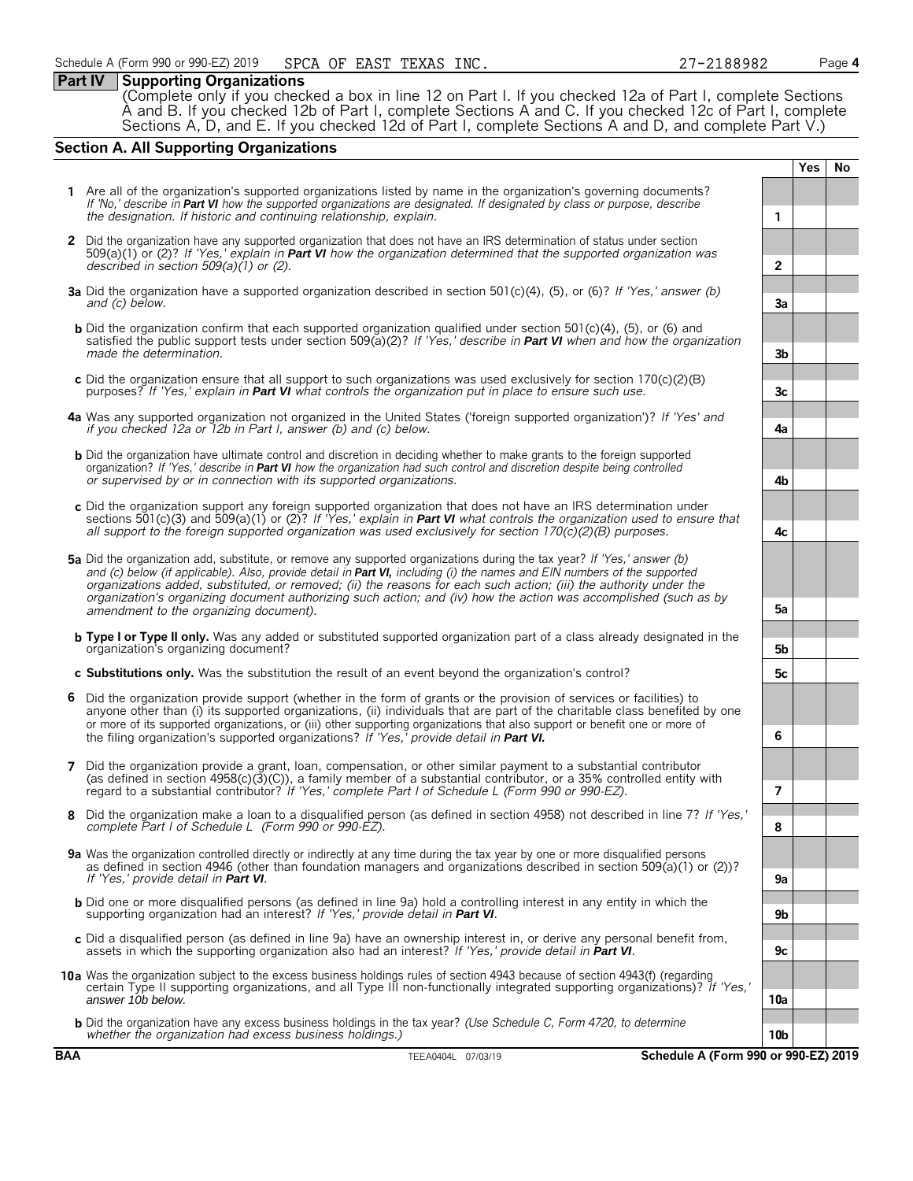## **Part IV Supporting Organizations**

(Complete only if you checked a box in line 12 on Part I. If you checked 12a of Part I, complete Sections A and B. If you checked 12b of Part I, complete Sections A and C. If you checked 12c of Part I, complete Sections A, D, and E. If you checked 12d of Part I, complete Sections A and D, and complete Part V.)

## **Section A. All Supporting Organizations**

**Yes No 1** Are all of the organization's supported organizations listed by name in the organization's governing documents? *If 'No,' describe in Part VI how the supported organizations are designated. If designated by class or purpose, describe the designation. If historic and continuing relationship, explain.* **1 2** Did the organization have any supported organization that does not have an IRS determination of status under section 509(a)(1) or (2)? *If 'Yes,' explain in Part VI how the organization determined that the supported organization was described in section 509(a)(1) or (2).* **2 3a** Did the organization have a supported organization described in section 501(c)(4), (5), or (6)? *If 'Yes,' answer (b) and (c) below.* **3a b** Did the organization confirm that each supported organization qualified under section 501(c)(4), (5), or (6) and satisfied the public support tests under section 509(a)(2)? *If 'Yes,' describe in Part VI when and how the organization made the determination.* **3b c** Did the organization ensure that all support to such organizations was used exclusively for section 170(c)(2)(B) purposes? *If 'Yes,' explain in Part VI what controls the organization put in place to ensure such use.* **3c a4** Was any supported organization not organized in the United States ('foreign supported organization')? *If 'Yes' and if you checked 12a or 12b in Part I, answer (b) and (c) below.* **4a b** Did the organization have ultimate control and discretion in deciding whether to make grants to the foreign supported organization? *If 'Yes,' describe in Part VI how the organization had such control and discretion despite being controlled or supervised by or in connection with its supported organizations.* **4b c** Did the organization support any foreign supported organization that does not have an IRS determination under sections 501(c)(3) and 509(a)(1) or (2)? *If 'Yes,' explain in Part VI what controls the organization used to ensure that all support to the foreign supported organization was used exclusively for section 170(c)(2)(B) purposes.* **4c 5a** Did the organization add, substitute, or remove any supported organizations during the tax year? *If 'Yes,' answer (b) and (c) below (if applicable). Also, provide detail in Part VI, including (i) the names and EIN numbers of the supported organizations added, substituted, or removed; (ii) the reasons for each such action; (iii) the authority under the organization's organizing document authorizing such action; and (iv) how the action was accomplished (such as by* amendment to the organizing document). **Same in the organizing document** (see also see also see also see also see also see also see also see also see also see also see also see also see also see also see also see also see **b Type I or Type II only.** Was any added or substituted supported organization part of a class already designated in the organization's organizing document? **5b c Substitutions only.** Was the substitution the result of an event beyond the organization's control? **5c 6** Did the organization provide support (whether in the form of grants or the provision of services or facilities) to anyone other than (i) its supported organizations, (ii) individuals that are part of the charitable class benefited by one or more of its supported organizations, or (iii) other supporting organizations that also support or benefit one or more of the filing organization's supported organizations? *If 'Yes,' provide detail in Part VI.* **6 7** Did the organization provide a grant, loan, compensation, or other similar payment to a substantial contributor (as defined in section 4958(c)(3)(C)), a family member of a substantial contributor, or a 35% controlled entity with regard to a substantial contributor? *If 'Yes,' complete Part I of Schedule L (Form 990 or 990-EZ).* **7 8** Did the organization make a loan to a disqualified person (as defined in section 4958) not described in line 7? *If 'Yes,' complete Part I of Schedule L (Form 990 or 990-EZ).* **8 9a** Was the organization controlled directly or indirectly at any time during the tax year by one or more disqualified persons as defined in section 4946 (other than foundation managers and organizations described in section 509(a)(1) or (2))? *If 'Yes,' provide detail in Part VI*. b Did one or more disqualified persons (as defined in line 9a) hold a controlling interest in any entity in which the<br>supporting organization had an interest? If 'Yes,' provide detail in Part VI. **c** Did a disqualified person (as defined in line 9a) have an ownership interest in, or derive any personal benefit from, assets in which the supporting organization also had an interest? *If 'Yes,' provide detail in Part VI*. **9c 10a** Was the organization subject to the excess business holdings rules of section 4943 because of section 4943(f) (regarding certain Type II supporting organizations, and all Type III non-functionally integrated supporting organizations)? *If 'Yes,' answer 10b below.* **10a b** Did the organization have any excess business holdings in the tax year? *(Use Schedule C, Form 4720, to determine whether the organization had excess business holdings.)* **10b**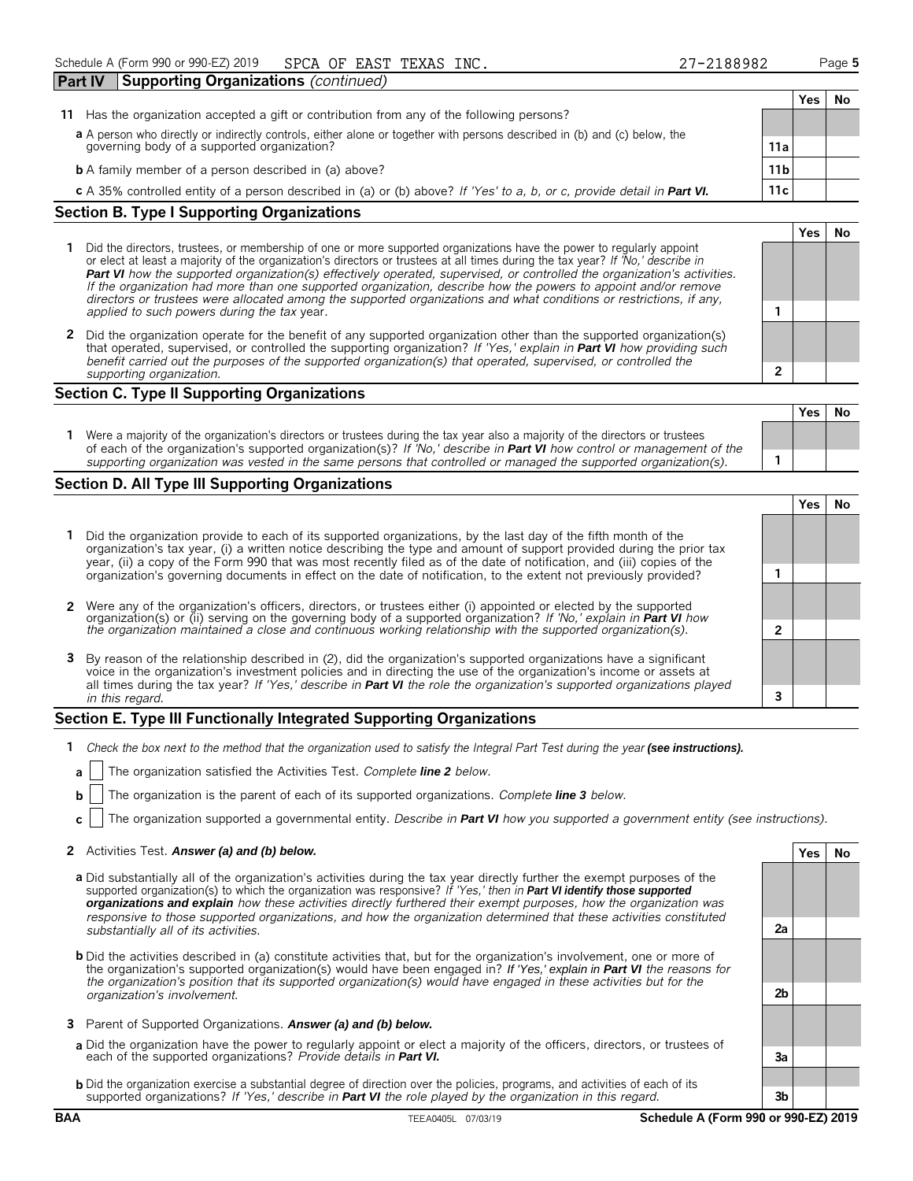### **1** Did the directors, trustees, or membership of one or more supported organizations have the power to regularly appoint or elect at least a majority of the organization's directors or trustees at all times during the tax year? *If 'No,' describe in Part VI how the supported organization(s) effectively operated, supervised, or controlled the organization's activities. If the organization had more than one supported organization, describe how the powers to appoint and/or remove directors or trustees were allocated among the supported organizations and what conditions or restrictions, if any, applied to such powers during the tax* year. **1**

**2** Did the organization operate for the benefit of any supported organization other than the supported organization(s) that operated, supervised, or controlled the supporting organization? *If 'Yes,' explain in Part VI how providing such benefit carried out the purposes of the supported organization(s) that operated, supervised, or controlled the supporting organization.* **2**

## **Section C. Type II Supporting Organizations**

|                                                                                                                                                                                                                                                               | 153 L | - 11 v |
|---------------------------------------------------------------------------------------------------------------------------------------------------------------------------------------------------------------------------------------------------------------|-------|--------|
| Were a majority of the organization's directors or trustees during the tax year also a majority of the directors or trustees<br>of each of the organization's supported organization(s)? If 'No,' describe in <b>Part VI</b> how control or management of the |       |        |
| supporting organization was vested in the same persons that controlled or managed the supported organization(s).                                                                                                                                              |       |        |

## **Section D. All Type III Supporting Organizations**

**Yes No 1** Did the organization provide to each of its supported organizations, by the last day of the fifth month of the organization's tax year, (i) a written notice describing the type and amount of support provided during the prior tax year, (ii) a copy of the Form 990 that was most recently filed as of the date of notification, and (iii) copies of the organization's governing documents in effect on the date of notification, to the extent not previously provided? **1 2** Were any of the organization's officers, directors, or trustees either (i) appointed or elected by the supported organization(s) or (ii) serving on the governing body of a supported organization? *If 'No,' explain in Part VI how the organization maintained a close and continuous working relationship with the supported organization(s).* **2 3** By reason of the relationship described in (2), did the organization's supported organizations have a significant voice in the organization's investment policies and in directing the use of the organization's income or assets at all times during the tax year? *If 'Yes,' describe in Part VI the role the organization's supported organizations played in this regard.* **3**

## **Section E. Type III Functionally Integrated Supporting Organizations**

- **1** *Check the box next to the method that the organization used to satisfy the Integral Part Test during the year (see instructions).* 
	- **a** The organization satisfied the Activities Test. *Complete line 2 below.*
	- **b** The organization is the parent of each of its supported organizations. *Complete line 3 below.*
	- **c** The organization supported a governmental entity. *Describe in Part VI how you supported a government entity (see instructions).*

### **2** Activities Test. *Answer (a) and (b) below.* **Yes No**

- **a** Did substantially all of the organization's activities during the tax year directly further the exempt purposes of the supported organization(s) to which the organization was responsive? *If 'Yes,' then in Part VI identify those supported organizations and explain how these activities directly furthered their exempt purposes, how the organization was responsive to those supported organizations, and how the organization determined that these activities constituted substantially all of its activities.* **2a**
- **b** Did the activities described in (a) constitute activities that, but for the organization's involvement, one or more of the organization's supported organization(s) would have been engaged in? *If 'Yes,' explain in Part VI the reasons for the organization's position that its supported organization(s) would have engaged in these activities but for the organization's involvement.* **2b**
- **3** Parent of Supported Organizations. *Answer (a) and (b) below.*
- **a** Did the organization have the power to regularly appoint or elect a majority of the officers, directors, or trustees of each of the supported organizations? *Provide details in Part VI.* **3a**
- **b** Did the organization exercise a substantial degree of direction over the policies, programs, and activities of each of its supported organizations? *If 'Yes,' describe in Part VI the role played by the organization in this regard.* **3b**



**Yes No**

**Yes No**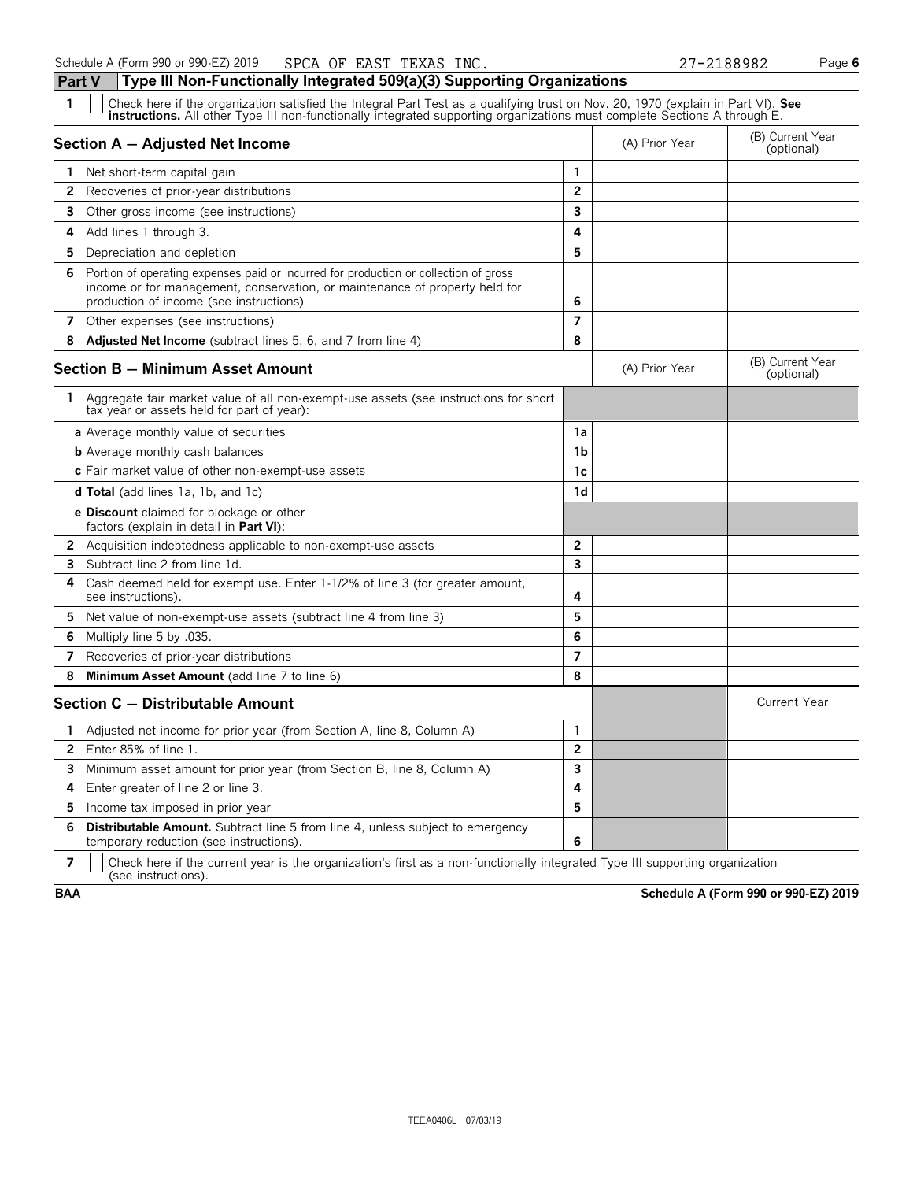| " |  |
|---|--|

| Type III Non-Functionally Integrated 509(a)(3) Supporting Organizations<br>Part V                                                                                                                                                                                  |                |                |                                |
|--------------------------------------------------------------------------------------------------------------------------------------------------------------------------------------------------------------------------------------------------------------------|----------------|----------------|--------------------------------|
| 1<br>Check here if the organization satisfied the Integral Part Test as a qualifying trust on Nov. 20, 1970 (explain in Part VI). See<br>instructions. All other Type III non-functionally integrated supporting organizations must complete Sections A through E. |                |                |                                |
| Section A - Adjusted Net Income                                                                                                                                                                                                                                    |                | (A) Prior Year | (B) Current Year<br>(optional) |
| 1.<br>Net short-term capital gain                                                                                                                                                                                                                                  | 1              |                |                                |
| $\mathbf{2}$<br>Recoveries of prior-year distributions                                                                                                                                                                                                             | $\overline{2}$ |                |                                |
| 3<br>Other gross income (see instructions)                                                                                                                                                                                                                         | 3              |                |                                |
| 4<br>Add lines 1 through 3.                                                                                                                                                                                                                                        | 4              |                |                                |
| 5<br>Depreciation and depletion                                                                                                                                                                                                                                    | 5              |                |                                |
| Portion of operating expenses paid or incurred for production or collection of gross<br>6<br>income or for management, conservation, or maintenance of property held for<br>production of income (see instructions)                                                | 6              |                |                                |
| 7<br>Other expenses (see instructions)                                                                                                                                                                                                                             | $\overline{7}$ |                |                                |
| <b>Adjusted Net Income</b> (subtract lines 5, 6, and 7 from line 4)<br>8                                                                                                                                                                                           | 8              |                |                                |
| <b>Section B - Minimum Asset Amount</b>                                                                                                                                                                                                                            |                | (A) Prior Year | (B) Current Year<br>(optional) |
| 1 Aggregate fair market value of all non-exempt-use assets (see instructions for short<br>tax year or assets held for part of year):                                                                                                                               |                |                |                                |
| a Average monthly value of securities                                                                                                                                                                                                                              | 1a             |                |                                |
| <b>b</b> Average monthly cash balances                                                                                                                                                                                                                             | 1 <sub>b</sub> |                |                                |
| c Fair market value of other non-exempt-use assets                                                                                                                                                                                                                 | 1c             |                |                                |
| <b>d Total</b> (add lines 1a, 1b, and 1c)                                                                                                                                                                                                                          | 1d             |                |                                |
| <b>e Discount</b> claimed for blockage or other<br>factors (explain in detail in <b>Part VI</b> ):                                                                                                                                                                 |                |                |                                |
| $\mathbf{2}$<br>Acquisition indebtedness applicable to non-exempt-use assets                                                                                                                                                                                       | $\overline{2}$ |                |                                |
| 3<br>Subtract line 2 from line 1d.                                                                                                                                                                                                                                 | 3              |                |                                |
| Cash deemed held for exempt use. Enter 1-1/2% of line 3 (for greater amount,<br>4<br>see instructions).                                                                                                                                                            | 4              |                |                                |
| 5<br>Net value of non-exempt-use assets (subtract line 4 from line 3)                                                                                                                                                                                              | 5              |                |                                |
| Multiply line 5 by .035.<br>6                                                                                                                                                                                                                                      | 6              |                |                                |
| 7<br>Recoveries of prior-year distributions                                                                                                                                                                                                                        | $\overline{7}$ |                |                                |
| Minimum Asset Amount (add line 7 to line 6)<br>8                                                                                                                                                                                                                   | 8              |                |                                |
| Section C - Distributable Amount                                                                                                                                                                                                                                   |                |                | <b>Current Year</b>            |
| Adjusted net income for prior year (from Section A, line 8, Column A)<br>1                                                                                                                                                                                         | 1              |                |                                |
| Enter 85% of line 1.<br>2                                                                                                                                                                                                                                          | $\overline{2}$ |                |                                |
| 3<br>Minimum asset amount for prior year (from Section B, line 8, Column A)                                                                                                                                                                                        | 3              |                |                                |
| 4<br>Enter greater of line 2 or line 3.                                                                                                                                                                                                                            | 4              |                |                                |
| 5<br>Income tax imposed in prior year                                                                                                                                                                                                                              | 5              |                |                                |
| 6<br><b>Distributable Amount.</b> Subtract line 5 from line 4, unless subject to emergency<br>temporary reduction (see instructions).                                                                                                                              | 6              |                |                                |

**7**  $\mid$  Check here if the current year is the organization's first as a non-functionally integrated Type III supporting organization (see instructions).

**BAA Schedule A (Form 990 or 990-EZ) 2019**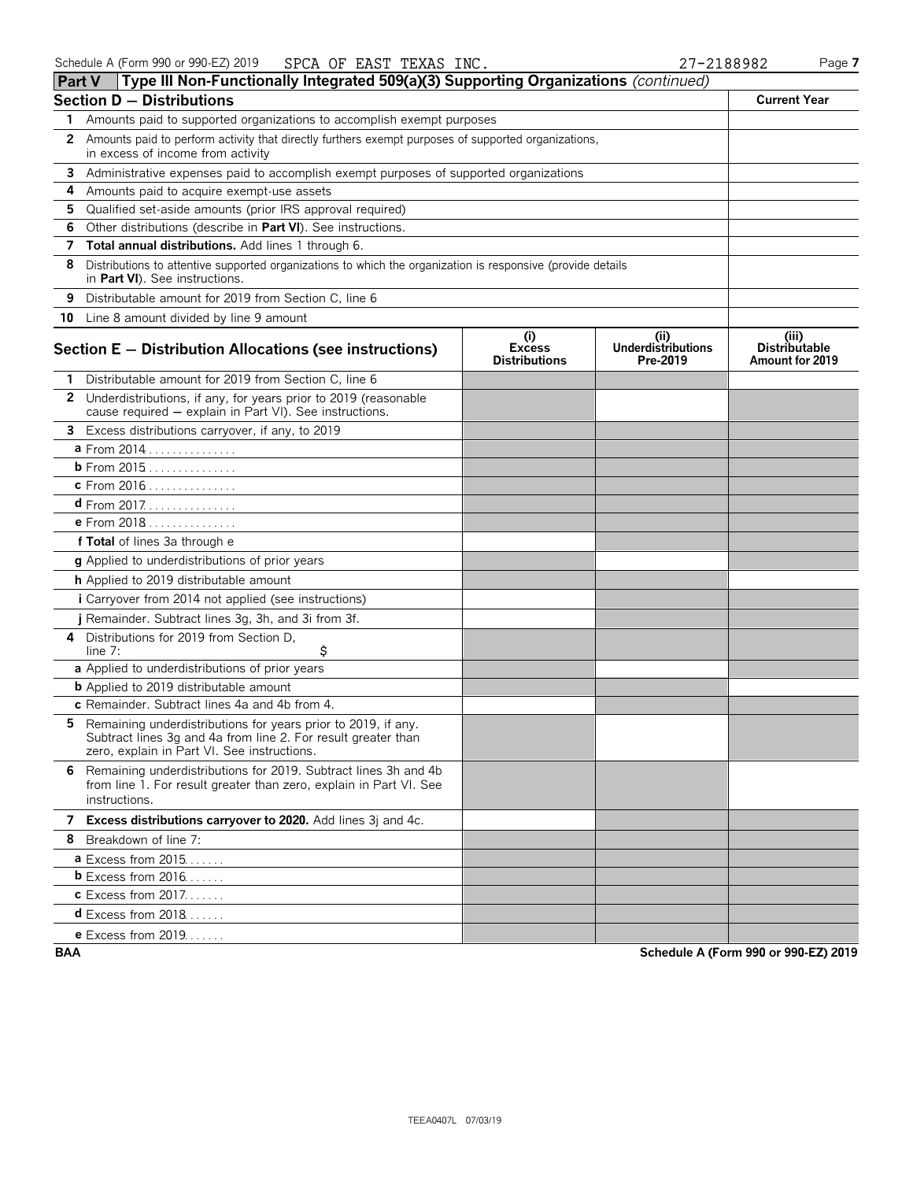| ⊪rart v                                                                                                      |                                                                                                                                                                                                                                                                                                                                                                                                                                                                                                                                                                                                                                                                                                                                                                                                                                                                                                                                                                                                                                                                                                                                                                                                                                      |                                                                                                                                                                  |                                                                                                                                                                                                                                                                                                                           |
|--------------------------------------------------------------------------------------------------------------|--------------------------------------------------------------------------------------------------------------------------------------------------------------------------------------------------------------------------------------------------------------------------------------------------------------------------------------------------------------------------------------------------------------------------------------------------------------------------------------------------------------------------------------------------------------------------------------------------------------------------------------------------------------------------------------------------------------------------------------------------------------------------------------------------------------------------------------------------------------------------------------------------------------------------------------------------------------------------------------------------------------------------------------------------------------------------------------------------------------------------------------------------------------------------------------------------------------------------------------|------------------------------------------------------------------------------------------------------------------------------------------------------------------|---------------------------------------------------------------------------------------------------------------------------------------------------------------------------------------------------------------------------------------------------------------------------------------------------------------------------|
|                                                                                                              |                                                                                                                                                                                                                                                                                                                                                                                                                                                                                                                                                                                                                                                                                                                                                                                                                                                                                                                                                                                                                                                                                                                                                                                                                                      |                                                                                                                                                                  | <b>Current Year</b>                                                                                                                                                                                                                                                                                                       |
|                                                                                                              |                                                                                                                                                                                                                                                                                                                                                                                                                                                                                                                                                                                                                                                                                                                                                                                                                                                                                                                                                                                                                                                                                                                                                                                                                                      |                                                                                                                                                                  |                                                                                                                                                                                                                                                                                                                           |
| in excess of income from activity                                                                            |                                                                                                                                                                                                                                                                                                                                                                                                                                                                                                                                                                                                                                                                                                                                                                                                                                                                                                                                                                                                                                                                                                                                                                                                                                      |                                                                                                                                                                  |                                                                                                                                                                                                                                                                                                                           |
|                                                                                                              |                                                                                                                                                                                                                                                                                                                                                                                                                                                                                                                                                                                                                                                                                                                                                                                                                                                                                                                                                                                                                                                                                                                                                                                                                                      |                                                                                                                                                                  |                                                                                                                                                                                                                                                                                                                           |
| Amounts paid to acquire exempt-use assets                                                                    |                                                                                                                                                                                                                                                                                                                                                                                                                                                                                                                                                                                                                                                                                                                                                                                                                                                                                                                                                                                                                                                                                                                                                                                                                                      |                                                                                                                                                                  |                                                                                                                                                                                                                                                                                                                           |
| Qualified set-aside amounts (prior IRS approval required)                                                    |                                                                                                                                                                                                                                                                                                                                                                                                                                                                                                                                                                                                                                                                                                                                                                                                                                                                                                                                                                                                                                                                                                                                                                                                                                      |                                                                                                                                                                  |                                                                                                                                                                                                                                                                                                                           |
| Other distributions (describe in Part VI). See instructions.                                                 |                                                                                                                                                                                                                                                                                                                                                                                                                                                                                                                                                                                                                                                                                                                                                                                                                                                                                                                                                                                                                                                                                                                                                                                                                                      |                                                                                                                                                                  |                                                                                                                                                                                                                                                                                                                           |
| Total annual distributions. Add lines 1 through 6.                                                           |                                                                                                                                                                                                                                                                                                                                                                                                                                                                                                                                                                                                                                                                                                                                                                                                                                                                                                                                                                                                                                                                                                                                                                                                                                      |                                                                                                                                                                  |                                                                                                                                                                                                                                                                                                                           |
| in Part VI). See instructions.                                                                               |                                                                                                                                                                                                                                                                                                                                                                                                                                                                                                                                                                                                                                                                                                                                                                                                                                                                                                                                                                                                                                                                                                                                                                                                                                      |                                                                                                                                                                  |                                                                                                                                                                                                                                                                                                                           |
| Distributable amount for 2019 from Section C, line 6                                                         |                                                                                                                                                                                                                                                                                                                                                                                                                                                                                                                                                                                                                                                                                                                                                                                                                                                                                                                                                                                                                                                                                                                                                                                                                                      |                                                                                                                                                                  |                                                                                                                                                                                                                                                                                                                           |
|                                                                                                              |                                                                                                                                                                                                                                                                                                                                                                                                                                                                                                                                                                                                                                                                                                                                                                                                                                                                                                                                                                                                                                                                                                                                                                                                                                      |                                                                                                                                                                  |                                                                                                                                                                                                                                                                                                                           |
|                                                                                                              | (i)<br><b>Excess</b><br><b>Distributions</b>                                                                                                                                                                                                                                                                                                                                                                                                                                                                                                                                                                                                                                                                                                                                                                                                                                                                                                                                                                                                                                                                                                                                                                                         | (ii)<br><b>Underdistributions</b><br>Pre-2019                                                                                                                    | (iii)<br><b>Distributable</b><br><b>Amount for 2019</b>                                                                                                                                                                                                                                                                   |
|                                                                                                              |                                                                                                                                                                                                                                                                                                                                                                                                                                                                                                                                                                                                                                                                                                                                                                                                                                                                                                                                                                                                                                                                                                                                                                                                                                      |                                                                                                                                                                  |                                                                                                                                                                                                                                                                                                                           |
| cause required - explain in Part VI). See instructions.                                                      |                                                                                                                                                                                                                                                                                                                                                                                                                                                                                                                                                                                                                                                                                                                                                                                                                                                                                                                                                                                                                                                                                                                                                                                                                                      |                                                                                                                                                                  |                                                                                                                                                                                                                                                                                                                           |
|                                                                                                              |                                                                                                                                                                                                                                                                                                                                                                                                                                                                                                                                                                                                                                                                                                                                                                                                                                                                                                                                                                                                                                                                                                                                                                                                                                      |                                                                                                                                                                  |                                                                                                                                                                                                                                                                                                                           |
|                                                                                                              |                                                                                                                                                                                                                                                                                                                                                                                                                                                                                                                                                                                                                                                                                                                                                                                                                                                                                                                                                                                                                                                                                                                                                                                                                                      |                                                                                                                                                                  |                                                                                                                                                                                                                                                                                                                           |
|                                                                                                              |                                                                                                                                                                                                                                                                                                                                                                                                                                                                                                                                                                                                                                                                                                                                                                                                                                                                                                                                                                                                                                                                                                                                                                                                                                      |                                                                                                                                                                  |                                                                                                                                                                                                                                                                                                                           |
|                                                                                                              |                                                                                                                                                                                                                                                                                                                                                                                                                                                                                                                                                                                                                                                                                                                                                                                                                                                                                                                                                                                                                                                                                                                                                                                                                                      |                                                                                                                                                                  |                                                                                                                                                                                                                                                                                                                           |
|                                                                                                              |                                                                                                                                                                                                                                                                                                                                                                                                                                                                                                                                                                                                                                                                                                                                                                                                                                                                                                                                                                                                                                                                                                                                                                                                                                      |                                                                                                                                                                  |                                                                                                                                                                                                                                                                                                                           |
|                                                                                                              |                                                                                                                                                                                                                                                                                                                                                                                                                                                                                                                                                                                                                                                                                                                                                                                                                                                                                                                                                                                                                                                                                                                                                                                                                                      |                                                                                                                                                                  |                                                                                                                                                                                                                                                                                                                           |
|                                                                                                              |                                                                                                                                                                                                                                                                                                                                                                                                                                                                                                                                                                                                                                                                                                                                                                                                                                                                                                                                                                                                                                                                                                                                                                                                                                      |                                                                                                                                                                  |                                                                                                                                                                                                                                                                                                                           |
|                                                                                                              |                                                                                                                                                                                                                                                                                                                                                                                                                                                                                                                                                                                                                                                                                                                                                                                                                                                                                                                                                                                                                                                                                                                                                                                                                                      |                                                                                                                                                                  |                                                                                                                                                                                                                                                                                                                           |
|                                                                                                              |                                                                                                                                                                                                                                                                                                                                                                                                                                                                                                                                                                                                                                                                                                                                                                                                                                                                                                                                                                                                                                                                                                                                                                                                                                      |                                                                                                                                                                  |                                                                                                                                                                                                                                                                                                                           |
|                                                                                                              |                                                                                                                                                                                                                                                                                                                                                                                                                                                                                                                                                                                                                                                                                                                                                                                                                                                                                                                                                                                                                                                                                                                                                                                                                                      |                                                                                                                                                                  |                                                                                                                                                                                                                                                                                                                           |
|                                                                                                              |                                                                                                                                                                                                                                                                                                                                                                                                                                                                                                                                                                                                                                                                                                                                                                                                                                                                                                                                                                                                                                                                                                                                                                                                                                      |                                                                                                                                                                  |                                                                                                                                                                                                                                                                                                                           |
| \$<br>line 7:                                                                                                |                                                                                                                                                                                                                                                                                                                                                                                                                                                                                                                                                                                                                                                                                                                                                                                                                                                                                                                                                                                                                                                                                                                                                                                                                                      |                                                                                                                                                                  |                                                                                                                                                                                                                                                                                                                           |
|                                                                                                              |                                                                                                                                                                                                                                                                                                                                                                                                                                                                                                                                                                                                                                                                                                                                                                                                                                                                                                                                                                                                                                                                                                                                                                                                                                      |                                                                                                                                                                  |                                                                                                                                                                                                                                                                                                                           |
|                                                                                                              |                                                                                                                                                                                                                                                                                                                                                                                                                                                                                                                                                                                                                                                                                                                                                                                                                                                                                                                                                                                                                                                                                                                                                                                                                                      |                                                                                                                                                                  |                                                                                                                                                                                                                                                                                                                           |
|                                                                                                              |                                                                                                                                                                                                                                                                                                                                                                                                                                                                                                                                                                                                                                                                                                                                                                                                                                                                                                                                                                                                                                                                                                                                                                                                                                      |                                                                                                                                                                  |                                                                                                                                                                                                                                                                                                                           |
| Subtract lines 3g and 4a from line 2. For result greater than<br>zero, explain in Part VI. See instructions. |                                                                                                                                                                                                                                                                                                                                                                                                                                                                                                                                                                                                                                                                                                                                                                                                                                                                                                                                                                                                                                                                                                                                                                                                                                      |                                                                                                                                                                  |                                                                                                                                                                                                                                                                                                                           |
| from line 1. For result greater than zero, explain in Part VI. See<br>instructions.                          |                                                                                                                                                                                                                                                                                                                                                                                                                                                                                                                                                                                                                                                                                                                                                                                                                                                                                                                                                                                                                                                                                                                                                                                                                                      |                                                                                                                                                                  |                                                                                                                                                                                                                                                                                                                           |
|                                                                                                              |                                                                                                                                                                                                                                                                                                                                                                                                                                                                                                                                                                                                                                                                                                                                                                                                                                                                                                                                                                                                                                                                                                                                                                                                                                      |                                                                                                                                                                  |                                                                                                                                                                                                                                                                                                                           |
|                                                                                                              |                                                                                                                                                                                                                                                                                                                                                                                                                                                                                                                                                                                                                                                                                                                                                                                                                                                                                                                                                                                                                                                                                                                                                                                                                                      |                                                                                                                                                                  |                                                                                                                                                                                                                                                                                                                           |
|                                                                                                              |                                                                                                                                                                                                                                                                                                                                                                                                                                                                                                                                                                                                                                                                                                                                                                                                                                                                                                                                                                                                                                                                                                                                                                                                                                      |                                                                                                                                                                  |                                                                                                                                                                                                                                                                                                                           |
|                                                                                                              |                                                                                                                                                                                                                                                                                                                                                                                                                                                                                                                                                                                                                                                                                                                                                                                                                                                                                                                                                                                                                                                                                                                                                                                                                                      |                                                                                                                                                                  |                                                                                                                                                                                                                                                                                                                           |
|                                                                                                              |                                                                                                                                                                                                                                                                                                                                                                                                                                                                                                                                                                                                                                                                                                                                                                                                                                                                                                                                                                                                                                                                                                                                                                                                                                      |                                                                                                                                                                  |                                                                                                                                                                                                                                                                                                                           |
|                                                                                                              |                                                                                                                                                                                                                                                                                                                                                                                                                                                                                                                                                                                                                                                                                                                                                                                                                                                                                                                                                                                                                                                                                                                                                                                                                                      |                                                                                                                                                                  |                                                                                                                                                                                                                                                                                                                           |
|                                                                                                              |                                                                                                                                                                                                                                                                                                                                                                                                                                                                                                                                                                                                                                                                                                                                                                                                                                                                                                                                                                                                                                                                                                                                                                                                                                      |                                                                                                                                                                  |                                                                                                                                                                                                                                                                                                                           |
|                                                                                                              | <b>Section D - Distributions</b><br>10 Line 8 amount divided by line 9 amount<br>Section $E -$ Distribution Allocations (see instructions)<br>1 Distributable amount for 2019 from Section C, line 6<br>2 Underdistributions, if any, for years prior to 2019 (reasonable<br>3 Excess distributions carryover, if any, to 2019<br>a From 2014<br>c From 2016<br><b>d</b> From 2017.<br>e From 2018<br>f Total of lines 3a through e<br>g Applied to underdistributions of prior years<br><b>h</b> Applied to 2019 distributable amount<br><i>i</i> Carryover from 2014 not applied (see instructions)<br>j Remainder. Subtract lines 3g, 3h, and 3i from 3f.<br>4 Distributions for 2019 from Section D.<br>a Applied to underdistributions of prior years<br><b>b</b> Applied to 2019 distributable amount<br>c Remainder. Subtract lines 4a and 4b from 4.<br>5 Remaining underdistributions for years prior to 2019, if any.<br>6 Remaining underdistributions for 2019. Subtract lines 3h and 4b<br>7 Excess distributions carryover to 2020. Add lines 3j and 4c.<br>8 Breakdown of line 7:<br><b>a</b> Excess from 2015<br>$b$ Excess from 2016<br>$c$ Excess from 2017.<br>$d$ Excess from 2018<br><b>e</b> Excess from 2019. | Amounts paid to supported organizations to accomplish exempt purposes<br>3 Administrative expenses paid to accomplish exempt purposes of supported organizations | <b>Type in Non-Functionally integrated 509(a)(5) supporting Organizations</b> ( <i>continued)</i><br>2 Amounts paid to perform activity that directly furthers exempt purposes of supported organizations,<br>Distributions to attentive supported organizations to which the organization is responsive (provide details |

**BAA Schedule A (Form 990 or 990-EZ) 2019**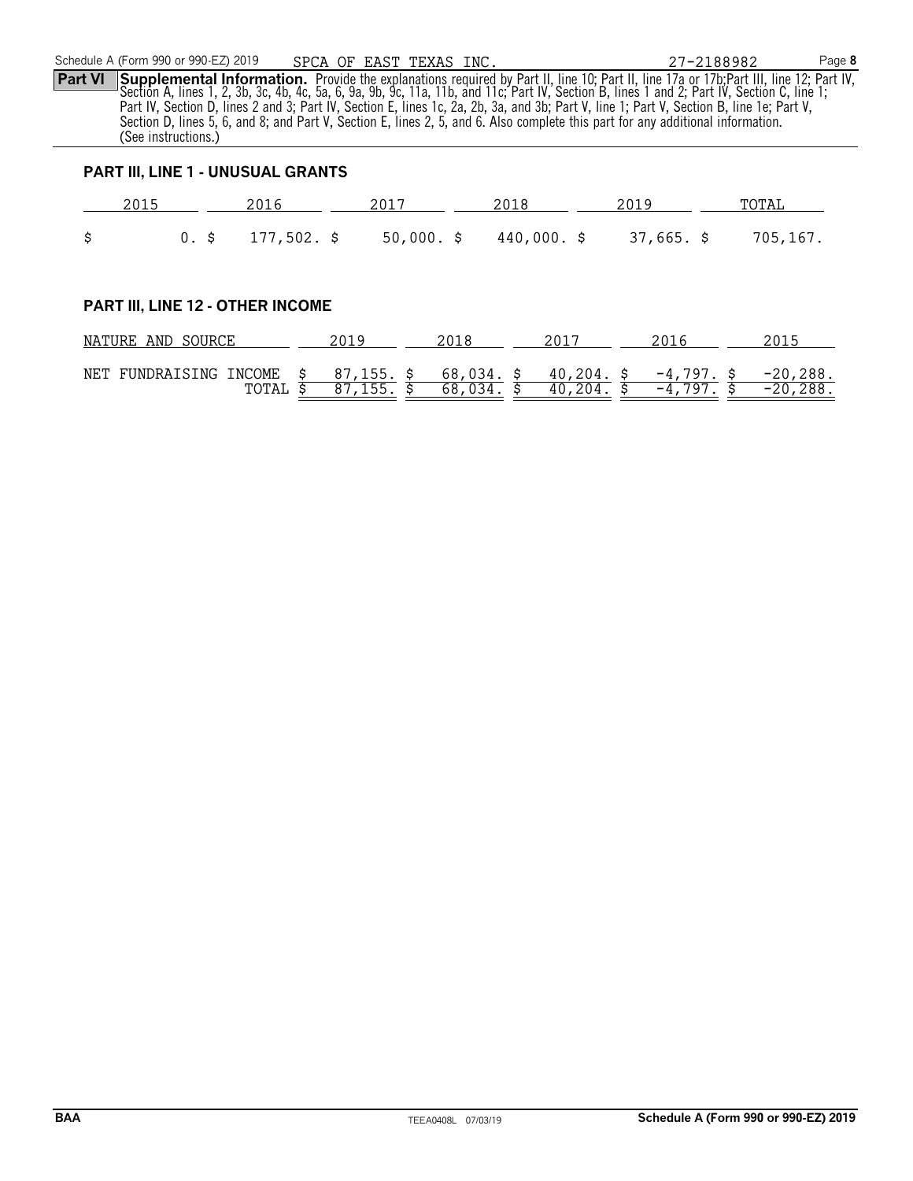**Part VI** Supplemental Information. Provide the explanations required by Part II, line 10; Part II, line 17a or 17b; Part III, line 12; Part IV, Section A, lines 1, 2, 3b, 3c, 4b, 4c, 5a, 6, 9a, 9b, 9c, 11a, 11b, and 11c; Part IV, Section B, lines 1 and 2; Part IV, Section C, line 1; Part IV, Section D, lines 2 and 3; Part IV, Section E, lines 1c, 2a, 2b, 3a, and 3b; Part V, line 1; Part V, Section B, line 1e; Part V, Section D, lines 5, 6, and 8; and Part V, Section E, lines 2, 5, and 6. Also complete this part for any additional information. (See instructions.)

## **PART III, LINE 1 - UNUSUAL GRANTS**

| 2015 2016 |  |  |  |  |  |                                                            |
|-----------|--|--|--|--|--|------------------------------------------------------------|
|           |  |  |  |  |  | $0.$ \$ 177,502.\$ 50,000.\$ 440,000.\$ 37,665.\$ 705,167. |

## **PART III, LINE 12 - OTHER INCOME**

| NATURE AND SOURCE         | 2019       | 2018       | 2017       | 201    |            |
|---------------------------|------------|------------|------------|--------|------------|
| NET FUNDRAISING INCOME \$ | 87,155. \$ | 68,034. \$ | 40,204. \$ | -4,797 | $-20,288.$ |
| TOTAL                     | ה ב        | 68,034.    | 40,204.    | -4     | $-20.288.$ |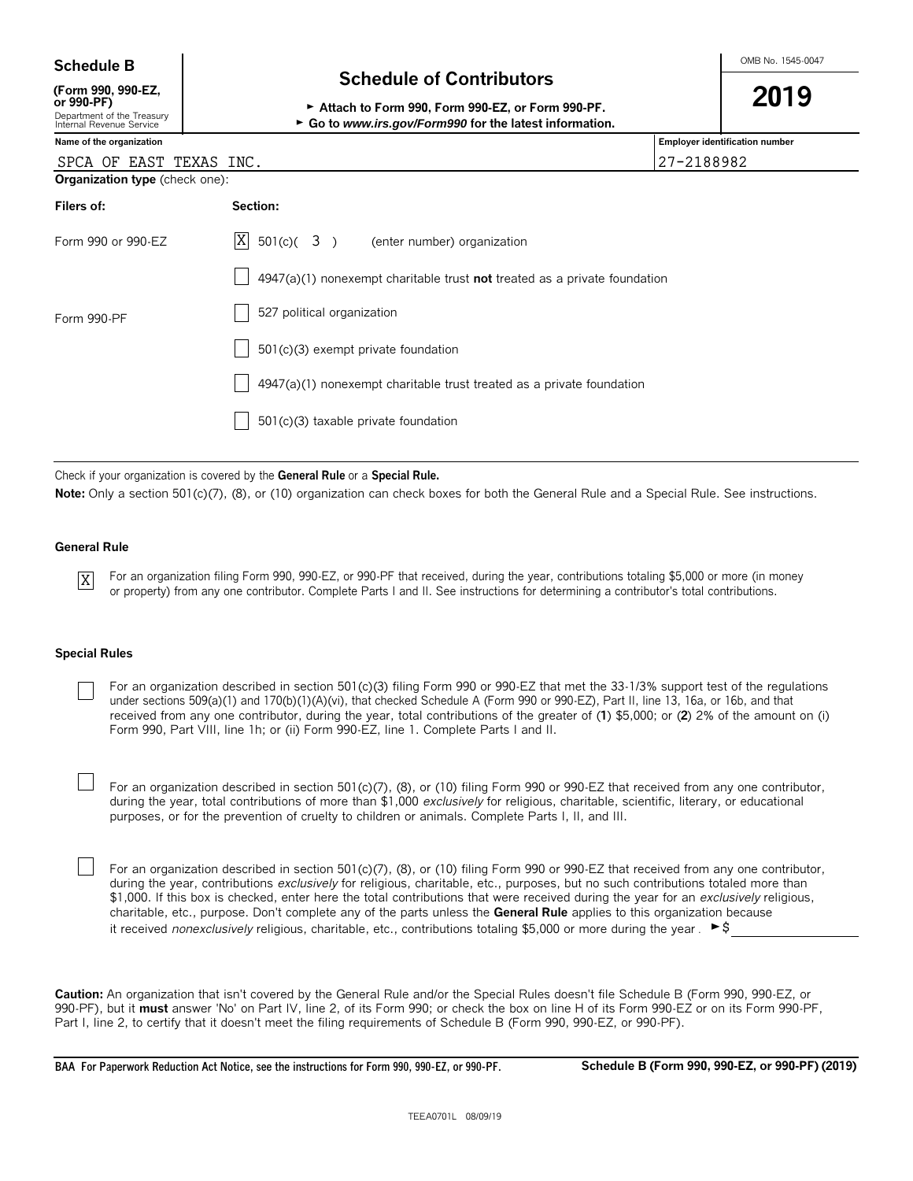| Schedule B                                                           |                                                                                                             | OMB No. 1545-0047 |  |  |
|----------------------------------------------------------------------|-------------------------------------------------------------------------------------------------------------|-------------------|--|--|
| (Form 990, 990-EZ,                                                   | <b>Schedule of Contributors</b>                                                                             |                   |  |  |
| or 990-PF)<br>Department of the Treasury<br>Internal Revenue Service | Attach to Form 990, Form 990-EZ, or Form 990-PF.<br>► Go to www.irs.gov/Form990 for the latest information. | 2019              |  |  |
| Name of the organization                                             | <b>Employer identification number</b>                                                                       |                   |  |  |
| SPCA OF EAST TEXAS INC.                                              | 27-2188982                                                                                                  |                   |  |  |
| <b>Organization type</b> (check one):                                |                                                                                                             |                   |  |  |
| Filers of:                                                           | Section:                                                                                                    |                   |  |  |
| Form 990 or 990-EZ                                                   | X<br>$501(c)$ $(3)$ (enter number) organization                                                             |                   |  |  |
|                                                                      | $4947(a)(1)$ nonexempt charitable trust <b>not</b> treated as a private foundation                          |                   |  |  |
| Form 990-PF                                                          | 527 political organization                                                                                  |                   |  |  |
|                                                                      | 501(c)(3) exempt private foundation                                                                         |                   |  |  |
|                                                                      | 4947(a)(1) nonexempt charitable trust treated as a private foundation                                       |                   |  |  |
|                                                                      | 501(c)(3) taxable private foundation                                                                        |                   |  |  |

Check if your organization is covered by the **General Rule** or a **Special Rule.**

Note: Only a section 501(c)(7), (8), or (10) organization can check boxes for both the General Rule and a Special Rule. See instructions.

### **General Rule**

X

For an organization filing Form 990, 990-EZ, or 990-PF that received, during the year, contributions totaling \$5,000 or more (in money or property) from any one contributor. Complete Parts I and II. See instructions for determining a contributor's total contributions.

### **Special Rules**

For an organization described in section 501(c)(3) filing Form 990 or 990-EZ that met the 33-1/3% support test of the regulations under sections 509(a)(1) and 170(b)(1)(A)(vi), that checked Schedule A (Form 990 or 990-EZ), Part II, line 13, 16a, or 16b, and that received from any one contributor, during the year, total contributions of the greater of (**1**) \$5,000; or (**2**) 2% of the amount on (i) Form 990, Part VIII, line 1h; or (ii) Form 990-EZ, line 1. Complete Parts I and II.

For an organization described in section 501(c)(7), (8), or (10) filing Form 990 or 990-EZ that received from any one contributor, during the year, total contributions of more than \$1,000 *exclusively* for religious, charitable, scientific, literary, or educational purposes, or for the prevention of cruelty to children or animals. Complete Parts I, II, and III.

For an organization described in section 501(c)(7), (8), or (10) filing Form 990 or 990-EZ that received from any one contributor, during the year, contributions *exclusively* for religious, charitable, etc., purposes, but no such contributions totaled more than \$1,000. If this box is checked, enter here the total contributions that were received during the year for an *exclusively* religious, charitable, etc., purpose. Don't complete any of the parts unless the **General Rule** applies to this organization because it received *nonexclusively* religious, charitable, etc., contributions totaling \$5,000 or more during the year . ►\$

**Caution:** An organization that isn't covered by the General Rule and/or the Special Rules doesn't file Schedule B (Form 990, 990-EZ, or 990-PF), but it **must** answer 'No' on Part IV, line 2, of its Form 990; or check the box on line H of its Form 990-EZ or on its Form 990-PF, Part I, line 2, to certify that it doesn't meet the filing requirements of Schedule B (Form 990, 990-EZ, or 990-PF).

**BAA For Paperwork Reduction Act Notice, see the instructions for Form 990, 990-EZ, or 990-PF. Schedule B (Form 990, 990-EZ, or 990-PF) (2019)**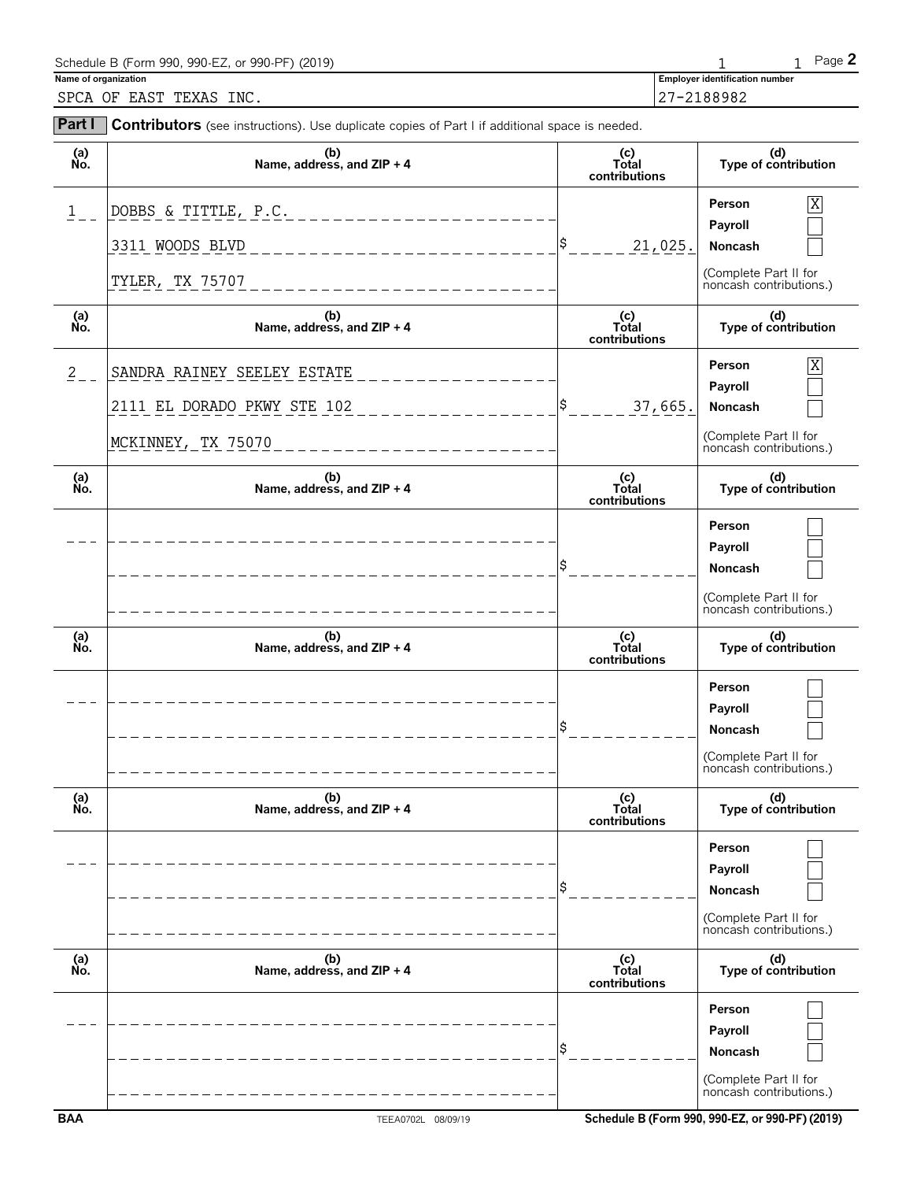| Schedule B (Form 990, 990-EZ, or 990-PF) (2019) |                                       | $P$ ade $\blacktriangle$ |
|-------------------------------------------------|---------------------------------------|--------------------------|
| Name of organization                            | <b>Employer identification number</b> |                          |
| SPCA OF EAST TEXAS<br>INC.                      | 27-2188982                            |                          |

|            | OLCU AL EUDI IEVUD IMA.                                                                                    |                               | 21-2100902                                                                              |
|------------|------------------------------------------------------------------------------------------------------------|-------------------------------|-----------------------------------------------------------------------------------------|
| Part I     | <b>Contributors</b> (see instructions). Use duplicate copies of Part I if additional space is needed.      |                               |                                                                                         |
| (a)<br>No. | (b)<br>Name, address, and $ZIP + 4$                                                                        | (c)<br>Total<br>contributions | (d)<br>Type of contribution                                                             |
| $1 \quad$  | DOBBS & TITTLE, P.C.<br>3311 WOODS BLVD<br>TYLER, TX 75707<br>-------------------                          | \$<br>21,025.                 | X<br>Person<br>Payroll<br>Noncash<br>(Complete Part II for<br>noncash contributions.)   |
| (a)<br>No. | (b)<br>Name, address, and ZIP + 4                                                                          | (c)<br>Total<br>contributions | (d)<br>Type of contribution                                                             |
| 2          | SANDRA RAINEY SEELEY ESTATE<br>2111 EL DORADO PKWY STE 102<br>MCKINNEY, TX 75070__________________________ | \$<br>37,665.                 | Person<br>Χ<br>Payroll<br>Noncash<br>(Complete Part II for<br>noncash contributions.)   |
| (a)<br>No. | (b)<br>Name, address, and ZIP + 4                                                                          | (c)<br>Total<br>contributions | (d)<br>Type of contribution                                                             |
|            |                                                                                                            |                               | Person<br>Payroll<br><b>Noncash</b><br>(Complete Part II for<br>noncash contributions.) |
| (a)<br>No. | (b)<br>Name, address, and ZIP + 4                                                                          | (c)<br>Total<br>contributions | (d)<br>Type of contribution                                                             |
|            |                                                                                                            |                               | Person                                                                                  |

**Payroll**

**Person Payroll**

(Complete Part II for noncash contributions.)

(Complete Part II for noncash contributions.)

\$ **Noncash**

\$ **Noncash**

**c**)<br>Total<br>contributions

**(a) (b) (c) (d) No. Name, address, and ZIP + 4 Total Type of contribution**

**(a) (b) (c) (d) No. Name, address, and ZIP + 4 Total Type of contribution**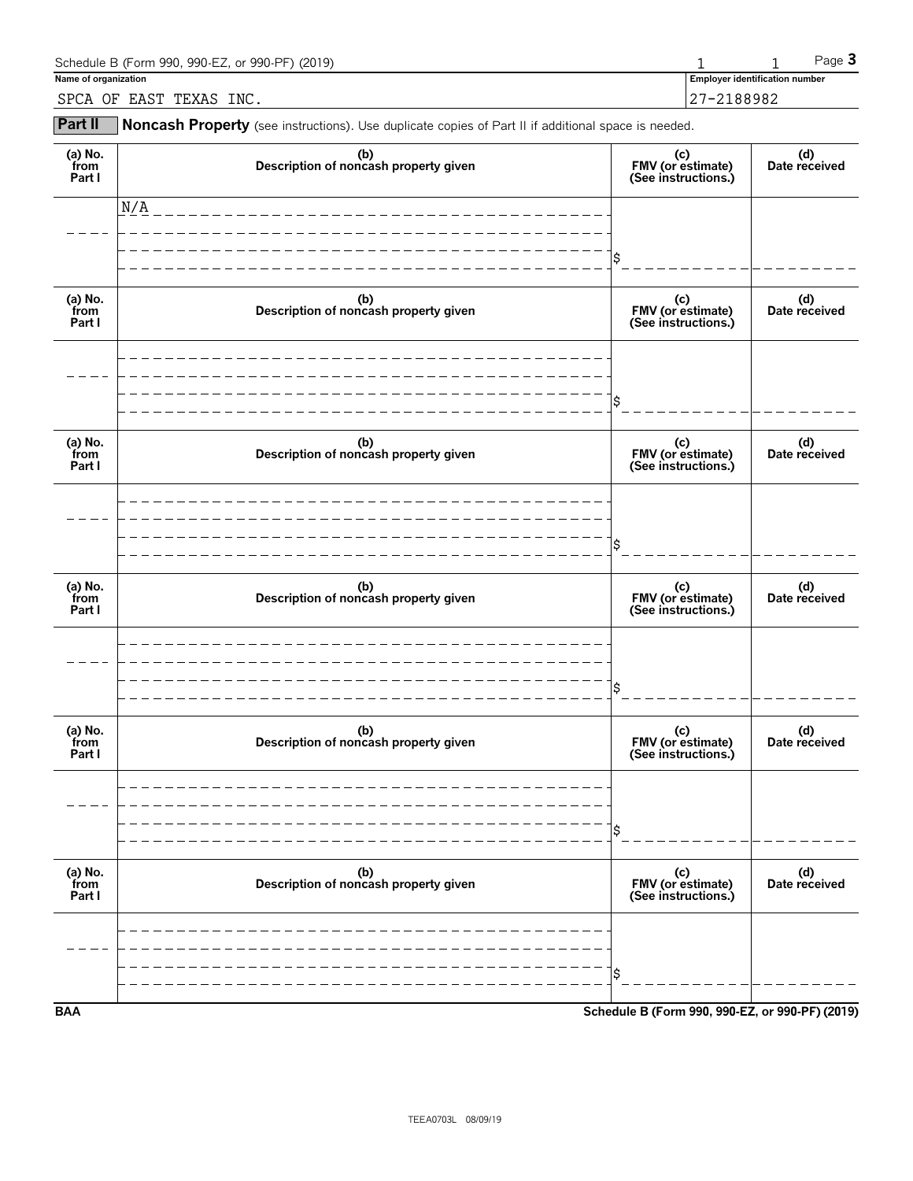| Schedule B (Form 990, 990-EZ, or 990-PF) (2019) |            |                                       | $P$ aqe $\bullet$ |  |
|-------------------------------------------------|------------|---------------------------------------|-------------------|--|
| Name of organization                            |            | <b>Employer identification number</b> |                   |  |
| SPCA OF EAST TEXAS<br>INC.                      | 27-2188982 |                                       |                   |  |

**Part II** Noncash Property (see instructions). Use duplicate copies of Part II if additional space is needed.

| (a) No.<br>from<br>Part I | (b)<br>Description of noncash property given | (c)<br>FMV (or estimate)<br>(See instructions.) | (d)<br>Date received |
|---------------------------|----------------------------------------------|-------------------------------------------------|----------------------|
|                           | N/A<br>----------------------------          |                                                 |                      |
|                           |                                              | \$                                              |                      |
| (a) No.<br>from<br>Part I | (b)<br>Description of noncash property given | (c)<br>FMV (or estimate)<br>(See instructions.) | (d)<br>Date received |
|                           |                                              |                                                 |                      |
|                           |                                              | \$                                              |                      |
| (a) No.<br>from<br>Part I | (b)<br>Description of noncash property given | (c)<br>FMV (or estimate)<br>(See instructions.) | (d)<br>Date received |
|                           |                                              |                                                 |                      |
|                           |                                              | \$                                              |                      |
| (a) No.<br>from<br>Part I | (b)<br>Description of noncash property given | (c)<br>FMV (or estimate)<br>(See instructions.) | (d)<br>Date received |
|                           |                                              |                                                 |                      |
|                           |                                              | \$                                              |                      |
| (a) No.<br>from<br>Part I | (b)<br>Description of noncash property given | (c)<br>FMV (or estimate)<br>(See instructions.) | (d)<br>Date received |
|                           |                                              |                                                 |                      |
|                           |                                              | \$                                              |                      |
| (a) No.<br>from<br>Part I | (b)<br>Description of noncash property given | (c)<br>FMV (or estimate)<br>(See instructions.) | (d)<br>Date received |
|                           |                                              |                                                 |                      |
|                           |                                              | \$                                              |                      |
| <b>BAA</b>                |                                              | Schedule B (Form 990, 990-EZ, or 990-PF) (2019) |                      |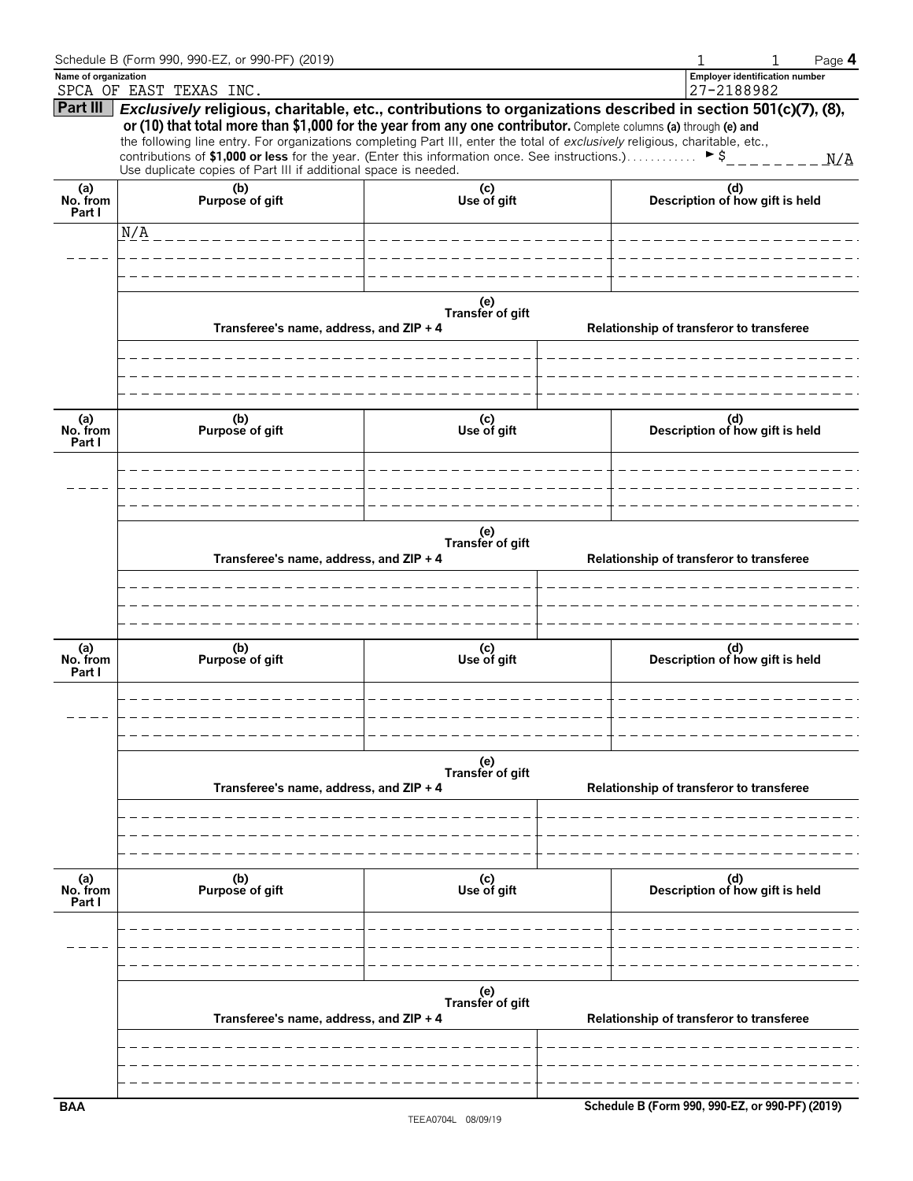|                           | Schedule B (Form 990, 990-EZ, or 990-PF) (2019)                                                                                                                                                                                                                                                                                                                                                                                                                                                                                                            |                                                                                                                |                                          | Page 4                                              |  |  |  |
|---------------------------|------------------------------------------------------------------------------------------------------------------------------------------------------------------------------------------------------------------------------------------------------------------------------------------------------------------------------------------------------------------------------------------------------------------------------------------------------------------------------------------------------------------------------------------------------------|----------------------------------------------------------------------------------------------------------------|------------------------------------------|-----------------------------------------------------|--|--|--|
| Name of organization      | SPCA OF EAST TEXAS INC.                                                                                                                                                                                                                                                                                                                                                                                                                                                                                                                                    |                                                                                                                |                                          | <b>Employer identification number</b><br>27-2188982 |  |  |  |
| Part III                  | Exclusively religious, charitable, etc., contributions to organizations described in section 501(c)(7), (8),<br>or (10) that total more than \$1,000 for the year from any one contributor. Complete columns (a) through (e) and<br>the following line entry. For organizations completing Part III, enter the total of exclusively religious, charitable, etc.,<br>contributions of \$1,000 or less for the year. (Enter this information once. See instructions.) $\triangleright$ \$<br>Use duplicate copies of Part III if additional space is needed. |                                                                                                                |                                          |                                                     |  |  |  |
| (a)<br>No. from<br>Part I | (b)<br>Purpose of gift                                                                                                                                                                                                                                                                                                                                                                                                                                                                                                                                     | (c)<br>Use of gift                                                                                             |                                          | (d)<br>Description of how gift is held              |  |  |  |
|                           | N/A                                                                                                                                                                                                                                                                                                                                                                                                                                                                                                                                                        |                                                                                                                |                                          |                                                     |  |  |  |
|                           |                                                                                                                                                                                                                                                                                                                                                                                                                                                                                                                                                            |                                                                                                                |                                          |                                                     |  |  |  |
|                           |                                                                                                                                                                                                                                                                                                                                                                                                                                                                                                                                                            |                                                                                                                |                                          |                                                     |  |  |  |
|                           |                                                                                                                                                                                                                                                                                                                                                                                                                                                                                                                                                            | (e)<br>Transfer of gift<br>Transferee's name, address, and ZIP + 4<br>Relationship of transferor to transferee |                                          |                                                     |  |  |  |
|                           |                                                                                                                                                                                                                                                                                                                                                                                                                                                                                                                                                            |                                                                                                                |                                          |                                                     |  |  |  |
| (a)<br>No. from<br>Part I | (b)<br>Purpose of gift                                                                                                                                                                                                                                                                                                                                                                                                                                                                                                                                     | (c)<br>Use of gift                                                                                             |                                          | (d)<br>Description of how gift is held              |  |  |  |
|                           |                                                                                                                                                                                                                                                                                                                                                                                                                                                                                                                                                            |                                                                                                                |                                          |                                                     |  |  |  |
|                           | (e)<br>Transfer of gift<br>Transferee's name, address, and ZIP + 4                                                                                                                                                                                                                                                                                                                                                                                                                                                                                         |                                                                                                                |                                          | Relationship of transferor to transferee            |  |  |  |
|                           |                                                                                                                                                                                                                                                                                                                                                                                                                                                                                                                                                            |                                                                                                                |                                          |                                                     |  |  |  |
| (a)<br>No. from<br>Part I | (b)<br>Purpose of gift                                                                                                                                                                                                                                                                                                                                                                                                                                                                                                                                     | (c)<br>Use of gift                                                                                             |                                          | (d)<br>Description of how gift is held              |  |  |  |
|                           |                                                                                                                                                                                                                                                                                                                                                                                                                                                                                                                                                            |                                                                                                                |                                          |                                                     |  |  |  |
|                           | Transferee's name, address, and ZIP + 4                                                                                                                                                                                                                                                                                                                                                                                                                                                                                                                    | (e)<br>Transfer of gift                                                                                        | Relationship of transferor to transferee |                                                     |  |  |  |
|                           |                                                                                                                                                                                                                                                                                                                                                                                                                                                                                                                                                            |                                                                                                                |                                          |                                                     |  |  |  |
|                           |                                                                                                                                                                                                                                                                                                                                                                                                                                                                                                                                                            |                                                                                                                |                                          |                                                     |  |  |  |
| (a)<br>No. from<br>Part I | (b)<br>Purpose of gift                                                                                                                                                                                                                                                                                                                                                                                                                                                                                                                                     | (c)<br>Use of gift                                                                                             |                                          | (d)<br>Description of how gift is held              |  |  |  |
|                           |                                                                                                                                                                                                                                                                                                                                                                                                                                                                                                                                                            |                                                                                                                |                                          |                                                     |  |  |  |
|                           |                                                                                                                                                                                                                                                                                                                                                                                                                                                                                                                                                            |                                                                                                                |                                          |                                                     |  |  |  |
|                           | Transferee's name, address, and ZIP + 4                                                                                                                                                                                                                                                                                                                                                                                                                                                                                                                    | (e)<br>Transfer of gift                                                                                        | Relationship of transferor to transferee |                                                     |  |  |  |
|                           |                                                                                                                                                                                                                                                                                                                                                                                                                                                                                                                                                            |                                                                                                                |                                          |                                                     |  |  |  |
| <b>BAA</b>                |                                                                                                                                                                                                                                                                                                                                                                                                                                                                                                                                                            |                                                                                                                |                                          | Schedule B (Form 990, 990-EZ, or 990-PF) (2019)     |  |  |  |
|                           |                                                                                                                                                                                                                                                                                                                                                                                                                                                                                                                                                            |                                                                                                                |                                          |                                                     |  |  |  |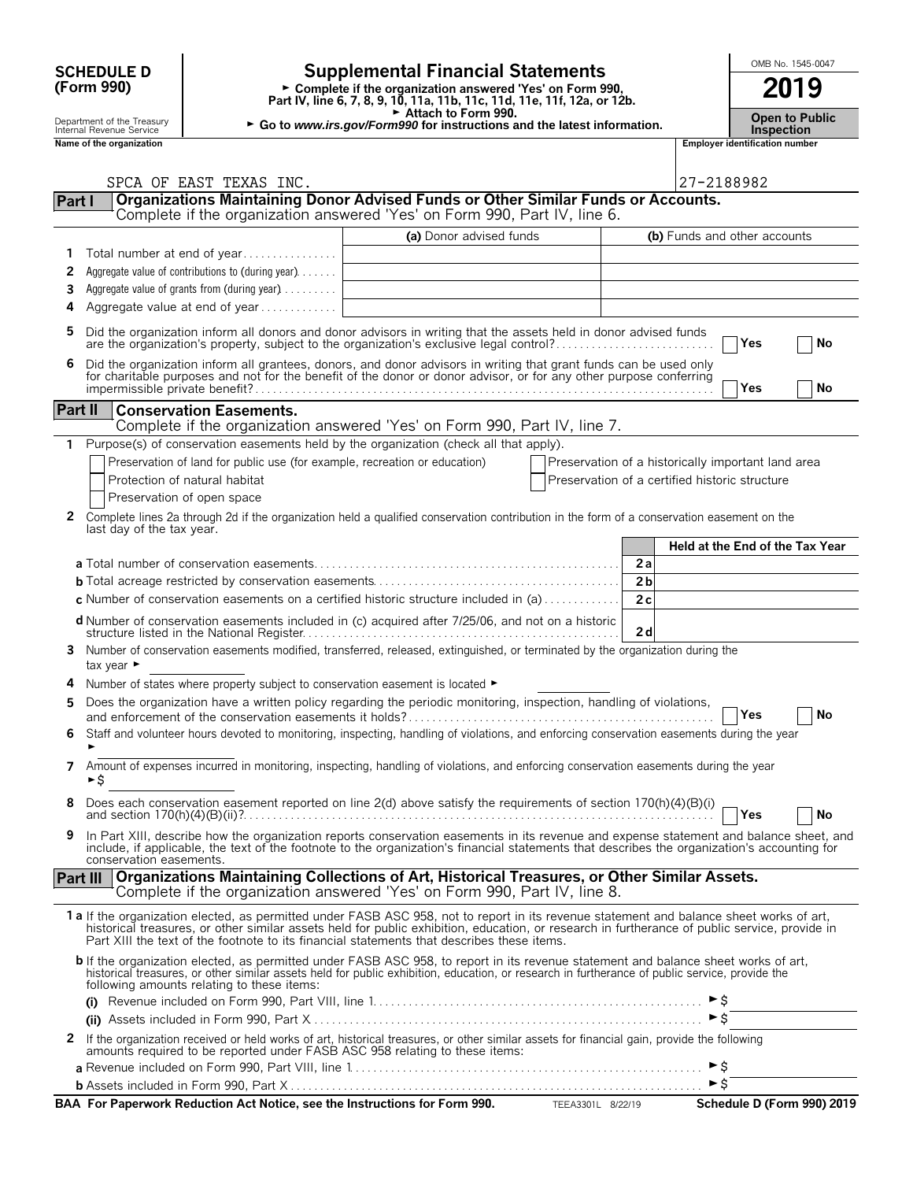| <b>SCHEDULE D</b> |  |
|-------------------|--|
| (Form 990)        |  |

## **SCHEDULE D Supplemental Financial Statements CHEDULE D COLE 2018**

**Part IV, line 6, 7, 8, 9, 10, 11a, 11b, 11c, 11d, 11e, 11f, 12a, or 12b.**<br>
Part IV, line 6, 7, 8, 9, 10, 11a, 11b, 11c, 11d, 11e, 11f, 12a, or 12b.

Department of the Treasury **Open to Public**<br>Internal Revenue Service **Inspection**<br>Inspection **National Revenue Service**<br>
Internal Revenue Service<br>
Name of the organization<br>
Name of the organization

|              | SPCA OF EAST TEXAS INC.                                                                                                                                                                                                                                                                                                                                                                |                         |                                                | 27-2188982                                         |
|--------------|----------------------------------------------------------------------------------------------------------------------------------------------------------------------------------------------------------------------------------------------------------------------------------------------------------------------------------------------------------------------------------------|-------------------------|------------------------------------------------|----------------------------------------------------|
| Part I       | Organizations Maintaining Donor Advised Funds or Other Similar Funds or Accounts.<br>Complete if the organization answered 'Yes' on Form 990, Part IV, line 6.                                                                                                                                                                                                                         |                         |                                                |                                                    |
|              |                                                                                                                                                                                                                                                                                                                                                                                        | (a) Donor advised funds |                                                | (b) Funds and other accounts                       |
| 1            | Total number at end of year                                                                                                                                                                                                                                                                                                                                                            |                         |                                                |                                                    |
| 2            | Aggregate value of contributions to (during year)                                                                                                                                                                                                                                                                                                                                      |                         |                                                |                                                    |
| 3            | Aggregate value of grants from (during year)                                                                                                                                                                                                                                                                                                                                           |                         |                                                |                                                    |
| 4            | Aggregate value at end of year                                                                                                                                                                                                                                                                                                                                                         |                         |                                                |                                                    |
| 5            | Did the organization inform all donors and donor advisors in writing that the assets held in donor advised funds                                                                                                                                                                                                                                                                       |                         |                                                |                                                    |
|              | are the organization's property, subject to the organization's exclusive legal control?                                                                                                                                                                                                                                                                                                |                         |                                                | Yes<br>No                                          |
| 6            | Did the organization inform all grantees, donors, and donor advisors in writing that grant funds can be used only for charitable purposes and not for the benefit of the donor or donor advisor, or for any other purpose conf                                                                                                                                                         |                         |                                                | Yes<br>No                                          |
| Part II      | <b>Conservation Easements.</b>                                                                                                                                                                                                                                                                                                                                                         |                         |                                                |                                                    |
|              | Complete if the organization answered 'Yes' on Form 990, Part IV, line 7.                                                                                                                                                                                                                                                                                                              |                         |                                                |                                                    |
|              | 1 Purpose(s) of conservation easements held by the organization (check all that apply).                                                                                                                                                                                                                                                                                                |                         |                                                |                                                    |
|              | Preservation of land for public use (for example, recreation or education)                                                                                                                                                                                                                                                                                                             |                         |                                                | Preservation of a historically important land area |
|              | Protection of natural habitat                                                                                                                                                                                                                                                                                                                                                          |                         | Preservation of a certified historic structure |                                                    |
|              | Preservation of open space                                                                                                                                                                                                                                                                                                                                                             |                         |                                                |                                                    |
| 2            | Complete lines 2a through 2d if the organization held a qualified conservation contribution in the form of a conservation easement on the<br>last day of the tax year.                                                                                                                                                                                                                 |                         |                                                |                                                    |
|              |                                                                                                                                                                                                                                                                                                                                                                                        |                         |                                                | Held at the End of the Tax Year                    |
|              |                                                                                                                                                                                                                                                                                                                                                                                        |                         | 2a                                             |                                                    |
|              |                                                                                                                                                                                                                                                                                                                                                                                        |                         | 2 <sub>b</sub>                                 |                                                    |
|              | c Number of conservation easements on a certified historic structure included in (a)                                                                                                                                                                                                                                                                                                   |                         | 2c                                             |                                                    |
|              | d Number of conservation easements included in (c) acquired after 7/25/06, and not on a historic                                                                                                                                                                                                                                                                                       |                         |                                                |                                                    |
|              |                                                                                                                                                                                                                                                                                                                                                                                        |                         | 2d                                             |                                                    |
|              | Number of conservation easements modified, transferred, released, extinguished, or terminated by the organization during the<br>tax year ►                                                                                                                                                                                                                                             |                         |                                                |                                                    |
|              | Number of states where property subject to conservation easement is located ►                                                                                                                                                                                                                                                                                                          |                         |                                                |                                                    |
| 5            | Does the organization have a written policy regarding the periodic monitoring, inspection, handling of violations,                                                                                                                                                                                                                                                                     |                         |                                                |                                                    |
|              |                                                                                                                                                                                                                                                                                                                                                                                        |                         |                                                | <b>IYes</b><br>No                                  |
| 6            | Staff and volunteer hours devoted to monitoring, inspecting, handling of violations, and enforcing conservation easements during the year                                                                                                                                                                                                                                              |                         |                                                |                                                    |
| 7            | Amount of expenses incurred in monitoring, inspecting, handling of violations, and enforcing conservation easements during the year<br>►Ŝ                                                                                                                                                                                                                                              |                         |                                                |                                                    |
|              |                                                                                                                                                                                                                                                                                                                                                                                        |                         |                                                |                                                    |
|              | Does each conservation easement reported on line 2(d) above satisfy the requirements of section 170(h)(4)(B)(i)                                                                                                                                                                                                                                                                        |                         |                                                | $\lfloor$ No                                       |
|              | In Part XIII, describe how the organization reports conservation easements in its revenue and expense statement and balance sheet, and<br>include, if applicable, the text of the footnote to the organization's financial statements that describes the organization's accounting for<br>conservation easements.                                                                      |                         |                                                |                                                    |
|              | Part III   Organizations Maintaining Collections of Art, Historical Treasures, or Other Similar Assets.<br>Complete if the organization answered 'Yes' on Form 990, Part IV, line 8.                                                                                                                                                                                                   |                         |                                                |                                                    |
|              | 1a If the organization elected, as permitted under FASB ASC 958, not to report in its revenue statement and balance sheet works of art,<br>historical treasures, or other similar assets held for public exhibition, education, or research in furtherance of public service, provide in<br>Part XIII the text of the footnote to its financial statements that describes these items. |                         |                                                |                                                    |
|              | b If the organization elected, as permitted under FASB ASC 958, to report in its revenue statement and balance sheet works of art,<br>historical treasures, or other similar assets held for public exhibition, education, or research in furtherance of public service, provide the<br>following amounts relating to these items:                                                     |                         |                                                |                                                    |
|              |                                                                                                                                                                                                                                                                                                                                                                                        |                         |                                                | $\triangleright$ \$                                |
|              |                                                                                                                                                                                                                                                                                                                                                                                        |                         |                                                |                                                    |
| $\mathbf{z}$ | If the organization received or held works of art, historical treasures, or other similar assets for financial gain, provide the following<br>amounts required to be reported under FASB ASC 958 relating to these items:                                                                                                                                                              |                         |                                                |                                                    |
|              |                                                                                                                                                                                                                                                                                                                                                                                        |                         |                                                |                                                    |
|              | BAA For Paperwork Reduction Act Notice, see the Instructions for Form 990. TEEA3301L 8/22/19                                                                                                                                                                                                                                                                                           |                         |                                                | Schedule D (Form 990) 2019                         |
|              |                                                                                                                                                                                                                                                                                                                                                                                        |                         |                                                |                                                    |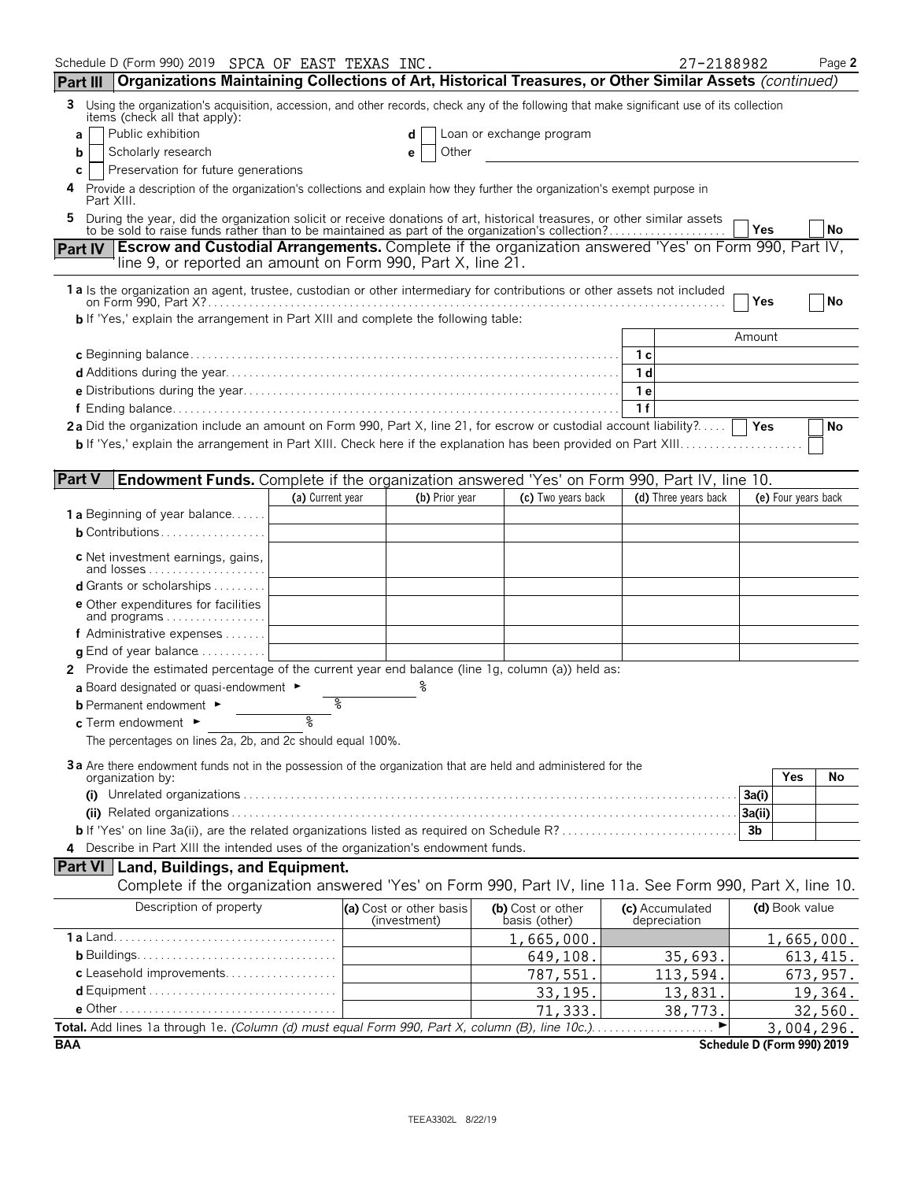| Schedule D (Form 990) 2019 SPCA OF EAST TEXAS INC.                                                                                                                                                                        |                  |                                         |                                    | 27-2188982                      |                            | Page 2     |
|---------------------------------------------------------------------------------------------------------------------------------------------------------------------------------------------------------------------------|------------------|-----------------------------------------|------------------------------------|---------------------------------|----------------------------|------------|
| Organizations Maintaining Collections of Art, Historical Treasures, or Other Similar Assets (continued)<br><b>Part III</b>                                                                                                |                  |                                         |                                    |                                 |                            |            |
| Using the organization's acquisition, accession, and other records, check any of the following that make significant use of its collection<br>3<br>items (check all that apply):                                          |                  |                                         |                                    |                                 |                            |            |
| Public exhibition<br>a                                                                                                                                                                                                    |                  | d                                       | Loan or exchange program           |                                 |                            |            |
| Scholarly research<br>b                                                                                                                                                                                                   |                  | Other<br>е                              |                                    |                                 |                            |            |
| Preservation for future generations<br>С                                                                                                                                                                                  |                  |                                         |                                    |                                 |                            |            |
| Provide a description of the organization's collections and explain how they further the organization's exempt purpose in<br>4<br>Part XIII.                                                                              |                  |                                         |                                    |                                 |                            |            |
| During the year, did the organization solicit or receive donations of art, historical treasures, or other similar assets to be sold to raise funds rather than to be maintained as part of the organization's collection? |                  |                                         |                                    |                                 | Yes                        | No         |
| Part IV Escrow and Custodial Arrangements. Complete if the organization answered 'Yes' on Form 990, Part IV,<br>line 9, or reported an amount on Form 990, Part X, line 21.                                               |                  |                                         |                                    |                                 |                            |            |
| 1a Is the organization an agent, trustee, custodian or other intermediary for contributions or other assets not included                                                                                                  |                  |                                         |                                    |                                 |                            |            |
| <b>b</b> If 'Yes,' explain the arrangement in Part XIII and complete the following table:                                                                                                                                 |                  |                                         |                                    |                                 | Yes                        | No         |
|                                                                                                                                                                                                                           |                  |                                         |                                    |                                 | Amount                     |            |
|                                                                                                                                                                                                                           |                  |                                         |                                    | 1 с                             |                            |            |
|                                                                                                                                                                                                                           |                  |                                         |                                    | 1 d                             |                            |            |
|                                                                                                                                                                                                                           |                  |                                         |                                    | 1е                              |                            |            |
|                                                                                                                                                                                                                           |                  |                                         |                                    | 1f                              |                            |            |
| 2a Did the organization include an amount on Form 990, Part X, line 21, for escrow or custodial account liability?                                                                                                        |                  |                                         |                                    |                                 | Yes                        | No         |
|                                                                                                                                                                                                                           |                  |                                         |                                    |                                 |                            |            |
|                                                                                                                                                                                                                           |                  |                                         |                                    |                                 |                            |            |
| <b>Part V</b><br><b>Endowment Funds.</b> Complete if the organization answered 'Yes' on Form 990, Part IV, line 10.                                                                                                       |                  |                                         |                                    |                                 |                            |            |
|                                                                                                                                                                                                                           | (a) Current year | (b) Prior year                          | (c) Two years back                 | (d) Three years back            | (e) Four years back        |            |
| <b>1 a</b> Beginning of year balance                                                                                                                                                                                      |                  |                                         |                                    |                                 |                            |            |
| <b>b</b> Contributions                                                                                                                                                                                                    |                  |                                         |                                    |                                 |                            |            |
| c Net investment earnings, gains,<br>and losses                                                                                                                                                                           |                  |                                         |                                    |                                 |                            |            |
| <b>d</b> Grants or scholarships $\ldots$                                                                                                                                                                                  |                  |                                         |                                    |                                 |                            |            |
| <b>e</b> Other expenditures for facilities                                                                                                                                                                                |                  |                                         |                                    |                                 |                            |            |
| and programs<br>f Administrative expenses                                                                                                                                                                                 |                  |                                         |                                    |                                 |                            |            |
|                                                                                                                                                                                                                           |                  |                                         |                                    |                                 |                            |            |
| <b>g</b> End of year balance $\ldots \ldots \ldots$<br>2 Provide the estimated percentage of the current year end balance (line 1g, column (a)) held as:                                                                  |                  |                                         |                                    |                                 |                            |            |
| a Board designated or quasi-endowment $\blacktriangleright$                                                                                                                                                               |                  |                                         |                                    |                                 |                            |            |
| <b>b</b> Permanent endowment ►                                                                                                                                                                                            |                  |                                         |                                    |                                 |                            |            |
| ୭<br>c Term endowment ►                                                                                                                                                                                                   |                  |                                         |                                    |                                 |                            |            |
| The percentages on lines 2a, 2b, and 2c should equal 100%.                                                                                                                                                                |                  |                                         |                                    |                                 |                            |            |
|                                                                                                                                                                                                                           |                  |                                         |                                    |                                 |                            |            |
| 3a Are there endowment funds not in the possession of the organization that are held and administered for the<br>organization by:                                                                                         |                  |                                         |                                    |                                 | <b>Yes</b>                 | No         |
|                                                                                                                                                                                                                           |                  |                                         |                                    |                                 | 3a(i)                      |            |
|                                                                                                                                                                                                                           |                  |                                         |                                    |                                 | 3a(ii)                     |            |
|                                                                                                                                                                                                                           |                  |                                         |                                    |                                 | 3 <sub>b</sub>             |            |
| 4 Describe in Part XIII the intended uses of the organization's endowment funds.                                                                                                                                          |                  |                                         |                                    |                                 |                            |            |
| <b>Part VI</b> Land, Buildings, and Equipment.                                                                                                                                                                            |                  |                                         |                                    |                                 |                            |            |
| Complete if the organization answered 'Yes' on Form 990, Part IV, line 11a. See Form 990, Part X, line 10.                                                                                                                |                  |                                         |                                    |                                 |                            |            |
| Description of property                                                                                                                                                                                                   |                  | (a) Cost or other basis<br>(investment) | (b) Cost or other<br>basis (other) | (c) Accumulated<br>depreciation | (d) Book value             |            |
|                                                                                                                                                                                                                           |                  |                                         | 1,665,000.                         |                                 |                            | 1,665,000. |
|                                                                                                                                                                                                                           |                  |                                         | 649,108.                           | 35,693.                         |                            | 613, 415.  |
| c Leasehold improvements                                                                                                                                                                                                  |                  |                                         | 787,551                            | 113,594.                        |                            | 673,957.   |
|                                                                                                                                                                                                                           |                  |                                         | 33, 195.                           | 13,831.                         |                            | 19,364.    |
|                                                                                                                                                                                                                           |                  |                                         | 71,333                             | 38,773.                         |                            | 32,560.    |
| Total. Add lines 1a through 1e. (Column (d) must equal Form 990, Part X, column (B), line 10c.)                                                                                                                           |                  |                                         |                                    |                                 | 3,004,296.                 |            |
| <b>BAA</b>                                                                                                                                                                                                                |                  |                                         |                                    |                                 | Schedule D (Form 990) 2019 |            |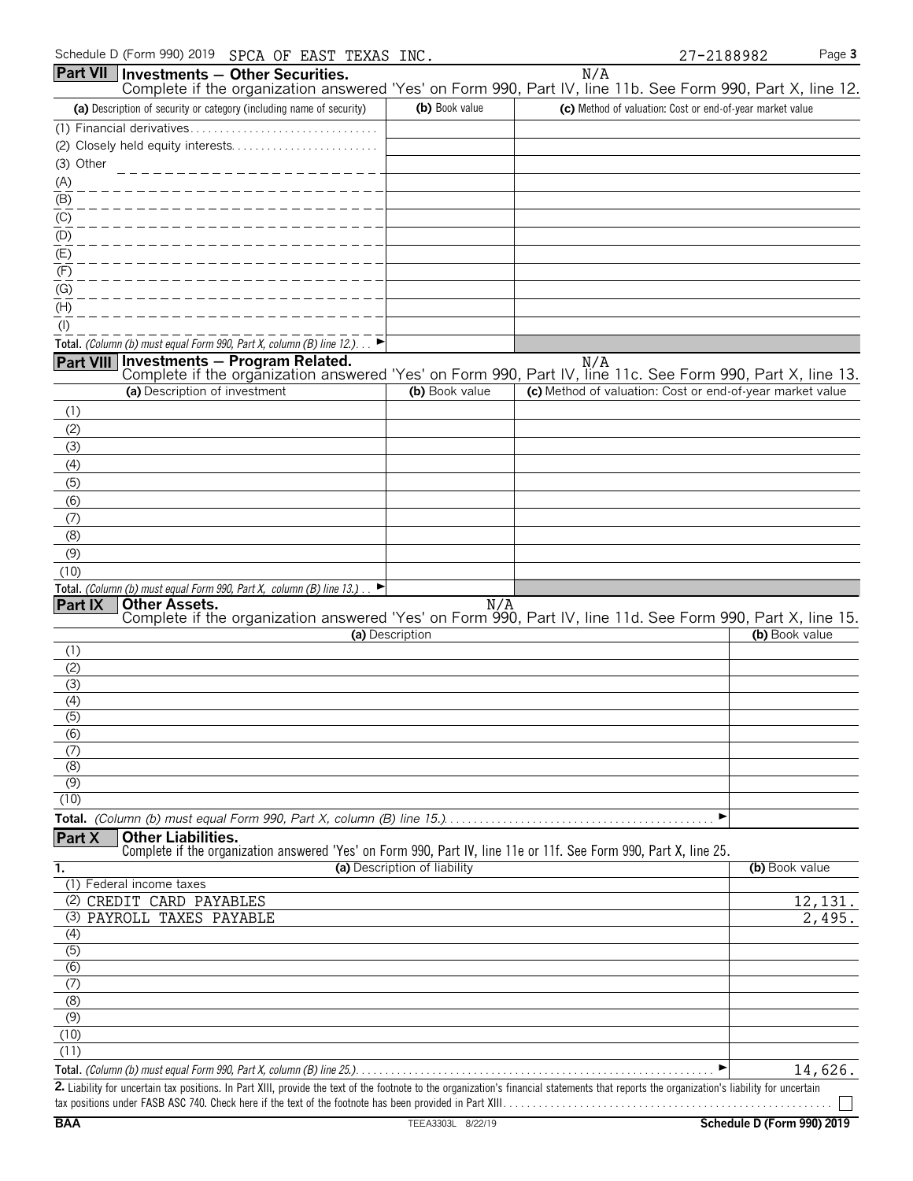|                           | Part VII Investments - Other Securities.<br>Complete if the organization answered 'Yes' on Form 990, Part IV, line 11b. See Form 990, Part X, line 12. |                              | N/A                                                       |                |
|---------------------------|--------------------------------------------------------------------------------------------------------------------------------------------------------|------------------------------|-----------------------------------------------------------|----------------|
|                           | (a) Description of security or category (including name of security)                                                                                   | (b) Book value               | (c) Method of valuation: Cost or end-of-year market value |                |
|                           |                                                                                                                                                        |                              |                                                           |                |
|                           |                                                                                                                                                        |                              |                                                           |                |
| (3) Other                 | _________________                                                                                                                                      |                              |                                                           |                |
|                           |                                                                                                                                                        |                              |                                                           |                |
| $\frac{(A)}{(B)}$         |                                                                                                                                                        |                              |                                                           |                |
| $\overline{(\mathsf{C})}$ |                                                                                                                                                        |                              |                                                           |                |
| $\overline{(\mathsf{D})}$ |                                                                                                                                                        |                              |                                                           |                |
| (E)                       |                                                                                                                                                        |                              |                                                           |                |
| (F)                       |                                                                                                                                                        |                              |                                                           |                |
| (G)<br>(H)                |                                                                                                                                                        |                              |                                                           |                |
| $($ l                     |                                                                                                                                                        |                              |                                                           |                |
|                           | Total. (Column (b) must equal Form 990, Part X, column (B) line 12.). $\Box$                                                                           |                              |                                                           |                |
| Part VIII                 |                                                                                                                                                        |                              |                                                           |                |
|                           | Investments - Program Related.<br>Complete if the organization answered 'Yes' on Form 990, Part IV, line 11c. See Form 990, Part X, line 13.           |                              |                                                           |                |
|                           | (a) Description of investment                                                                                                                          | (b) Book value               | (c) Method of valuation: Cost or end-of-year market value |                |
| (1)                       |                                                                                                                                                        |                              |                                                           |                |
| (2)                       |                                                                                                                                                        |                              |                                                           |                |
| (3)                       |                                                                                                                                                        |                              |                                                           |                |
| (4)                       |                                                                                                                                                        |                              |                                                           |                |
| (5)                       |                                                                                                                                                        |                              |                                                           |                |
| (6)                       |                                                                                                                                                        |                              |                                                           |                |
| (7)                       |                                                                                                                                                        |                              |                                                           |                |
| (8)<br>(9)                |                                                                                                                                                        |                              |                                                           |                |
| (10)                      |                                                                                                                                                        |                              |                                                           |                |
|                           | Total. (Column (b) must equal Form 990, Part X, column (B) line 13.).                                                                                  |                              |                                                           |                |
| Part IX                   | <b>Other Assets.</b>                                                                                                                                   | N/A                          |                                                           |                |
|                           | Complete if the organization answered 'Yes' on Form 990, Part IV, line 11d. See Form 990, Part X, line 15.                                             | (a) Description              |                                                           | (b) Book value |
| (1)                       |                                                                                                                                                        |                              |                                                           |                |
| (2)                       |                                                                                                                                                        |                              |                                                           |                |
| (3)                       |                                                                                                                                                        |                              |                                                           |                |
| (4)                       |                                                                                                                                                        |                              |                                                           |                |
| $\overline{(5)}$          |                                                                                                                                                        |                              |                                                           |                |
| (6)<br>(7)                |                                                                                                                                                        |                              |                                                           |                |
| (8)                       |                                                                                                                                                        |                              |                                                           |                |
| (9)                       |                                                                                                                                                        |                              |                                                           |                |
| (10)                      |                                                                                                                                                        |                              |                                                           |                |
|                           |                                                                                                                                                        |                              | ▶                                                         |                |
| Part X                    | <b>Other Liabilities.</b>                                                                                                                              |                              |                                                           |                |
| 1.                        | Complete if the organization answered 'Yes' on Form 990, Part IV, line 11e or 11f. See Form 990, Part X, line 25.                                      | (a) Description of liability |                                                           | (b) Book value |
|                           | (1) Federal income taxes                                                                                                                               |                              |                                                           |                |
|                           | (2) CREDIT CARD PAYABLES                                                                                                                               |                              |                                                           | 12, 131.       |
|                           | (3) PAYROLL TAXES PAYABLE                                                                                                                              |                              |                                                           | 2,495.         |
| (4)                       |                                                                                                                                                        |                              |                                                           |                |
| (5)                       |                                                                                                                                                        |                              |                                                           |                |
| (6)<br>(7)                |                                                                                                                                                        |                              |                                                           |                |
| (8)                       |                                                                                                                                                        |                              |                                                           |                |
| (9)                       |                                                                                                                                                        |                              |                                                           |                |
| (10)                      |                                                                                                                                                        |                              |                                                           |                |
| (11)                      |                                                                                                                                                        |                              |                                                           |                |

**Total.** *(Column (b) must equal Form 990, Part X, column (B) line 25.)*. . . . . . . . . . . . . . . . . . . . . . . . . . . . . . . . . . . . . . . . . . . . . . . . . . . . . . . . . . . . . G **2.** Liability for uncertain tax positions. In Part XIII, provide the text of the footnote to the organization's financial statements that reports the organization's liability for uncertain tax positions under FASB ASC 740. Check here if the text of the footnote has been provided in Part XIII. . . . . . . . . . . . . . . . . . . . . . . . . . . . . . . . . . . . . . . . . . . . . . . . . . . . . . . . 14,626.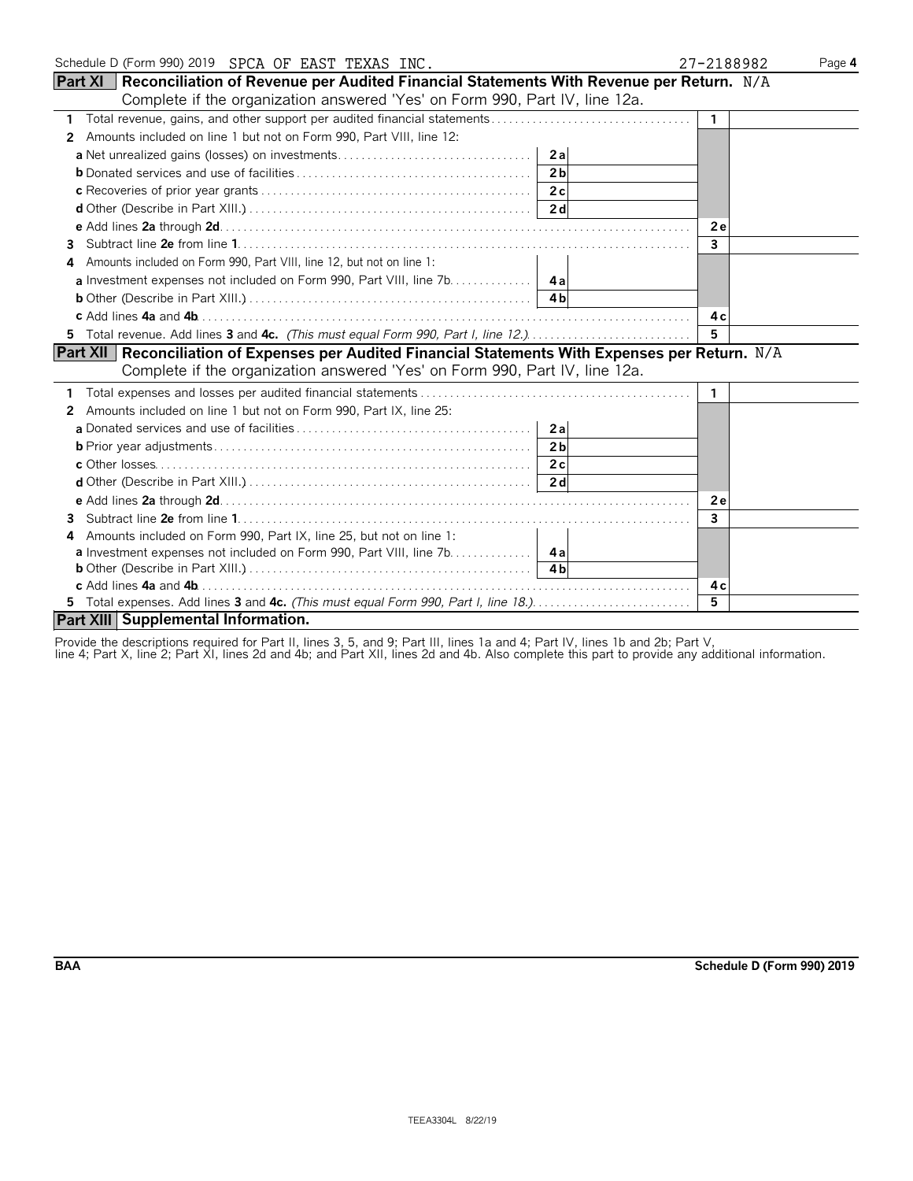| Schedule D (Form 990) 2019 SPCA OF EAST TEXAS INC.                                                         | 27-2188982   | Page 4 |
|------------------------------------------------------------------------------------------------------------|--------------|--------|
| <b>Part XI</b>   Reconciliation of Revenue per Audited Financial Statements With Revenue per Return. $N/A$ |              |        |
| Complete if the organization answered 'Yes' on Form 990, Part IV, line 12a.                                |              |        |
| 1                                                                                                          | $\mathbf{1}$ |        |
| Amounts included on line 1 but not on Form 990, Part VIII, line 12:<br>2                                   |              |        |
|                                                                                                            |              |        |
| 2 <sub>h</sub>                                                                                             |              |        |
|                                                                                                            |              |        |
|                                                                                                            |              |        |
|                                                                                                            | 2e           |        |
| 3.                                                                                                         | $\mathbf{3}$ |        |
| Amounts included on Form 990, Part VIII, line 12, but not on line 1:<br>4                                  |              |        |
| a Investment expenses not included on Form 990, Part VIII, line 7b.   4a                                   |              |        |
|                                                                                                            |              |        |
|                                                                                                            | 4 c          |        |
| 5 Total revenue. Add lines 3 and 4c. (This must equal Form 990, Part I, line 12.)                          | 5            |        |
| Part XII   Reconciliation of Expenses per Audited Financial Statements With Expenses per Return. N/A       |              |        |
| Complete if the organization answered 'Yes' on Form 990, Part IV, line 12a.                                |              |        |
|                                                                                                            | 1            |        |
| Amounts included on line 1 but not on Form 990, Part IX, line 25:<br>2                                     |              |        |
| 2a                                                                                                         |              |        |
| 2 <sub>h</sub>                                                                                             |              |        |
|                                                                                                            |              |        |
|                                                                                                            |              |        |
|                                                                                                            | 2e           |        |
| 3                                                                                                          | 3            |        |
| Amounts included on Form 990, Part IX, line 25, but not on line 1:<br>4                                    |              |        |
| <b>a</b> Investment expenses not included on Form 990, Part VIII, line 7b. 4a                              |              |        |
|                                                                                                            |              |        |
|                                                                                                            | 4 c          |        |
| 5 Total expenses. Add lines 3 and 4c. (This must equal Form 990, Part I, line 18.). $\ldots$ .             | 5            |        |
| Part XIII Supplemental Information.                                                                        |              |        |

Provide the descriptions required for Part II, lines 3, 5, and 9; Part III, lines 1a and 4; Part IV, lines 1b and 2b; Part V,

line 4; Part X, line 2; Part XI, lines 2d and 4b; and Part XII, lines 2d and 4b. Also complete this part to provide any additional information.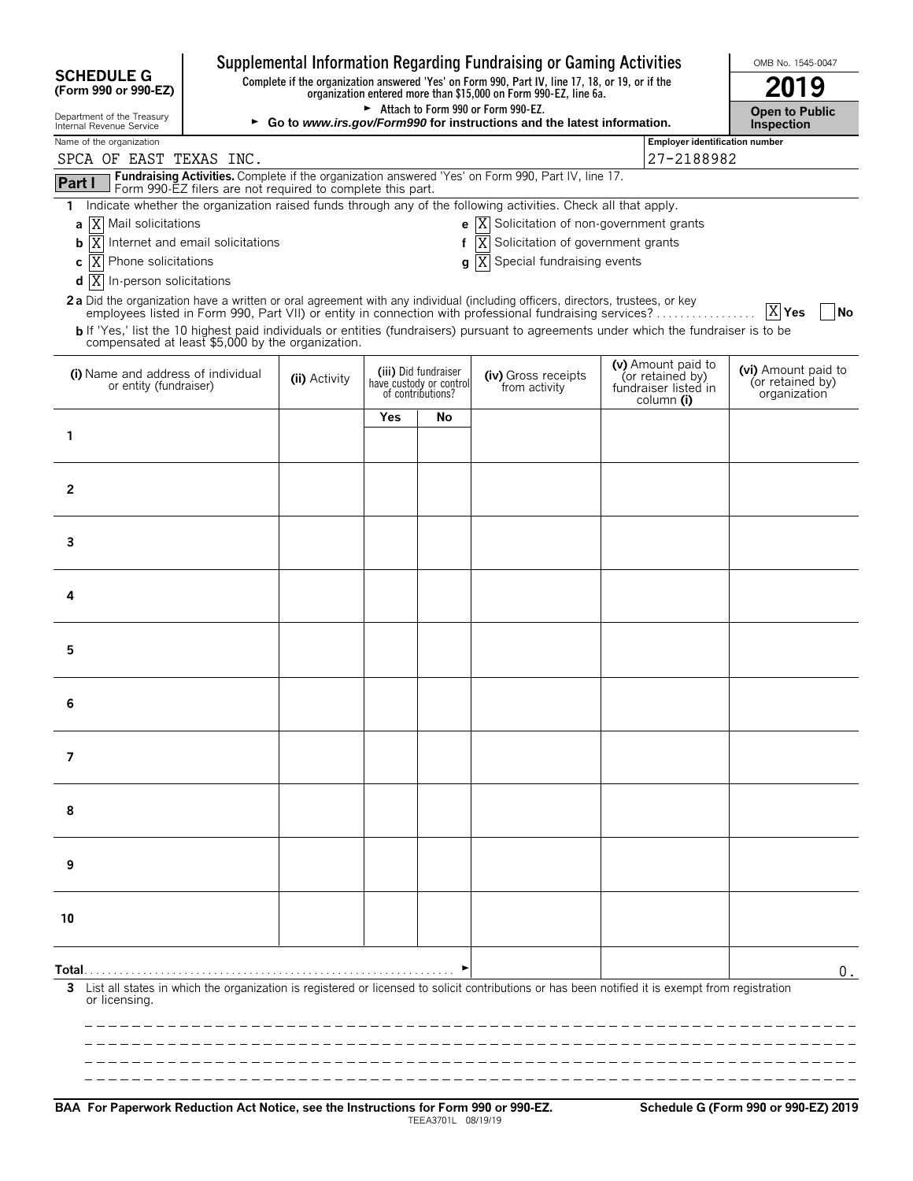|                                                              |                                                            |               |     |                                                                      | Supplemental Information Regarding Fundraising or Gaming Activities                                                                                                                                                                      |                                                                              | OMB No. 1545-0047                                       |
|--------------------------------------------------------------|------------------------------------------------------------|---------------|-----|----------------------------------------------------------------------|------------------------------------------------------------------------------------------------------------------------------------------------------------------------------------------------------------------------------------------|------------------------------------------------------------------------------|---------------------------------------------------------|
| <b>SCHEDULE G</b><br>(Form 990 or 990-EZ)                    |                                                            |               |     |                                                                      | Complete if the organization answered 'Yes' on Form 990, Part IV, line 17, 18, or 19, or if the<br>organization entered more than \$15,000 on Form 990-EZ, line 6a.                                                                      |                                                                              | 2019                                                    |
| Department of the Treasury                                   |                                                            |               |     |                                                                      | Attach to Form 990 or Form 990-EZ.<br>► Go to www.irs.gov/Form990 for instructions and the latest information.                                                                                                                           |                                                                              | <b>Open to Public</b><br><b>Inspection</b>              |
| Internal Revenue Service<br>Name of the organization         |                                                            |               |     |                                                                      |                                                                                                                                                                                                                                          | Employer identification number                                               |                                                         |
| SPCA OF EAST TEXAS INC.                                      |                                                            |               |     |                                                                      |                                                                                                                                                                                                                                          | 27-2188982                                                                   |                                                         |
| Part I                                                       | Form 990-EZ filers are not required to complete this part. |               |     |                                                                      | Fundraising Activities. Complete if the organization answered 'Yes' on Form 990, Part IV, line 17.                                                                                                                                       |                                                                              |                                                         |
| 1                                                            |                                                            |               |     |                                                                      | Indicate whether the organization raised funds through any of the following activities. Check all that apply.                                                                                                                            |                                                                              |                                                         |
| X Mail solicitations<br>а                                    |                                                            |               |     |                                                                      | <b>e</b> $\overline{X}$ Solicitation of non-government grants                                                                                                                                                                            |                                                                              |                                                         |
| ΙX<br>b                                                      | Internet and email solicitations                           |               |     |                                                                      | $\overline{X}$ Solicitation of government grants                                                                                                                                                                                         |                                                                              |                                                         |
| X  Phone solicitations<br>C                                  |                                                            |               |     |                                                                      | $g\left[\overline{X}\right]$ Special fundraising events                                                                                                                                                                                  |                                                                              |                                                         |
| In-person solicitations<br>$d$ $ X $                         |                                                            |               |     |                                                                      |                                                                                                                                                                                                                                          |                                                                              |                                                         |
|                                                              |                                                            |               |     |                                                                      | 2a Did the organization have a written or oral agreement with any individual (including officers, directors, trustees, or key<br>employees listed in Form 990, Part VII) or entity in connection with professional fundraising services? |                                                                              | X Yes<br>$ $ No                                         |
| compensated at least \$5,000 by the organization.            |                                                            |               |     |                                                                      | b If 'Yes,' list the 10 highest paid individuals or entities (fundraisers) pursuant to agreements under which the fundraiser is to be                                                                                                    |                                                                              |                                                         |
| (i) Name and address of individual<br>or entity (fundraiser) |                                                            | (ii) Activity |     | (iii) Did fundraiser<br>have custody or control<br>of contributions? | (iv) Gross receipts<br>from activity                                                                                                                                                                                                     | (v) Amount paid to<br>(or retained by)<br>fundraiser listed in<br>column (i) | (vi) Amount paid to<br>(or retained by)<br>organization |
|                                                              |                                                            |               | Yes | No                                                                   |                                                                                                                                                                                                                                          |                                                                              |                                                         |
| 1                                                            |                                                            |               |     |                                                                      |                                                                                                                                                                                                                                          |                                                                              |                                                         |
|                                                              |                                                            |               |     |                                                                      |                                                                                                                                                                                                                                          |                                                                              |                                                         |
| $\overline{2}$                                               |                                                            |               |     |                                                                      |                                                                                                                                                                                                                                          |                                                                              |                                                         |
|                                                              |                                                            |               |     |                                                                      |                                                                                                                                                                                                                                          |                                                                              |                                                         |
| 3                                                            |                                                            |               |     |                                                                      |                                                                                                                                                                                                                                          |                                                                              |                                                         |
|                                                              |                                                            |               |     |                                                                      |                                                                                                                                                                                                                                          |                                                                              |                                                         |
|                                                              |                                                            |               |     |                                                                      |                                                                                                                                                                                                                                          |                                                                              |                                                         |
| 4                                                            |                                                            |               |     |                                                                      |                                                                                                                                                                                                                                          |                                                                              |                                                         |
|                                                              |                                                            |               |     |                                                                      |                                                                                                                                                                                                                                          |                                                                              |                                                         |
| 5                                                            |                                                            |               |     |                                                                      |                                                                                                                                                                                                                                          |                                                                              |                                                         |
|                                                              |                                                            |               |     |                                                                      |                                                                                                                                                                                                                                          |                                                                              |                                                         |
| 6                                                            |                                                            |               |     |                                                                      |                                                                                                                                                                                                                                          |                                                                              |                                                         |
|                                                              |                                                            |               |     |                                                                      |                                                                                                                                                                                                                                          |                                                                              |                                                         |
| 7                                                            |                                                            |               |     |                                                                      |                                                                                                                                                                                                                                          |                                                                              |                                                         |
|                                                              |                                                            |               |     |                                                                      |                                                                                                                                                                                                                                          |                                                                              |                                                         |
|                                                              |                                                            |               |     |                                                                      |                                                                                                                                                                                                                                          |                                                                              |                                                         |
| 8                                                            |                                                            |               |     |                                                                      |                                                                                                                                                                                                                                          |                                                                              |                                                         |
|                                                              |                                                            |               |     |                                                                      |                                                                                                                                                                                                                                          |                                                                              |                                                         |
| 9                                                            |                                                            |               |     |                                                                      |                                                                                                                                                                                                                                          |                                                                              |                                                         |
|                                                              |                                                            |               |     |                                                                      |                                                                                                                                                                                                                                          |                                                                              |                                                         |
| 10                                                           |                                                            |               |     |                                                                      |                                                                                                                                                                                                                                          |                                                                              |                                                         |
|                                                              |                                                            |               |     |                                                                      |                                                                                                                                                                                                                                          |                                                                              |                                                         |
|                                                              |                                                            |               |     |                                                                      |                                                                                                                                                                                                                                          |                                                                              |                                                         |
| 3                                                            |                                                            |               |     |                                                                      |                                                                                                                                                                                                                                          |                                                                              | 0.                                                      |
| or licensing.                                                |                                                            |               |     |                                                                      | List all states in which the organization is registered or licensed to solicit contributions or has been notified it is exempt from registration                                                                                         |                                                                              |                                                         |
|                                                              |                                                            |               |     |                                                                      |                                                                                                                                                                                                                                          |                                                                              |                                                         |
|                                                              |                                                            |               |     |                                                                      |                                                                                                                                                                                                                                          |                                                                              |                                                         |
|                                                              |                                                            |               |     |                                                                      |                                                                                                                                                                                                                                          |                                                                              |                                                         |
|                                                              |                                                            |               |     |                                                                      |                                                                                                                                                                                                                                          |                                                                              |                                                         |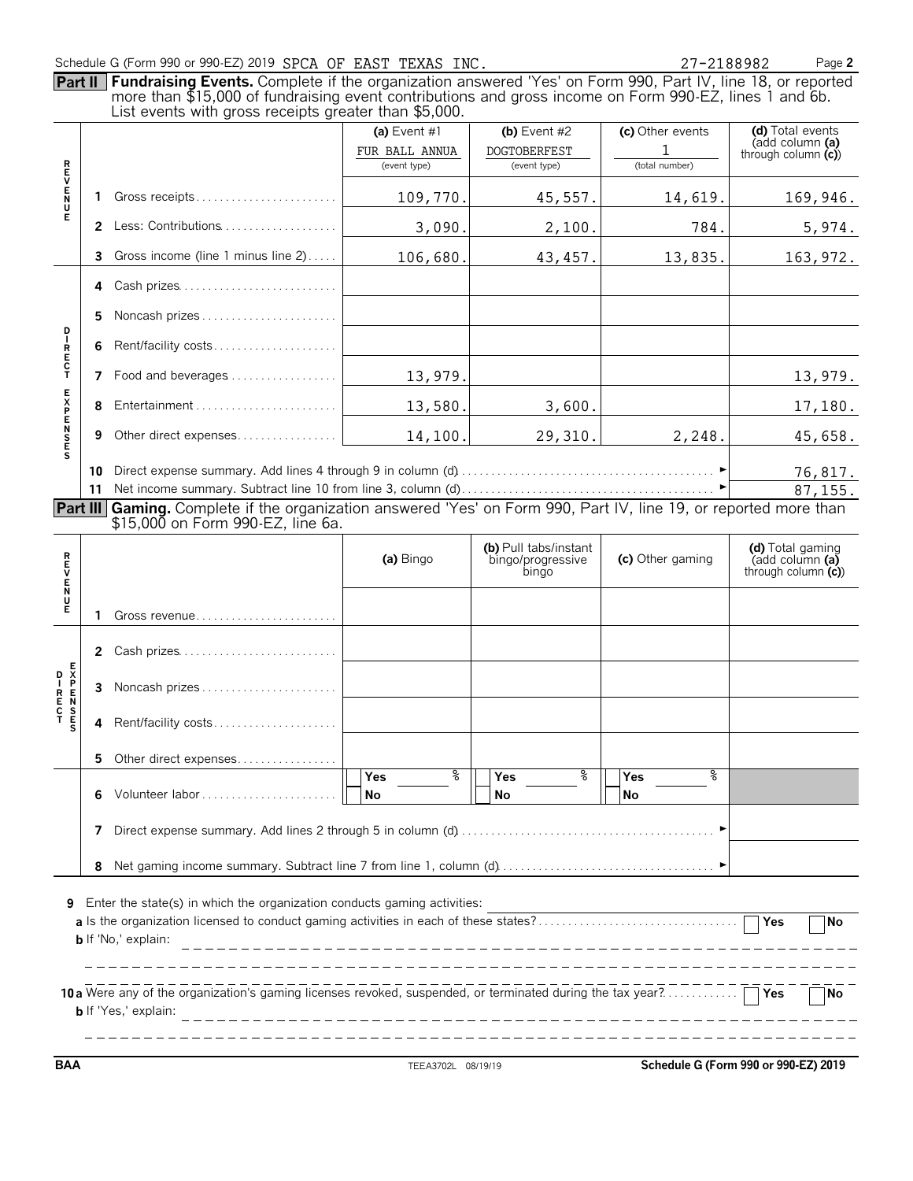### Schedule G (Form 990 or 990-EZ) 2019 SPCA OF EAST TEXAS INC. 27-2188982 Page 2

**Part II Fundraising Events.** Complete if the organization answered 'Yes' on Form 990, Part IV, line 18, or reported more than \$15,000 of fundraising event contributions and gross income on Form 990-EZ, lines 1 and 6b.

|                  |          | List events with gross receipts greater than \$5,000.                                                                                                                                                                                               |                                                |                                                     |                                           |                                                             |
|------------------|----------|-----------------------------------------------------------------------------------------------------------------------------------------------------------------------------------------------------------------------------------------------------|------------------------------------------------|-----------------------------------------------------|-------------------------------------------|-------------------------------------------------------------|
|                  |          |                                                                                                                                                                                                                                                     | (a) Event #1<br>FUR BALL ANNUA<br>(event type) | (b) Event $#2$<br>DOGTOBERFEST<br>(event type)      | (c) Other events<br>1<br>(total number)   | (d) Total events<br>(add column (a)<br>through column $(c)$ |
| ロマロスロ            | 1        | Gross receipts                                                                                                                                                                                                                                      | 109,770.                                       | 45,557.                                             | 14,619.                                   | 169,946.                                                    |
| Е                |          | 2 Less: Contributions                                                                                                                                                                                                                               | 3,090.                                         | 2,100.                                              | 784.                                      | 5,974.                                                      |
|                  | 3        | Gross income (line 1 minus line 2)                                                                                                                                                                                                                  | 106,680.                                       | 43, 457.                                            | 13,835.                                   | 163, 972.                                                   |
|                  | 4        | Cash prizes                                                                                                                                                                                                                                         |                                                |                                                     |                                           |                                                             |
|                  | 5.       | Noncash prizes                                                                                                                                                                                                                                      |                                                |                                                     |                                           |                                                             |
| p<br>I           | 6        | Rent/facility costs                                                                                                                                                                                                                                 |                                                |                                                     |                                           |                                                             |
| R<br>E<br>C<br>T | 7        | Food and beverages                                                                                                                                                                                                                                  | 13,979.                                        |                                                     |                                           | 13,979.                                                     |
| <b>EXPENSES</b>  | 8        | Entertainment                                                                                                                                                                                                                                       | 13,580.                                        | 3,600.                                              |                                           | 17,180.                                                     |
|                  | 9        | Other direct expenses                                                                                                                                                                                                                               | 14,100.                                        | 29,310.                                             | 2,248.                                    | 45,658.                                                     |
|                  | 10<br>11 |                                                                                                                                                                                                                                                     |                                                | 76,817.<br>87,155.                                  |                                           |                                                             |
|                  |          | Part III Gaming. Complete if the organization answered 'Yes' on Form 990, Part IV, line 19, or reported more than<br>\$15,000 on Form 990-EZ, line 6a.                                                                                              |                                                |                                                     |                                           |                                                             |
| ロマロスロ            |          |                                                                                                                                                                                                                                                     | (a) Bingo                                      | (b) Pull tabs/instant<br>bingo/progressive<br>bingo | (c) Other gaming                          | (d) Total gaming<br>(add column (a)<br>through column $(c)$ |
| Е                | 1        | Gross revenue                                                                                                                                                                                                                                       |                                                |                                                     |                                           |                                                             |
|                  |          | 2 Cash prizes                                                                                                                                                                                                                                       |                                                |                                                     |                                           |                                                             |
|                  | 3        | Noncash prizes                                                                                                                                                                                                                                      |                                                |                                                     |                                           |                                                             |
|                  | 4        | Rent/facility costs                                                                                                                                                                                                                                 |                                                |                                                     |                                           |                                                             |
|                  |          | 5 Other direct expenses                                                                                                                                                                                                                             |                                                |                                                     |                                           |                                                             |
|                  | 6        |                                                                                                                                                                                                                                                     | $\overline{Y}$ es<br>No                        | $\frac{1}{6}$   Yes<br>No                           | $\sqrt[8]{\frac{1}{8}}$   Yes<br>ত্<br>No |                                                             |
|                  | 7        |                                                                                                                                                                                                                                                     |                                                |                                                     |                                           |                                                             |
|                  | 8        |                                                                                                                                                                                                                                                     |                                                |                                                     |                                           |                                                             |
| 9                |          | Enter the state(s) in which the organization conducts gaming activities:<br><b>b</b> If 'No,' explain:<br>10 a Were any of the organization's gaming licenses revoked, suspended, or terminated during the tax year?<br><b>b</b> If 'Yes,' explain: |                                                |                                                     |                                           | Yes<br><b>No</b><br>Yes<br>No                               |
|                  |          |                                                                                                                                                                                                                                                     |                                                |                                                     |                                           |                                                             |

**BAA** TEEA3702L 08/19/19 **Schedule G (Form 990 or 990-EZ) 2019**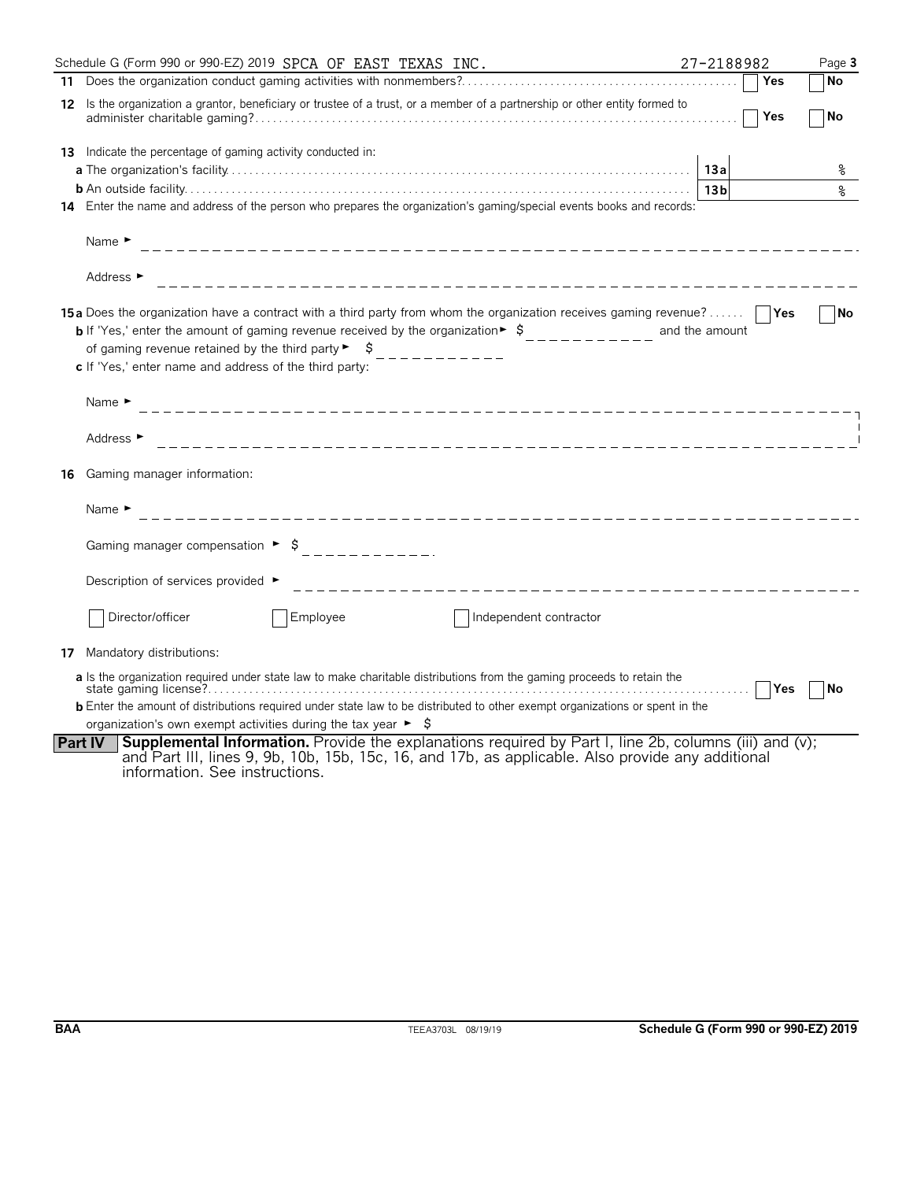|    | Schedule G (Form 990 or 990-EZ) 2019 SPCA OF EAST TEXAS INC.                                                                                                                                                                                                                                                                                                                           | 27-2188982      |     | Page 3    |
|----|----------------------------------------------------------------------------------------------------------------------------------------------------------------------------------------------------------------------------------------------------------------------------------------------------------------------------------------------------------------------------------------|-----------------|-----|-----------|
|    |                                                                                                                                                                                                                                                                                                                                                                                        |                 | Yes | No        |
| 12 | Is the organization a grantor, beneficiary or trustee of a trust, or a member of a partnership or other entity formed to                                                                                                                                                                                                                                                               |                 | Yes | <b>No</b> |
| 13 | Indicate the percentage of gaming activity conducted in:                                                                                                                                                                                                                                                                                                                               |                 |     |           |
|    |                                                                                                                                                                                                                                                                                                                                                                                        | 13a             |     | ႜ         |
|    |                                                                                                                                                                                                                                                                                                                                                                                        | 13 <sub>b</sub> |     | နွ        |
|    | 14 Enter the name and address of the person who prepares the organization's gaming/special events books and records:                                                                                                                                                                                                                                                                   |                 |     |           |
|    | Name $\blacktriangleright$                                                                                                                                                                                                                                                                                                                                                             |                 |     |           |
|    | Address ►                                                                                                                                                                                                                                                                                                                                                                              |                 |     |           |
|    | 15a Does the organization have a contract with a third party from whom the organization receives gaming revenue?<br><b>b</b> If 'Yes,' enter the amount of gaming revenue received by the organization $\ast$ $\uparrow$<br>of gaming revenue retained by the third party $\triangleright$ $\uparrow$ $\downarrow$ $\square$<br>c If 'Yes,' enter name and address of the third party: | and the amount  |     | l No      |
|    | Name $\blacktriangleright$                                                                                                                                                                                                                                                                                                                                                             |                 |     |           |
|    | Address ►                                                                                                                                                                                                                                                                                                                                                                              |                 |     |           |
| 16 | Gaming manager information:                                                                                                                                                                                                                                                                                                                                                            |                 |     |           |
|    | Name $\blacktriangleright$                                                                                                                                                                                                                                                                                                                                                             |                 |     |           |
|    | Gaming manager compensation $\rightarrow$ \$<br>-----------                                                                                                                                                                                                                                                                                                                            |                 |     |           |
|    | Description of services provided ►                                                                                                                                                                                                                                                                                                                                                     |                 |     |           |
|    | Director/officer<br>Employee<br>Independent contractor                                                                                                                                                                                                                                                                                                                                 |                 |     |           |
| 17 | Mandatory distributions:                                                                                                                                                                                                                                                                                                                                                               |                 |     |           |
|    | a Is the organization required under state law to make charitable distributions from the gaming proceeds to retain the                                                                                                                                                                                                                                                                 |                 |     | <b>No</b> |
|    | <b>b</b> Enter the amount of distributions required under state law to be distributed to other exempt organizations or spent in the                                                                                                                                                                                                                                                    |                 |     |           |
|    | organization's own exempt activities during the tax year $\blacktriangleright$ $\blacklozenge$                                                                                                                                                                                                                                                                                         |                 |     |           |
|    | <b>Supplemental Information.</b> Provide the explanations required by Part I, line 2b, columns (iii) and (v);<br><b>Part IV</b><br>and Part III, lines 9, 9b, 10b, 15b, 15c, 16, and 17b, as applicable. Also provide any additional<br>information. See instructions.                                                                                                                 |                 |     |           |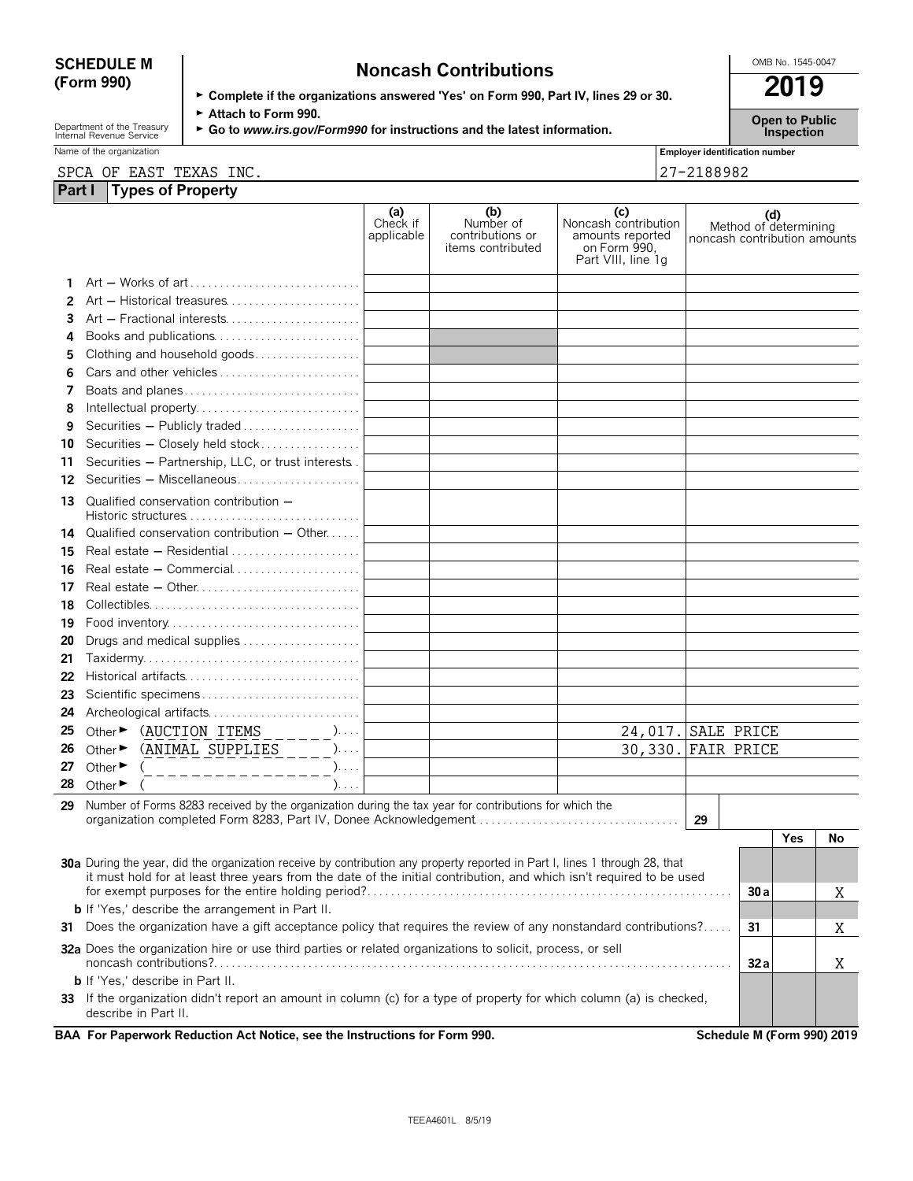| <b>SCHEDULE M</b> | <b>Noncash Contributions</b>                                                         | OMB No. 1545-0047 |
|-------------------|--------------------------------------------------------------------------------------|-------------------|
| (Form 990)        | ► Complete if the organizations answered 'Yes' on Form 990, Part IV, lines 29 or 30. | 2019              |
|                   |                                                                                      |                   |

Department of the Treasury **► Attach to Form 990.**<br>Internal Revenue Service ► Go to *www.irs.gov/Form990* for instructions and the latest information. Inspection

Name of the organization **Employer identification number Employer identification number** 

| Part I | <b>Types of Property</b>                                                                                                      |                               |                                                           |                                                                                       |                              |     |                       |                            |
|--------|-------------------------------------------------------------------------------------------------------------------------------|-------------------------------|-----------------------------------------------------------|---------------------------------------------------------------------------------------|------------------------------|-----|-----------------------|----------------------------|
|        |                                                                                                                               | (a)<br>Check if<br>applicable | (b)<br>Number of<br>contributions or<br>items contributed | (c)<br>Noncash contribution<br>amounts reported<br>on Form 990,<br>Part VIII, line 1q | noncash contribution amounts | (d) | Method of determining |                            |
|        |                                                                                                                               |                               |                                                           |                                                                                       |                              |     |                       |                            |
| 2      |                                                                                                                               |                               |                                                           |                                                                                       |                              |     |                       |                            |
| 3      | Art - Fractional interests                                                                                                    |                               |                                                           |                                                                                       |                              |     |                       |                            |
| 4      | Books and publications                                                                                                        |                               |                                                           |                                                                                       |                              |     |                       |                            |
| 5      | Clothing and household goods                                                                                                  |                               |                                                           |                                                                                       |                              |     |                       |                            |
| 6      | Cars and other vehicles                                                                                                       |                               |                                                           |                                                                                       |                              |     |                       |                            |
| 7      | Boats and planes                                                                                                              |                               |                                                           |                                                                                       |                              |     |                       |                            |
| 8      | Intellectual property                                                                                                         |                               |                                                           |                                                                                       |                              |     |                       |                            |
| 9      | Securities - Publicly traded                                                                                                  |                               |                                                           |                                                                                       |                              |     |                       |                            |
| 10     | Securities - Closely held stock                                                                                               |                               |                                                           |                                                                                       |                              |     |                       |                            |
| 11     | Securities - Partnership, LLC, or trust interests.                                                                            |                               |                                                           |                                                                                       |                              |     |                       |                            |
| 12     | Securities - Miscellaneous                                                                                                    |                               |                                                           |                                                                                       |                              |     |                       |                            |
| 13     | Qualified conservation contribution -<br>Historic structures $\ldots \ldots \ldots \ldots \ldots \ldots \ldots \ldots \ldots$ |                               |                                                           |                                                                                       |                              |     |                       |                            |
| 14.    | Qualified conservation contribution $-$ Other $\dots$                                                                         |                               |                                                           |                                                                                       |                              |     |                       |                            |
| 15     | Real estate - Residential                                                                                                     |                               |                                                           |                                                                                       |                              |     |                       |                            |
|        |                                                                                                                               |                               |                                                           |                                                                                       |                              |     |                       |                            |
| 16     |                                                                                                                               |                               |                                                           |                                                                                       |                              |     |                       |                            |
| 17     |                                                                                                                               |                               |                                                           |                                                                                       |                              |     |                       |                            |
| 18     |                                                                                                                               |                               |                                                           |                                                                                       |                              |     |                       |                            |
| 19     |                                                                                                                               |                               |                                                           |                                                                                       |                              |     |                       |                            |
| 20     | Drugs and medical supplies                                                                                                    |                               |                                                           |                                                                                       |                              |     |                       |                            |
| 21     |                                                                                                                               |                               |                                                           |                                                                                       |                              |     |                       |                            |
| 22     | Historical artifacts                                                                                                          |                               |                                                           |                                                                                       |                              |     |                       |                            |
| 23     | Scientific specimens                                                                                                          |                               |                                                           |                                                                                       |                              |     |                       |                            |
| 24     | Archeological artifacts                                                                                                       |                               |                                                           |                                                                                       |                              |     |                       |                            |
| 25     | Other $\triangleright$ (AUCTION ITEMS ______)                                                                                 |                               |                                                           | 24,017. SALE PRICE                                                                    |                              |     |                       |                            |
| 26     | Other $\blacktriangleright$ (ANIMAL SUPPLIES __ _ _)                                                                          |                               |                                                           | 30,330. FAIR PRICE                                                                    |                              |     |                       |                            |
| 27     | Other $\blacktriangleright$<br>(_________________<br>$\sum_{i=1}^{n}$                                                         |                               |                                                           |                                                                                       |                              |     |                       |                            |
| 28     | Other $\blacktriangleright$<br>$). \ldots$                                                                                    |                               |                                                           |                                                                                       |                              |     |                       |                            |
|        | 29 Number of Forms 8283 received by the organization during the tax year for contributions for which the                      |                               |                                                           |                                                                                       |                              |     |                       |                            |
|        | organization completed Form 8283, Part IV, Donee Acknowledgement                                                              |                               |                                                           |                                                                                       | 29                           |     |                       |                            |
|        |                                                                                                                               |                               |                                                           |                                                                                       |                              |     | Yes                   | No                         |
|        | 30a During the year, did the organization receive by contribution any property reported in Part I, lines 1 through 28, that   |                               |                                                           |                                                                                       |                              |     |                       |                            |
|        | it must hold for at least three years from the date of the initial contribution, and which isn't required to be used          |                               |                                                           |                                                                                       |                              |     |                       |                            |
|        |                                                                                                                               |                               |                                                           |                                                                                       |                              | 30a |                       | Χ                          |
|        | <b>b</b> If 'Yes,' describe the arrangement in Part II.                                                                       |                               |                                                           |                                                                                       |                              |     |                       |                            |
|        | 31 Does the organization have a gift acceptance policy that requires the review of any nonstandard contributions?             |                               |                                                           |                                                                                       |                              | 31  |                       | Χ                          |
|        | 32a Does the organization hire or use third parties or related organizations to solicit, process, or sell                     |                               |                                                           |                                                                                       |                              | 32a |                       | Χ                          |
|        | <b>b</b> If 'Yes,' describe in Part II.                                                                                       |                               |                                                           |                                                                                       |                              |     |                       |                            |
|        | 33 If the organization didn't report an amount in column (c) for a type of property for which column (a) is checked,          |                               |                                                           |                                                                                       |                              |     |                       |                            |
|        | describe in Part II.                                                                                                          |                               |                                                           |                                                                                       |                              |     |                       |                            |
|        | BAA For Paperwork Reduction Act Notice, see the Instructions for Form 990.                                                    |                               |                                                           |                                                                                       |                              |     |                       | Schedule M (Form 990) 2019 |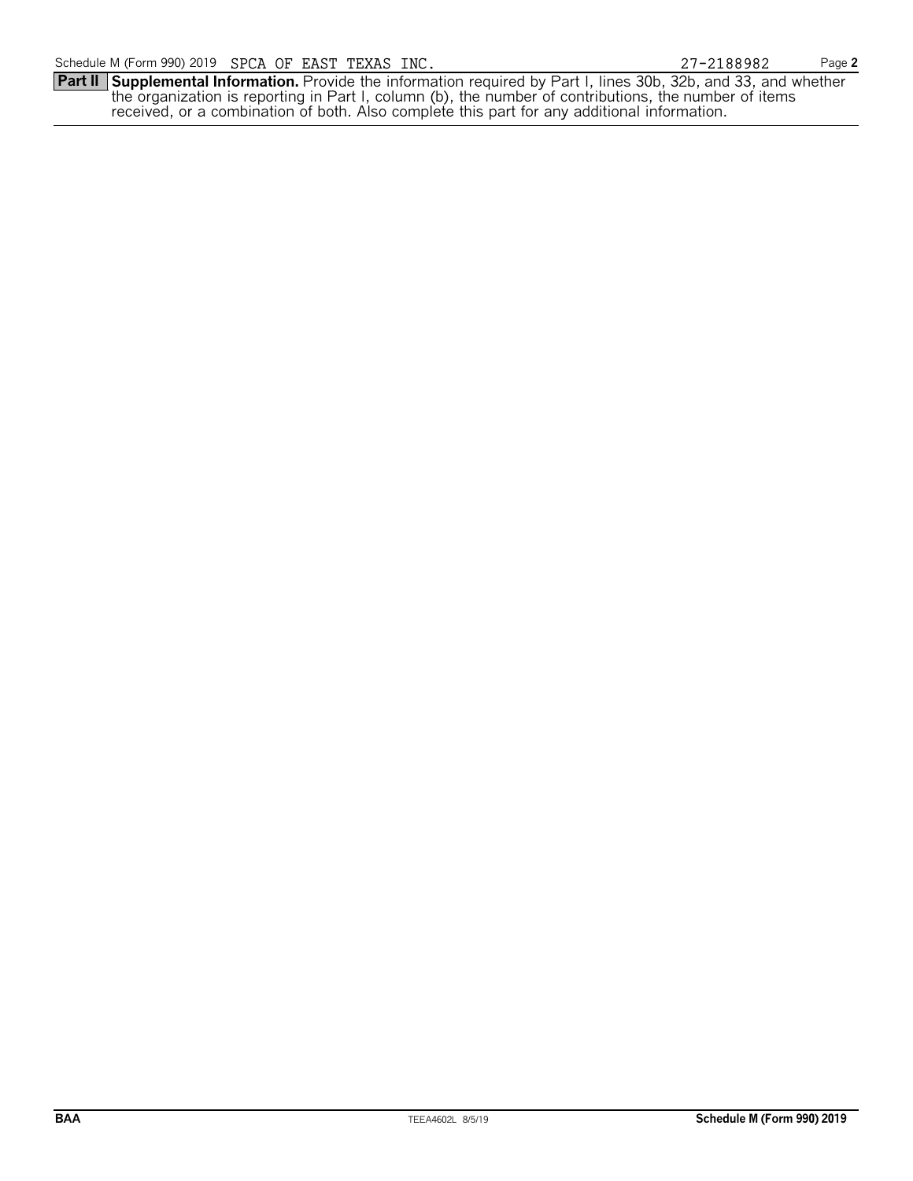**Part II Supplemental Information.** Provide the information required by Part I, lines 30b, 32b, and 33, and whether the organization is reporting in Part I, column (b), the number of contributions, the number of items received, or a combination of both. Also complete this part for any additional information.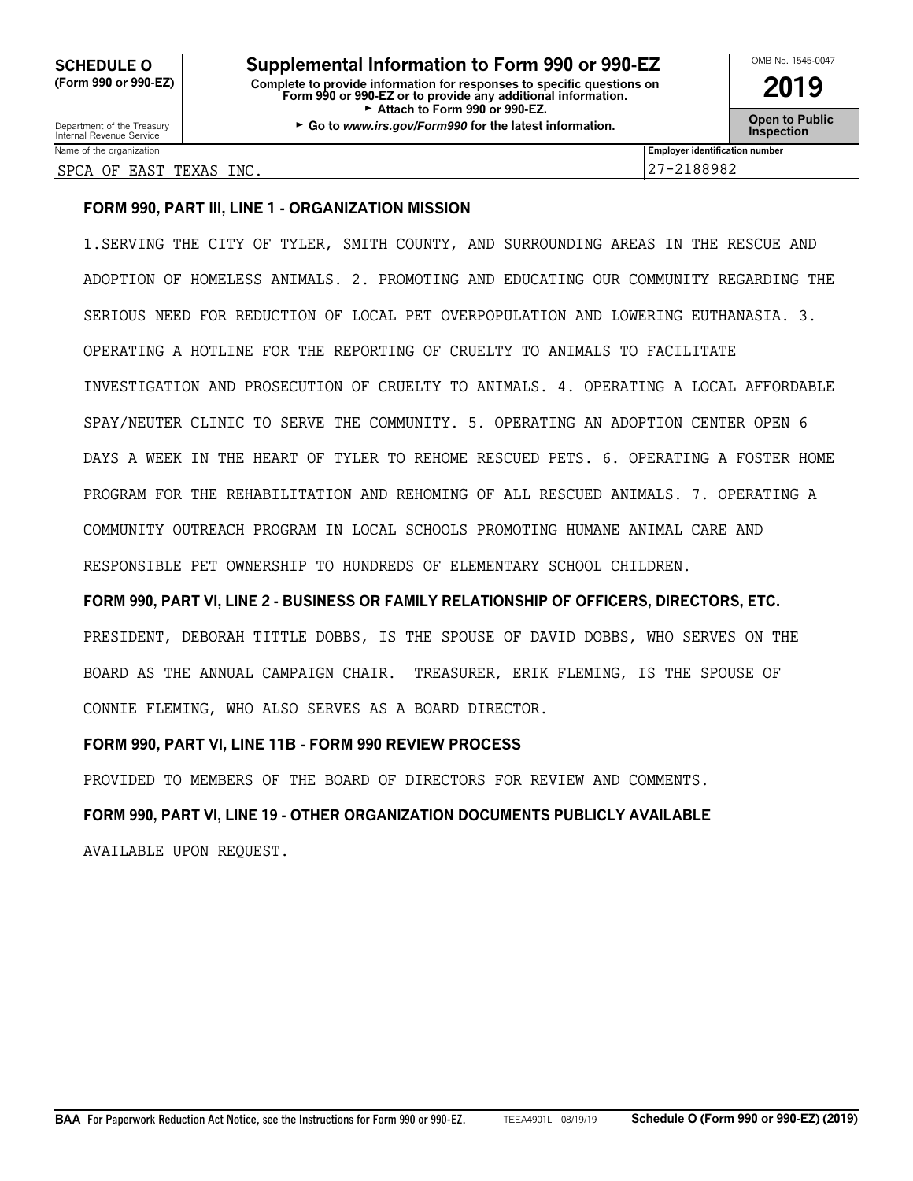Department of the Treasury **Connect Connect Connect Connect Connect Connect Connect Connect Connect Connect Conne<br>Internal Revenue Service <b>Inspection** 

### SPCA OF EAST TEXAS INC. 27-2188982

Name of the organization **Employer identification number Employer identification number** 

## **FORM 990, PART III, LINE 1 - ORGANIZATION MISSION**

1.SERVING THE CITY OF TYLER, SMITH COUNTY, AND SURROUNDING AREAS IN THE RESCUE AND ADOPTION OF HOMELESS ANIMALS. 2. PROMOTING AND EDUCATING OUR COMMUNITY REGARDING THE SERIOUS NEED FOR REDUCTION OF LOCAL PET OVERPOPULATION AND LOWERING EUTHANASIA. 3. OPERATING A HOTLINE FOR THE REPORTING OF CRUELTY TO ANIMALS TO FACILITATE INVESTIGATION AND PROSECUTION OF CRUELTY TO ANIMALS. 4. OPERATING A LOCAL AFFORDABLE SPAY/NEUTER CLINIC TO SERVE THE COMMUNITY. 5. OPERATING AN ADOPTION CENTER OPEN 6 DAYS A WEEK IN THE HEART OF TYLER TO REHOME RESCUED PETS. 6. OPERATING A FOSTER HOME PROGRAM FOR THE REHABILITATION AND REHOMING OF ALL RESCUED ANIMALS. 7. OPERATING A COMMUNITY OUTREACH PROGRAM IN LOCAL SCHOOLS PROMOTING HUMANE ANIMAL CARE AND RESPONSIBLE PET OWNERSHIP TO HUNDREDS OF ELEMENTARY SCHOOL CHILDREN.

## **FORM 990, PART VI, LINE 2 - BUSINESS OR FAMILY RELATIONSHIP OF OFFICERS, DIRECTORS, ETC.**

PRESIDENT, DEBORAH TITTLE DOBBS, IS THE SPOUSE OF DAVID DOBBS, WHO SERVES ON THE BOARD AS THE ANNUAL CAMPAIGN CHAIR. TREASURER, ERIK FLEMING, IS THE SPOUSE OF CONNIE FLEMING, WHO ALSO SERVES AS A BOARD DIRECTOR.

## **FORM 990, PART VI, LINE 11B - FORM 990 REVIEW PROCESS**

PROVIDED TO MEMBERS OF THE BOARD OF DIRECTORS FOR REVIEW AND COMMENTS.

## **FORM 990, PART VI, LINE 19 - OTHER ORGANIZATION DOCUMENTS PUBLICLY AVAILABLE** AVAILABLE UPON REQUEST.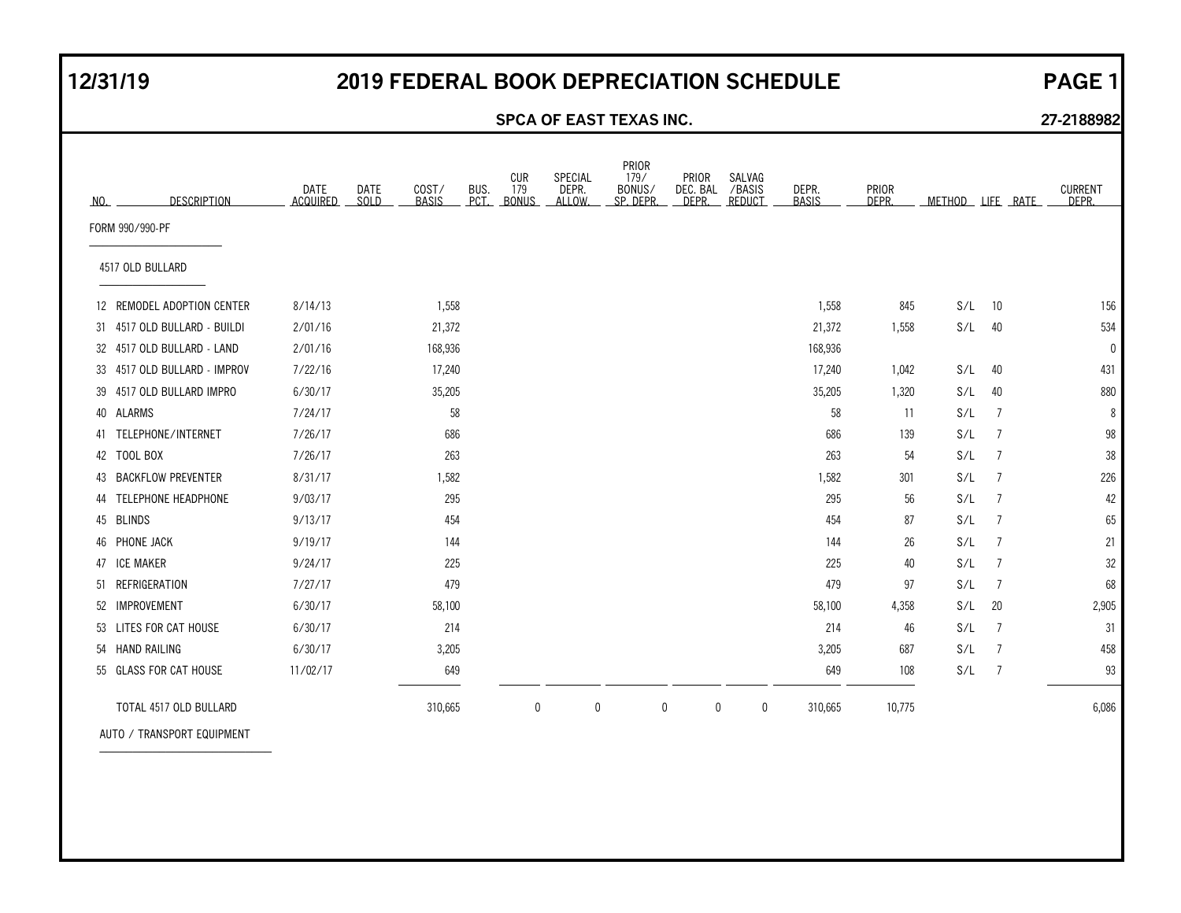## **12/31/19 2019 FEDERAL BOOK DEPRECIATION SCHEDULE PAGE 1**

## **SPCA OF EAST TEXAS INC. 27-2188982**

| NO. | <b>DESCRIPTION</b>        | <b>DATE</b><br>ACQUIRED | <b>DATE</b><br>SOLD | COST/<br><b>BASIS</b> | BUS.<br>PCT | CUR<br>179<br><b>BONUS</b> | SPECIAL<br>DEPR.<br>ALLOW. | PRIOR<br>179/<br>BONUS/<br>SP. DEPR. | PRIOR<br>DEC. BAL<br>DEPR. |   | SALVAG<br>/BASIS<br>REDUCT | DEPR.<br><b>BASIS</b> | PRIOR<br>DEPR. | METHOD LIFE RATE |      | <b>CURRENT</b><br>DEPR. |              |
|-----|---------------------------|-------------------------|---------------------|-----------------------|-------------|----------------------------|----------------------------|--------------------------------------|----------------------------|---|----------------------------|-----------------------|----------------|------------------|------|-------------------------|--------------|
|     | FORM 990/990-PF           |                         |                     |                       |             |                            |                            |                                      |                            |   |                            |                       |                |                  |      |                         |              |
|     | 4517 OLD BULLARD          |                         |                     |                       |             |                            |                            |                                      |                            |   |                            |                       |                |                  |      |                         |              |
| 12  | REMODEL ADOPTION CENTER   | 8/14/13                 |                     | 1,558                 |             |                            |                            |                                      |                            |   |                            | 1,558                 | 845            | S/L              | 10   |                         | 156          |
| 31  | 4517 OLD BULLARD - BUILDI | 2/01/16                 |                     | 21,372                |             |                            |                            |                                      |                            |   |                            | 21,372                | 1,558          | S/L              | 40   |                         | 534          |
| 32  | 4517 OLD BULLARD - LAND   | 2/01/16                 |                     | 168,936               |             |                            |                            |                                      |                            |   |                            | 168,936               |                |                  |      |                         | $\mathbf{0}$ |
| 33  | 4517 OLD BULLARD - IMPROV | 7/22/16                 |                     | 17,240                |             |                            |                            |                                      |                            |   |                            | 17,240                | 1,042          | S/L              | - 40 |                         | 431          |
| 39  | 4517 OLD BULLARD IMPRO    | 6/30/17                 |                     | 35,205                |             |                            |                            |                                      |                            |   |                            | 35,205                | 1,320          | S/L              | 40   |                         | 880          |
| 40  | <b>ALARMS</b>             | 7/24/17                 |                     | 58                    |             |                            |                            |                                      |                            |   |                            | 58                    | 11             | S/L              | 7    |                         | 8            |
| 41  | TELEPHONE/INTERNET        | 7/26/17                 |                     | 686                   |             |                            |                            |                                      |                            |   |                            | 686                   | 139            | S/L              | 7    |                         | 98           |
| 42  | TOOL BOX                  | 7/26/17                 |                     | 263                   |             |                            |                            |                                      |                            |   |                            | 263                   | 54             | S/L              | 7    |                         | 38           |
| 43  | <b>BACKFLOW PREVENTER</b> | 8/31/17                 |                     | 1,582                 |             |                            |                            |                                      |                            |   |                            | 1,582                 | 301            | S/L              | 7    |                         | 226          |
| 44  | TELEPHONE HEADPHONE       | 9/03/17                 |                     | 295                   |             |                            |                            |                                      |                            |   |                            | 295                   | 56             | S/L              | 7    |                         | 42           |
| 45  | <b>BLINDS</b>             | 9/13/17                 |                     | 454                   |             |                            |                            |                                      |                            |   |                            | 454                   | 87             | S/L              | 7    |                         | 65           |
| 46  | PHONE JACK                | 9/19/17                 |                     | 144                   |             |                            |                            |                                      |                            |   |                            | 144                   | 26             | S/L              | 7    |                         | 21           |
| 47  | <b>ICE MAKER</b>          | 9/24/17                 |                     | 225                   |             |                            |                            |                                      |                            |   |                            | 225                   | 40             | S/L              | 7    |                         | 32           |
| 51  | REFRIGERATION             | 7/27/17                 |                     | 479                   |             |                            |                            |                                      |                            |   |                            | 479                   | 97             | S/L              | 7    |                         | 68           |
| 52  | <b>IMPROVEMENT</b>        | 6/30/17                 |                     | 58,100                |             |                            |                            |                                      |                            |   |                            | 58,100                | 4,358          | S/L              | -20  |                         | 2,905        |
| 53  | LITES FOR CAT HOUSE       | 6/30/17                 |                     | 214                   |             |                            |                            |                                      |                            |   |                            | 214                   | 46             | S/L              | 7    |                         | 31           |
| 54  | HAND RAILING              | 6/30/17                 |                     | 3,205                 |             |                            |                            |                                      |                            |   |                            | 3,205                 | 687            | S/L              | 7    |                         | 458          |
|     | 55 GLASS FOR CAT HOUSE    | 11/02/17                |                     | 649                   |             |                            |                            |                                      |                            |   |                            | 649                   | 108            | S/L              | 7    |                         | 93           |
|     | TOTAL 4517 OLD BULLARD    |                         |                     | 310,665               |             | 0                          |                            | 0                                    | 0                          | 0 | 0                          | 310,665               | 10,775         |                  |      |                         | 6,086        |

AUTO / TRANSPORT EQUIPMENT  $\mathcal{L}_\text{max}$  , where  $\mathcal{L}_\text{max}$  , we have the set of  $\mathcal{L}_\text{max}$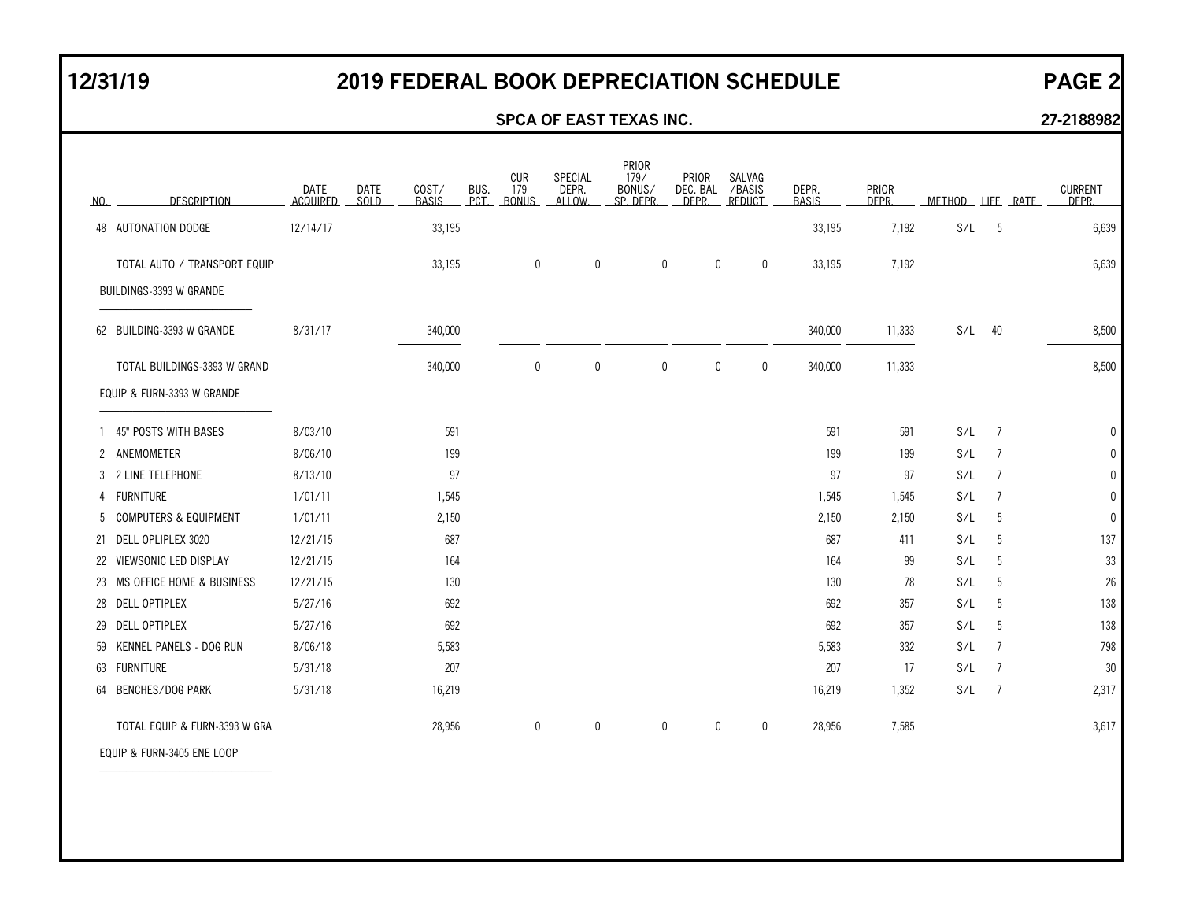## **12/31/19 2019 FEDERAL BOOK DEPRECIATION SCHEDULE**

## **PAGE 2**

## **SPCA OF EAST TEXAS INC. 27-2188982**

| NO. | <b>DESCRIPTION</b>                                      | <b>DATE</b><br><b>ACQUIRED</b> | DATE<br>SOLD | COST/<br><b>BASIS</b> | BUS.<br>PCT. | CUR<br>179<br><b>BONUS</b> | SPECIAL<br>DEPR.<br>ALLOW. | PRIOR<br>179/<br>BONUS/<br>SP. DEPR. | PRIOR<br>DEC. BAL<br>DEPR. | SALVAG<br>/BASIS<br>REDUCT | DEPR.<br><b>BASIS</b> | PRIOR<br>DEPR. |     | METHOD LIFE RATE | <b>CURRENT</b><br>DEPR. |
|-----|---------------------------------------------------------|--------------------------------|--------------|-----------------------|--------------|----------------------------|----------------------------|--------------------------------------|----------------------------|----------------------------|-----------------------|----------------|-----|------------------|-------------------------|
|     | 48 AUTONATION DODGE                                     | 12/14/17                       |              | 33,195                |              |                            |                            |                                      |                            |                            | 33,195                | 7,192          | S/L | -5               | 6,639                   |
|     | TOTAL AUTO / TRANSPORT EQUIP<br>BUILDINGS-3393 W GRANDE |                                |              | 33,195                |              | $\mathbf 0$                | 0                          | 0                                    | $\mathbf 0$                | 0                          | 33,195                | 7,192          |     |                  | 6,639                   |
|     | 62 BUILDING-3393 W GRANDE                               | 8/31/17                        |              | 340,000               |              |                            |                            |                                      |                            |                            | 340,000               | 11,333         |     | $S/L$ 40         | 8,500                   |
|     | TOTAL BUILDINGS-3393 W GRAND                            |                                |              | 340,000               |              | 0                          | 0                          | 0                                    | 0                          | 0                          | 340,000               | 11,333         |     |                  | 8,500                   |
|     | EQUIP & FURN-3393 W GRANDE                              |                                |              |                       |              |                            |                            |                                      |                            |                            |                       |                |     |                  |                         |
|     | 45" POSTS WITH BASES                                    | 8/03/10                        |              | 591                   |              |                            |                            |                                      |                            |                            | 591                   | 591            | S/L | 7                | $\theta$                |
|     | 2 ANEMOMETER                                            | 8/06/10                        |              | 199                   |              |                            |                            |                                      |                            |                            | 199                   | 199            | S/L | 7                |                         |
| 3   | 2 LINE TELEPHONE                                        | 8/13/10                        |              | 97                    |              |                            |                            |                                      |                            |                            | 97                    | 97             | S/L | 7                | $\mathbf{0}$            |
| 4   | <b>FURNITURE</b>                                        | 1/01/11                        |              | 1,545                 |              |                            |                            |                                      |                            |                            | 1,545                 | 1,545          | S/L | 7                | $\mathbf 0$             |
|     | 5 COMPUTERS & EQUIPMENT                                 | 1/01/11                        |              | 2,150                 |              |                            |                            |                                      |                            |                            | 2,150                 | 2,150          | S/L | 5                | $\mathbf 0$             |
| 21  | DELL OPLIPLEX 3020                                      | 12/21/15                       |              | 687                   |              |                            |                            |                                      |                            |                            | 687                   | 411            | S/L | -5               | 137                     |
| 22  | VIEWSONIC LED DISPLAY                                   | 12/21/15                       |              | 164                   |              |                            |                            |                                      |                            |                            | 164                   | 99             | S/L | -5               | 33                      |
| 23  | MS OFFICE HOME & BUSINESS                               | 12/21/15                       |              | 130                   |              |                            |                            |                                      |                            |                            | 130                   | 78             | S/L | 5                | 26                      |
|     | 28 DELL OPTIPLEX                                        | 5/27/16                        |              | 692                   |              |                            |                            |                                      |                            |                            | 692                   | 357            | S/L | -5               | 138                     |
| 29  | DELL OPTIPLEX                                           | 5/27/16                        |              | 692                   |              |                            |                            |                                      |                            |                            | 692                   | 357            | S/L | -5               | 138                     |
| 59  | KENNEL PANELS - DOG RUN                                 | 8/06/18                        |              | 5,583                 |              |                            |                            |                                      |                            |                            | 5,583                 | 332            | S/L | 7                | 798                     |
| 63  | FURNITURE                                               | 5/31/18                        |              | 207                   |              |                            |                            |                                      |                            |                            | 207                   | 17             | S/L | 7                | 30                      |
| 64  | BENCHES/DOG PARK                                        | 5/31/18                        |              | 16,219                |              |                            |                            |                                      |                            |                            | 16,219                | 1,352          | S/L | 7                | 2,317                   |
|     | TOTAL EQUIP & FURN-3393 W GRA                           |                                |              | 28,956                |              | 0                          | $\mathbf 0$                | 0                                    | 0                          | 0                          | 28,956                | 7,585          |     |                  | 3,617                   |

EQUIP & FURN-3405 ENE LOOP  $\mathcal{L}_\text{max}$  , where  $\mathcal{L}_\text{max}$  , we have the set of  $\mathcal{L}_\text{max}$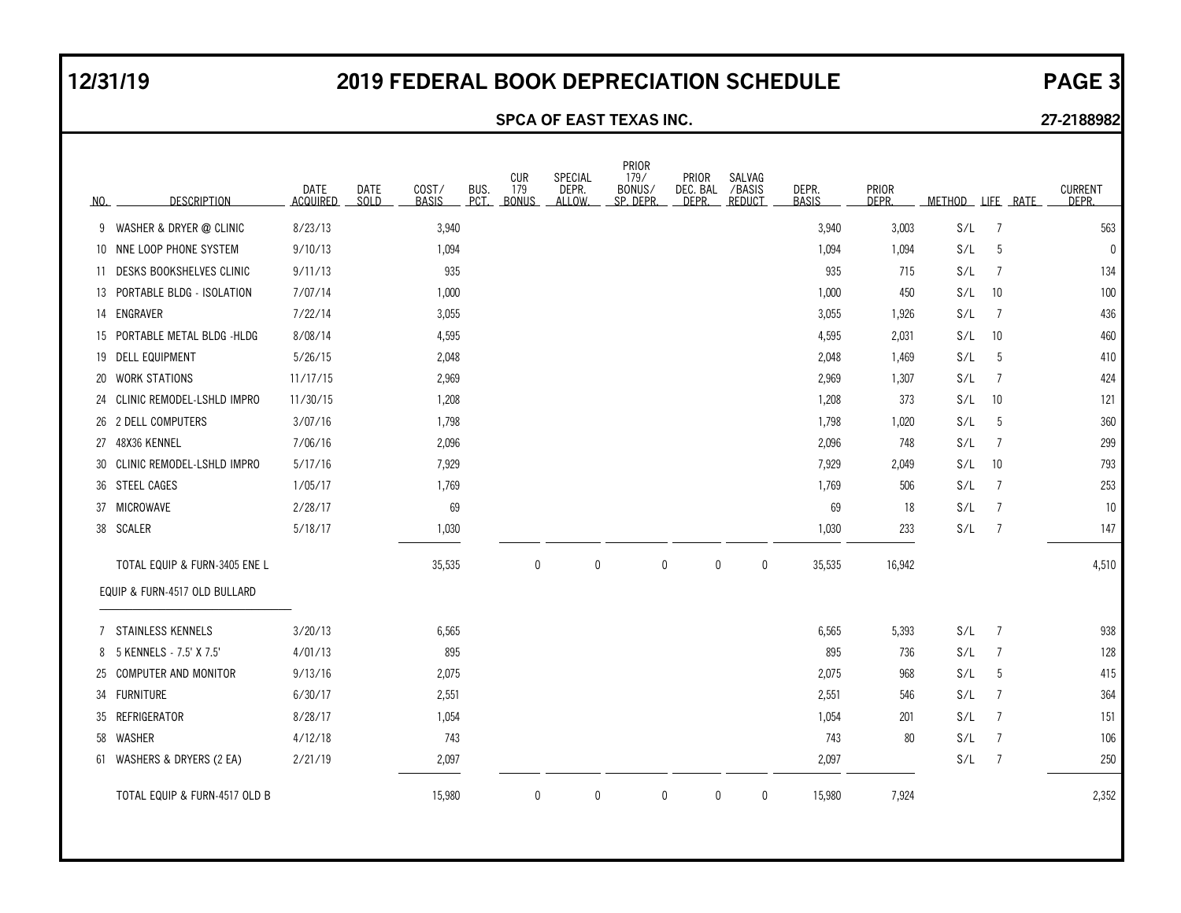## **12/31/19 2019 FEDERAL BOOK DEPRECIATION SCHEDULE**

## **PAGE 3**

| NO. | <b>DESCRIPTION</b>            | <b>DATE</b><br><b>ACQUIRED</b> | DATE<br><b>SOLD</b> | COST/<br><b>BASIS</b> | BUS.<br>PCT. | CUR<br>179<br><b>BONUS</b> | SPECIAL<br>DEPR.<br>ALLOW | PRIOR<br>179/<br>BONUS/<br>SP. DEPR. | PRIOR<br>DEC. BAL<br>DEPR. | SALVAG<br>⁄BASIS<br>REDUCT | DEPR.<br><b>RASIS</b> | PRIOR<br>DEPR. |     | METHOD LIFE RATE | CURRENT<br><b>DFPR</b> |
|-----|-------------------------------|--------------------------------|---------------------|-----------------------|--------------|----------------------------|---------------------------|--------------------------------------|----------------------------|----------------------------|-----------------------|----------------|-----|------------------|------------------------|
|     | 9 WASHER & DRYER @ CLINIC     | 8/23/13                        |                     | 3,940                 |              |                            |                           |                                      |                            |                            | 3,940                 | 3,003          | S/L | 7                | 563                    |
| 10  | NNE LOOP PHONE SYSTEM         | 9/10/13                        |                     | 1,094                 |              |                            |                           |                                      |                            |                            | 1,094                 | 1,094          | S/L | -5               | $\mathbf{0}$           |
| 11  | DESKS BOOKSHELVES CLINIC      | 9/11/13                        |                     | 935                   |              |                            |                           |                                      |                            |                            | 935                   | 715            | S/L | $\overline{7}$   | 134                    |
| 13  | PORTABLE BLDG - ISOLATION     | 7/07/14                        |                     | 1,000                 |              |                            |                           |                                      |                            |                            | 1,000                 | 450            | S/L | 10               | 100                    |
| 14  | ENGRAVER                      | 7/22/14                        |                     | 3,055                 |              |                            |                           |                                      |                            |                            | 3,055                 | 1,926          | S/L | 7                | 436                    |
|     | 15 PORTABLE METAL BLDG -HLDG  | 8/08/14                        |                     | 4,595                 |              |                            |                           |                                      |                            |                            | 4,595                 | 2,031          | S/L | 10               | 460                    |
| 19  | <b>DELL EQUIPMENT</b>         | 5/26/15                        |                     | 2,048                 |              |                            |                           |                                      |                            |                            | 2,048                 | 1,469          | S/L | -5               | 410                    |
| 20  | WORK STATIONS                 | 11/17/15                       |                     | 2,969                 |              |                            |                           |                                      |                            |                            | 2,969                 | 1,307          | S/L | 7                | 424                    |
| 24  | CLINIC REMODEL-LSHLD IMPRO    | 11/30/15                       |                     | 1,208                 |              |                            |                           |                                      |                            |                            | 1,208                 | 373            | S/L | 10               | 121                    |
| 26  | 2 DELL COMPUTERS              | 3/07/16                        |                     | 1,798                 |              |                            |                           |                                      |                            |                            | 1,798                 | 1,020          | S/L | -5               | 360                    |
| 27  | 48X36 KENNEL                  | 7/06/16                        |                     | 2,096                 |              |                            |                           |                                      |                            |                            | 2,096                 | 748            | S/L | 7                | 299                    |
| 30  | CLINIC REMODEL-LSHLD IMPRO    | 5/17/16                        |                     | 7,929                 |              |                            |                           |                                      |                            |                            | 7,929                 | 2,049          | S/L | 10               | 793                    |
| 36  | STEEL CAGES                   | 1/05/17                        |                     | 1,769                 |              |                            |                           |                                      |                            |                            | 1,769                 | 506            | S/L | 7                | 253                    |
|     | 37 MICROWAVE                  | 2/28/17                        |                     | 69                    |              |                            |                           |                                      |                            |                            | 69                    | 18             | S/L | $\overline{7}$   | 10                     |
|     | 38 SCALER                     | 5/18/17                        |                     | 1,030                 |              |                            |                           |                                      |                            |                            | 1,030                 | 233            | S/L | 7                | 147                    |
|     | TOTAL EQUIP & FURN-3405 ENE L |                                |                     | 35,535                |              | $\mathbf 0$                | 0                         | $\mathbf 0$                          |                            | $\mathbf 0$<br>$\mathbf 0$ | 35,535                | 16,942         |     |                  | 4,510                  |
|     | EQUIP & FURN-4517 OLD BULLARD |                                |                     |                       |              |                            |                           |                                      |                            |                            |                       |                |     |                  |                        |
| 7   | STAINLESS KENNELS             | 3/20/13                        |                     | 6,565                 |              |                            |                           |                                      |                            |                            | 6,565                 | 5,393          | S/L | $\overline{7}$   | 938                    |
| 8   | 5 KENNELS - 7.5' X 7.5'       | 4/01/13                        |                     | 895                   |              |                            |                           |                                      |                            |                            | 895                   | 736            | S/L | $\overline{7}$   | 128                    |
| 25  | COMPUTER AND MONITOR          | 9/13/16                        |                     | 2,075                 |              |                            |                           |                                      |                            |                            | 2,075                 | 968            | S/L | -5               | 415                    |
| 34  | <b>FURNITURE</b>              | 6/30/17                        |                     | 2,551                 |              |                            |                           |                                      |                            |                            | 2,551                 | 546            | S/L | 7                | 364                    |
| 35  | REFRIGERATOR                  | 8/28/17                        |                     | 1,054                 |              |                            |                           |                                      |                            |                            | 1,054                 | 201            | S/L | 7                | 151                    |
| 58  | WASHER                        | 4/12/18                        |                     | 743                   |              |                            |                           |                                      |                            |                            | 743                   | 80             | S/L | 7                | 106                    |
| 61  | WASHERS & DRYERS (2 EA)       | 2/21/19                        |                     | 2,097                 |              |                            |                           |                                      |                            |                            | 2,097                 |                | S/L | $\overline{7}$   | 250                    |
|     | TOTAL EQUIP & FURN-4517 OLD B |                                |                     | 15,980                |              | 0                          | 0                         | 0                                    |                            | $\mathbf 0$<br>0           | 15,980                | 7,924          |     |                  | 2,352                  |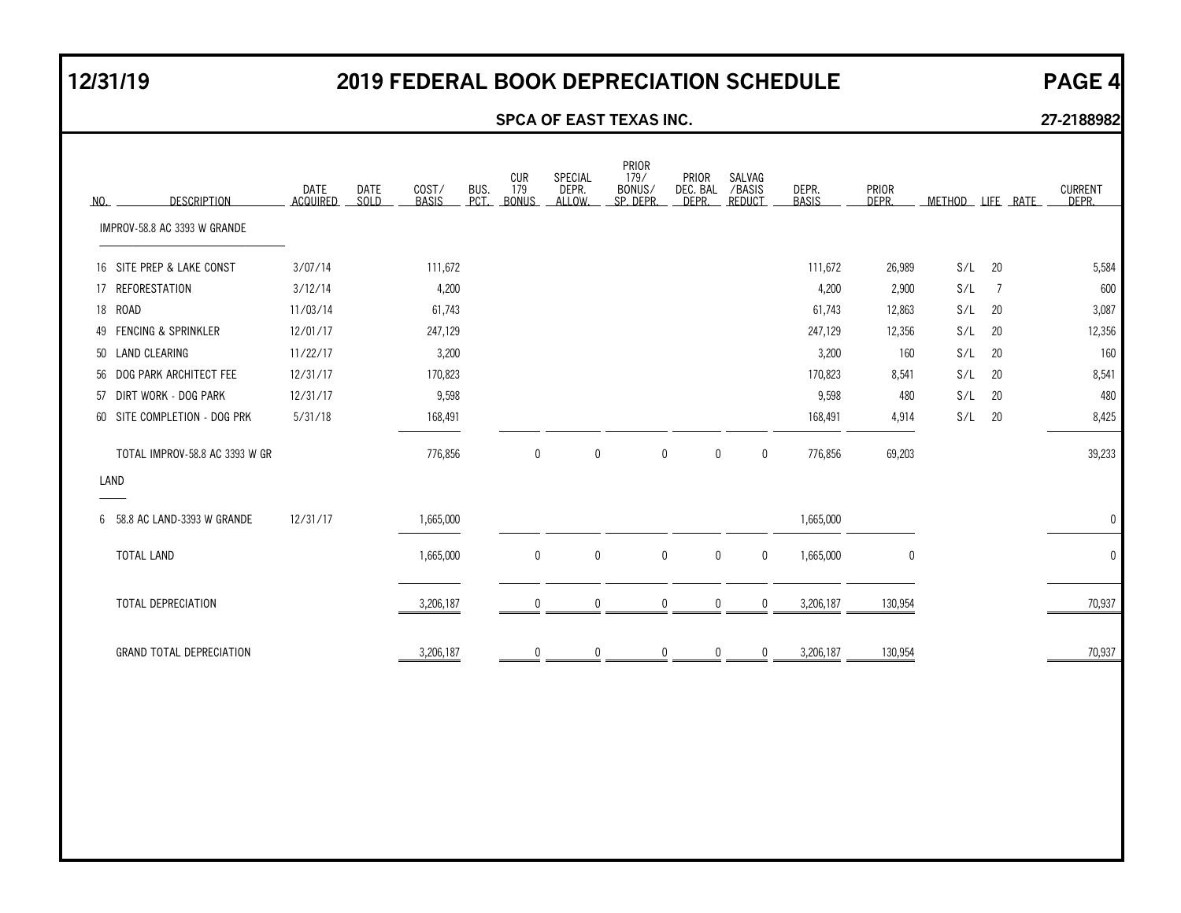## **12/31/19 2019 FEDERAL BOOK DEPRECIATION SCHEDULE**

## **PAGE 4**

| NO.     | <b>DESCRIPTION</b>              | DATE<br><b>ACQUIRED</b> | DATE<br>SOLD | COST/<br><b>BASIS</b> | BUS.<br>PCT. | CUR<br>179<br><b>BONUS</b> | SPECIAL<br>DEPR.<br>ALLOW. | PRIOR<br>179/<br>BONUS/<br>SP. DFPR | PRIOR<br>DEC. BAL<br>DFPR. | SALVAG<br>/BASIS<br>REDUCT | DEPR.<br><b>BASIS</b> | PRIOR<br>DFPR. | METHOD LIFE RATE |    | <b>CURRENT</b><br>DFPR |
|---------|---------------------------------|-------------------------|--------------|-----------------------|--------------|----------------------------|----------------------------|-------------------------------------|----------------------------|----------------------------|-----------------------|----------------|------------------|----|------------------------|
|         | IMPROV-58.8 AC 3393 W GRANDE    |                         |              |                       |              |                            |                            |                                     |                            |                            |                       |                |                  |    |                        |
|         | 16 SITE PREP & LAKE CONST       | 3/07/14                 |              | 111,672               |              |                            |                            |                                     |                            |                            | 111,672               | 26,989         | S/L              | 20 | 5,584                  |
|         | 17 REFORESTATION                | 3/12/14                 |              | 4,200                 |              |                            |                            |                                     |                            |                            | 4,200                 | 2,900          | S/L              | 7  | 600                    |
| 18 ROAD |                                 | 11/03/14                |              | 61,743                |              |                            |                            |                                     |                            |                            | 61,743                | 12,863         | S/L              | 20 | 3,087                  |
|         | 49 FENCING & SPRINKLER          | 12/01/17                |              | 247,129               |              |                            |                            |                                     |                            |                            | 247,129               | 12,356         | S/L              | 20 | 12,356                 |
|         | 50 LAND CLEARING                | 11/22/17                |              | 3,200                 |              |                            |                            |                                     |                            |                            | 3,200                 | 160            | S/L              | 20 | 160                    |
|         | 56 DOG PARK ARCHITECT FEE       | 12/31/17                |              | 170,823               |              |                            |                            |                                     |                            |                            | 170,823               | 8,541          | S/L              | 20 | 8,541                  |
| 57      | DIRT WORK - DOG PARK            | 12/31/17                |              | 9,598                 |              |                            |                            |                                     |                            |                            | 9,598                 | 480            | S/L              | 20 | 480                    |
|         | 60 SITE COMPLETION - DOG PRK    | 5/31/18                 |              | 168,491               |              |                            |                            |                                     |                            |                            | 168,491               | 4,914          | S/L              | 20 | 8,425                  |
|         | TOTAL IMPROV-58.8 AC 3393 W GR  |                         |              | 776,856               |              | 0                          | 0                          | 0                                   |                            | 0<br>$\mathbf 0$           | 776,856               | 69,203         |                  |    | 39,233                 |
| LAND    |                                 |                         |              |                       |              |                            |                            |                                     |                            |                            |                       |                |                  |    |                        |
|         | 6 58.8 AC LAND-3393 W GRANDE    | 12/31/17                |              | 1,665,000             |              |                            |                            |                                     |                            |                            | 1,665,000             |                |                  |    |                        |
|         | <b>TOTAL LAND</b>               |                         |              | 1,665,000             |              | 0                          | $\bm{0}$                   |                                     | $\boldsymbol{0}$<br>0      | $\mathbf 0$                | 1,665,000             | 0              |                  |    | 0                      |
|         | TOTAL DEPRECIATION              |                         |              | 3,206,187             |              |                            | $\mathbf{0}$               | $\theta$                            |                            | $\Omega$<br>$\Omega$       | 3,206,187             | 130,954        |                  |    | 70,937                 |
|         | <b>GRAND TOTAL DEPRECIATION</b> |                         |              | 3,206,187             |              |                            |                            | $\bigcap$                           |                            |                            | 3,206,187             | 130,954        |                  |    | 70,937                 |